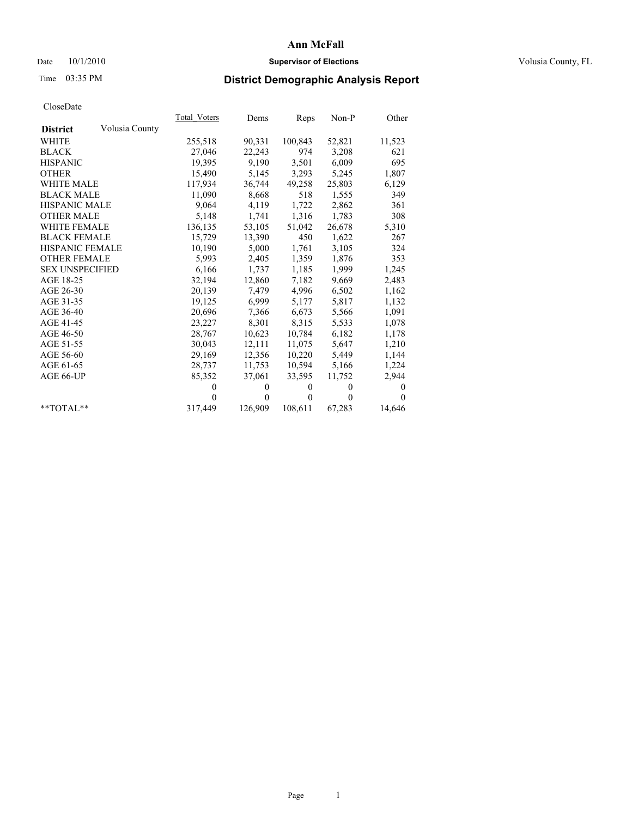### Date  $10/1/2010$  **Supervisor of Elections Supervisor of Elections** Volusia County, FL

## Time 03:35 PM **District Demographic Analysis Report**

|                                   | Total Voters | Dems         | Reps     | Non-P        | Other        |
|-----------------------------------|--------------|--------------|----------|--------------|--------------|
| Volusia County<br><b>District</b> |              |              |          |              |              |
| <b>WHITE</b>                      | 255,518      | 90,331       | 100,843  | 52,821       | 11,523       |
| <b>BLACK</b>                      | 27,046       | 22,243       | 974      | 3,208        | 621          |
| <b>HISPANIC</b>                   | 19,395       | 9,190        | 3,501    | 6,009        | 695          |
| <b>OTHER</b>                      | 15,490       | 5,145        | 3,293    | 5,245        | 1,807        |
| <b>WHITE MALE</b>                 | 117,934      | 36,744       | 49,258   | 25,803       | 6,129        |
| <b>BLACK MALE</b>                 | 11,090       | 8,668        | 518      | 1,555        | 349          |
| <b>HISPANIC MALE</b>              | 9,064        | 4,119        | 1,722    | 2,862        | 361          |
| <b>OTHER MALE</b>                 | 5,148        | 1,741        | 1,316    | 1,783        | 308          |
| WHITE FEMALE                      | 136,135      | 53,105       | 51,042   | 26,678       | 5,310        |
| <b>BLACK FEMALE</b>               | 15,729       | 13,390       | 450      | 1,622        | 267          |
| HISPANIC FEMALE                   | 10,190       | 5,000        | 1,761    | 3,105        | 324          |
| <b>OTHER FEMALE</b>               | 5,993        | 2,405        | 1,359    | 1,876        | 353          |
| <b>SEX UNSPECIFIED</b>            | 6,166        | 1,737        | 1,185    | 1,999        | 1,245        |
| AGE 18-25                         | 32,194       | 12,860       | 7,182    | 9,669        | 2,483        |
| AGE 26-30                         | 20,139       | 7,479        | 4,996    | 6,502        | 1,162        |
| AGE 31-35                         | 19,125       | 6,999        | 5,177    | 5,817        | 1,132        |
| AGE 36-40                         | 20,696       | 7,366        | 6,673    | 5,566        | 1,091        |
| AGE 41-45                         | 23,227       | 8,301        | 8,315    | 5,533        | 1,078        |
| AGE 46-50                         | 28,767       | 10,623       | 10,784   | 6,182        | 1,178        |
| AGE 51-55                         | 30,043       | 12,111       | 11,075   | 5,647        | 1,210        |
| AGE 56-60                         | 29,169       | 12,356       | 10,220   | 5,449        | 1,144        |
| AGE 61-65                         | 28,737       | 11,753       | 10,594   | 5,166        | 1,224        |
| AGE 66-UP                         | 85,352       | 37,061       | 33,595   | 11,752       | 2,944        |
|                                   | $\theta$     | $\mathbf{0}$ | $\theta$ | $\mathbf{0}$ | $\mathbf{0}$ |
|                                   | $\Omega$     | $\mathbf{0}$ | $\theta$ | $\theta$     | $\theta$     |
| $*$ TOTAL $*$                     | 317,449      | 126,909      | 108,611  | 67,283       | 14,646       |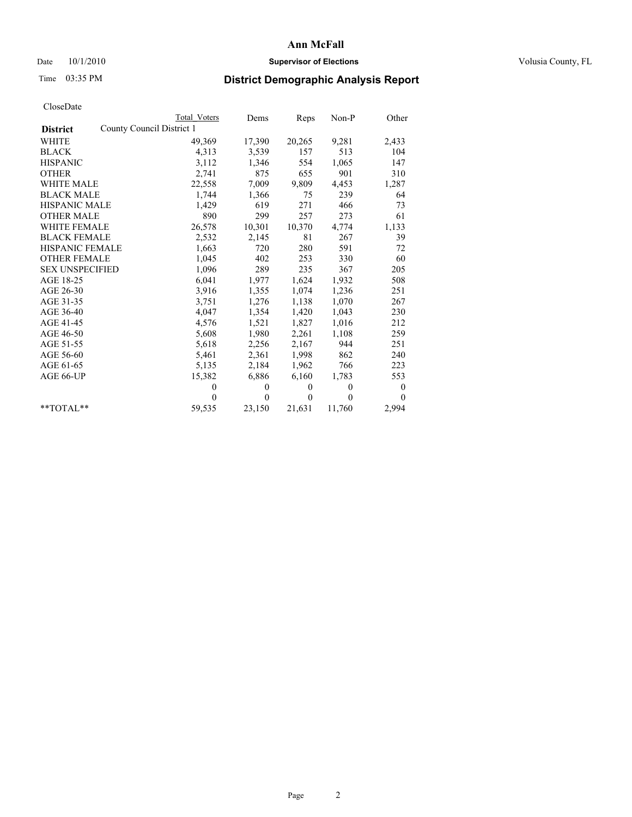### Date  $10/1/2010$  **Supervisor of Elections Supervisor of Elections** Volusia County, FL

## Time 03:35 PM **District Demographic Analysis Report**

|                        | <b>Total Voters</b>       | Dems         | Reps         | $Non-P$      | Other    |  |
|------------------------|---------------------------|--------------|--------------|--------------|----------|--|
| <b>District</b>        | County Council District 1 |              |              |              |          |  |
| <b>WHITE</b>           | 49,369                    | 17,390       | 20,265       | 9,281        | 2,433    |  |
| <b>BLACK</b>           | 4,313                     | 3,539        | 157          | 513          | 104      |  |
| <b>HISPANIC</b>        | 3,112                     | 1,346        | 554          | 1,065        | 147      |  |
| <b>OTHER</b>           | 2,741                     | 875          | 655          | 901          | 310      |  |
| <b>WHITE MALE</b>      | 22,558                    | 7,009        | 9,809        | 4,453        | 1,287    |  |
| <b>BLACK MALE</b>      | 1,744                     | 1,366        | 75           | 239          | 64       |  |
| <b>HISPANIC MALE</b>   | 1,429                     | 619          | 271          | 466          | 73       |  |
| <b>OTHER MALE</b>      | 890                       | 299          | 257          | 273          | 61       |  |
| WHITE FEMALE           | 26,578                    | 10,301       | 10,370       | 4,774        | 1,133    |  |
| <b>BLACK FEMALE</b>    | 2,532                     | 2,145        | 81           | 267          | 39       |  |
| HISPANIC FEMALE        | 1,663                     | 720          | 280          | 591          | 72       |  |
| <b>OTHER FEMALE</b>    | 1,045                     | 402          | 253          | 330          | 60       |  |
| <b>SEX UNSPECIFIED</b> | 1,096                     | 289          | 235          | 367          | 205      |  |
| AGE 18-25              | 6,041                     | 1,977        | 1,624        | 1,932        | 508      |  |
| AGE 26-30              | 3,916                     | 1,355        | 1,074        | 1,236        | 251      |  |
| AGE 31-35              | 3,751                     | 1,276        | 1,138        | 1,070        | 267      |  |
| AGE 36-40              | 4,047                     | 1,354        | 1,420        | 1,043        | 230      |  |
| AGE 41-45              | 4,576                     | 1,521        | 1,827        | 1,016        | 212      |  |
| AGE 46-50              | 5,608                     | 1,980        | 2,261        | 1,108        | 259      |  |
| AGE 51-55              | 5,618                     | 2,256        | 2,167        | 944          | 251      |  |
| AGE 56-60              | 5,461                     | 2,361        | 1,998        | 862          | 240      |  |
| AGE 61-65              | 5,135                     | 2,184        | 1,962        | 766          | 223      |  |
| AGE 66-UP              | 15,382                    | 6,886        | 6,160        | 1,783        | 553      |  |
|                        | $\theta$                  | $\mathbf{0}$ | $\mathbf{0}$ | $\mathbf{0}$ | $\bf{0}$ |  |
|                        | $\theta$                  | $\theta$     | $\theta$     | $\theta$     | $\theta$ |  |
| $*$ $TOTAI.**$         | 59,535                    | 23,150       | 21,631       | 11,760       | 2,994    |  |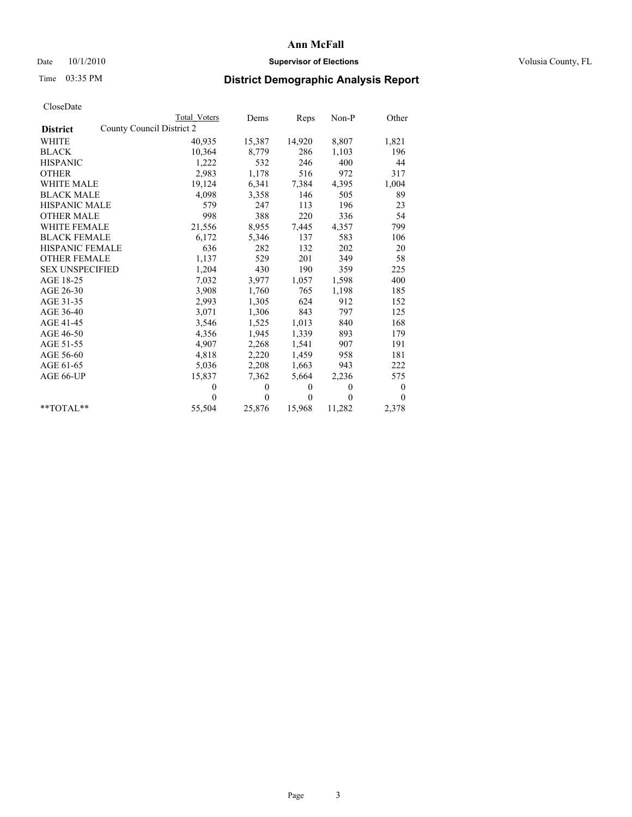### Date  $10/1/2010$  **Supervisor of Elections Supervisor of Elections** Volusia County, FL

## Time 03:35 PM **District Demographic Analysis Report**

|                        | Total_Voters              | Dems         | Reps     | Non-P        | Other            |
|------------------------|---------------------------|--------------|----------|--------------|------------------|
| <b>District</b>        | County Council District 2 |              |          |              |                  |
| WHITE                  | 40,935                    | 15,387       | 14,920   | 8,807        | 1,821            |
| <b>BLACK</b>           | 10,364                    | 8,779        | 286      | 1,103        | 196              |
| <b>HISPANIC</b>        | 1,222                     | 532          | 246      | 400          | 44               |
| <b>OTHER</b>           | 2,983                     | 1,178        | 516      | 972          | 317              |
| <b>WHITE MALE</b>      | 19,124                    | 6,341        | 7,384    | 4,395        | 1,004            |
| <b>BLACK MALE</b>      | 4,098                     | 3,358        | 146      | 505          | 89               |
| <b>HISPANIC MALE</b>   | 579                       | 247          | 113      | 196          | 23               |
| <b>OTHER MALE</b>      | 998                       | 388          | 220      | 336          | 54               |
| WHITE FEMALE           | 21,556                    | 8,955        | 7,445    | 4,357        | 799              |
| <b>BLACK FEMALE</b>    | 6,172                     | 5,346        | 137      | 583          | 106              |
| HISPANIC FEMALE        | 636                       | 282          | 132      | 202          | 20               |
| <b>OTHER FEMALE</b>    | 1,137                     | 529          | 201      | 349          | 58               |
| <b>SEX UNSPECIFIED</b> | 1,204                     | 430          | 190      | 359          | 225              |
| AGE 18-25              | 7,032                     | 3,977        | 1,057    | 1,598        | 400              |
| AGE 26-30              | 3,908                     | 1,760        | 765      | 1,198        | 185              |
| AGE 31-35              | 2,993                     | 1,305        | 624      | 912          | 152              |
| AGE 36-40              | 3,071                     | 1,306        | 843      | 797          | 125              |
| AGE 41-45              | 3,546                     | 1,525        | 1,013    | 840          | 168              |
| AGE 46-50              | 4,356                     | 1,945        | 1,339    | 893          | 179              |
| AGE 51-55              | 4,907                     | 2,268        | 1,541    | 907          | 191              |
| AGE 56-60              | 4,818                     | 2,220        | 1,459    | 958          | 181              |
| AGE 61-65              | 5,036                     | 2,208        | 1,663    | 943          | 222              |
| AGE 66-UP              | 15,837                    | 7,362        | 5,664    | 2,236        | 575              |
|                        | $\theta$                  | $\mathbf{0}$ | $\Omega$ | $\mathbf{0}$ | $\boldsymbol{0}$ |
|                        | $\theta$                  | $\theta$     | $\Omega$ | $\theta$     | $\theta$         |
| $*$ $TOTAI.**$         | 55,504                    | 25,876       | 15,968   | 11,282       | 2,378            |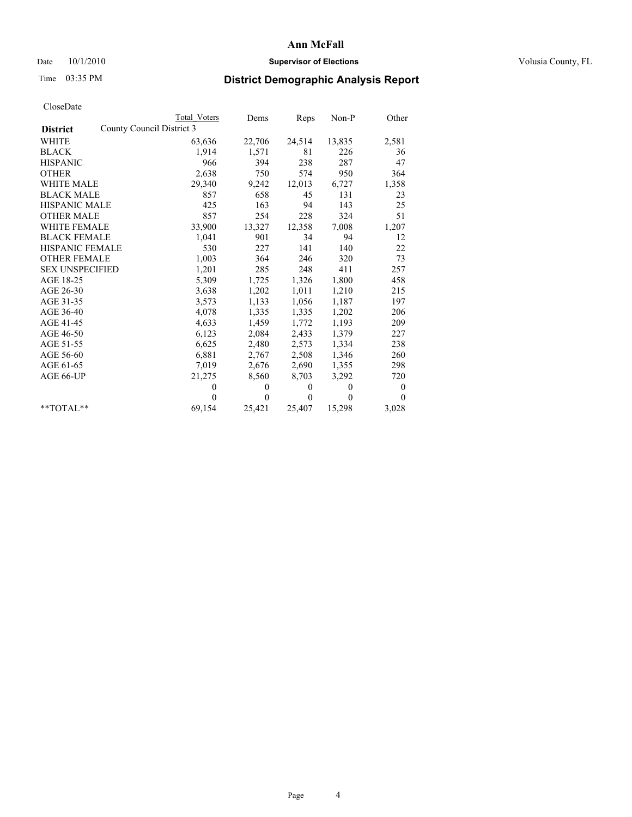### Date  $10/1/2010$  **Supervisor of Elections Supervisor of Elections** Volusia County, FL

## Time 03:35 PM **District Demographic Analysis Report**

|                                              | <b>Total Voters</b> | Dems         | Reps         | Non-P        | Other        |
|----------------------------------------------|---------------------|--------------|--------------|--------------|--------------|
| County Council District 3<br><b>District</b> |                     |              |              |              |              |
| <b>WHITE</b>                                 | 63,636              | 22,706       | 24,514       | 13,835       | 2,581        |
| <b>BLACK</b>                                 | 1,914               | 1,571        | 81           | 226          | 36           |
| <b>HISPANIC</b>                              | 966                 | 394          | 238          | 287          | 47           |
| <b>OTHER</b>                                 | 2,638               | 750          | 574          | 950          | 364          |
| <b>WHITE MALE</b>                            | 29,340              | 9,242        | 12,013       | 6,727        | 1,358        |
| <b>BLACK MALE</b>                            | 857                 | 658          | 45           | 131          | 23           |
| <b>HISPANIC MALE</b>                         | 425                 | 163          | 94           | 143          | 25           |
| <b>OTHER MALE</b>                            | 857                 | 254          | 228          | 324          | 51           |
| <b>WHITE FEMALE</b>                          | 33,900              | 13,327       | 12,358       | 7,008        | 1,207        |
| <b>BLACK FEMALE</b>                          | 1,041               | 901          | 34           | 94           | 12           |
| HISPANIC FEMALE                              | 530                 | 227          | 141          | 140          | 22           |
| <b>OTHER FEMALE</b>                          | 1,003               | 364          | 246          | 320          | 73           |
| <b>SEX UNSPECIFIED</b>                       | 1,201               | 285          | 248          | 411          | 257          |
| AGE 18-25                                    | 5,309               | 1,725        | 1,326        | 1,800        | 458          |
| AGE 26-30                                    | 3,638               | 1,202        | 1,011        | 1,210        | 215          |
| AGE 31-35                                    | 3,573               | 1,133        | 1,056        | 1,187        | 197          |
| AGE 36-40                                    | 4,078               | 1,335        | 1,335        | 1,202        | 206          |
| AGE 41-45                                    | 4,633               | 1,459        | 1,772        | 1,193        | 209          |
| AGE 46-50                                    | 6,123               | 2,084        | 2,433        | 1,379        | 227          |
| AGE 51-55                                    | 6,625               | 2,480        | 2,573        | 1,334        | 238          |
| AGE 56-60                                    | 6,881               | 2,767        | 2,508        | 1,346        | 260          |
| AGE 61-65                                    | 7,019               | 2,676        | 2,690        | 1,355        | 298          |
| AGE 66-UP                                    | 21,275              | 8,560        | 8,703        | 3,292        | 720          |
|                                              | $\mathbf{0}$        | $\mathbf{0}$ | $\mathbf{0}$ | $\mathbf{0}$ | $\mathbf{0}$ |
|                                              | $\theta$            | $\theta$     | $\mathbf{0}$ | $\mathbf{0}$ | $\theta$     |
| $*$ $TOTAI.**$                               | 69,154              | 25,421       | 25,407       | 15,298       | 3,028        |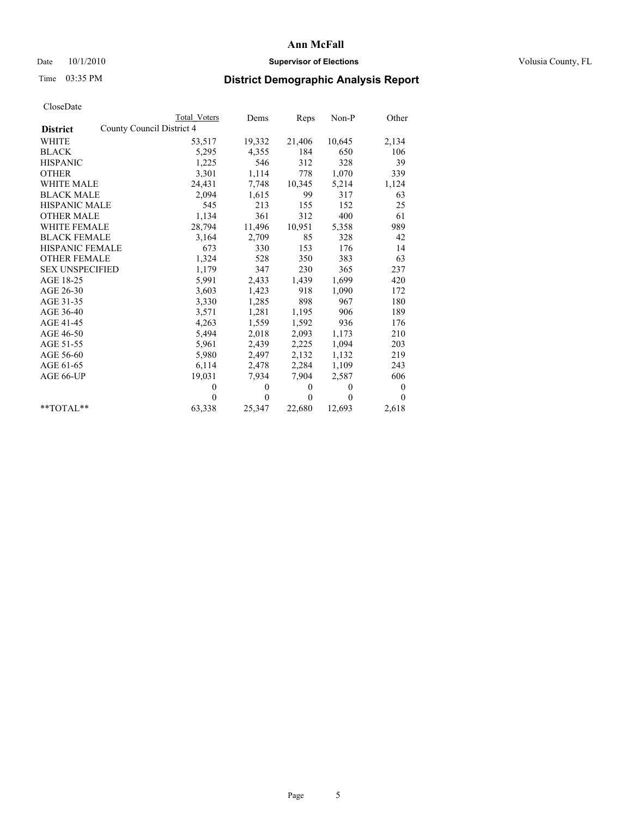### Date  $10/1/2010$  **Supervisor of Elections Supervisor of Elections** Volusia County, FL

## Time 03:35 PM **District Demographic Analysis Report**

|                                              | <b>Total Voters</b> | Dems         | Reps         | $Non-P$      | Other    |
|----------------------------------------------|---------------------|--------------|--------------|--------------|----------|
| County Council District 4<br><b>District</b> |                     |              |              |              |          |
| WHITE                                        | 53,517              | 19,332       | 21,406       | 10,645       | 2,134    |
| <b>BLACK</b>                                 | 5,295               | 4,355        | 184          | 650          | 106      |
| <b>HISPANIC</b>                              | 1,225               | 546          | 312          | 328          | 39       |
| <b>OTHER</b>                                 | 3,301               | 1,114        | 778          | 1,070        | 339      |
| <b>WHITE MALE</b>                            | 24,431              | 7,748        | 10,345       | 5,214        | 1,124    |
| <b>BLACK MALE</b>                            | 2,094               | 1,615        | 99           | 317          | 63       |
| <b>HISPANIC MALE</b>                         | 545                 | 213          | 155          | 152          | 25       |
| <b>OTHER MALE</b>                            | 1,134               | 361          | 312          | 400          | 61       |
| <b>WHITE FEMALE</b>                          | 28,794              | 11,496       | 10,951       | 5,358        | 989      |
| <b>BLACK FEMALE</b>                          | 3,164               | 2,709        | 85           | 328          | 42       |
| HISPANIC FEMALE                              | 673                 | 330          | 153          | 176          | 14       |
| <b>OTHER FEMALE</b>                          | 1,324               | 528          | 350          | 383          | 63       |
| <b>SEX UNSPECIFIED</b>                       | 1,179               | 347          | 230          | 365          | 237      |
| AGE 18-25                                    | 5,991               | 2,433        | 1,439        | 1,699        | 420      |
| AGE 26-30                                    | 3,603               | 1,423        | 918          | 1,090        | 172      |
| AGE 31-35                                    | 3,330               | 1,285        | 898          | 967          | 180      |
| AGE 36-40                                    | 3,571               | 1,281        | 1,195        | 906          | 189      |
| AGE 41-45                                    | 4,263               | 1,559        | 1,592        | 936          | 176      |
| AGE 46-50                                    | 5,494               | 2,018        | 2,093        | 1,173        | 210      |
| AGE 51-55                                    | 5,961               | 2,439        | 2,225        | 1,094        | 203      |
| AGE 56-60                                    | 5,980               | 2,497        | 2,132        | 1,132        | 219      |
| AGE 61-65                                    | 6,114               | 2,478        | 2,284        | 1,109        | 243      |
| AGE 66-UP                                    | 19,031              | 7,934        | 7,904        | 2,587        | 606      |
|                                              | $\theta$            | $\mathbf{0}$ | $\mathbf{0}$ | $\mathbf{0}$ | 0        |
|                                              | $\theta$            | $\theta$     | $\mathbf{0}$ | $\theta$     | $\theta$ |
| $*$ $TOTAI.**$                               | 63,338              | 25,347       | 22,680       | 12,693       | 2,618    |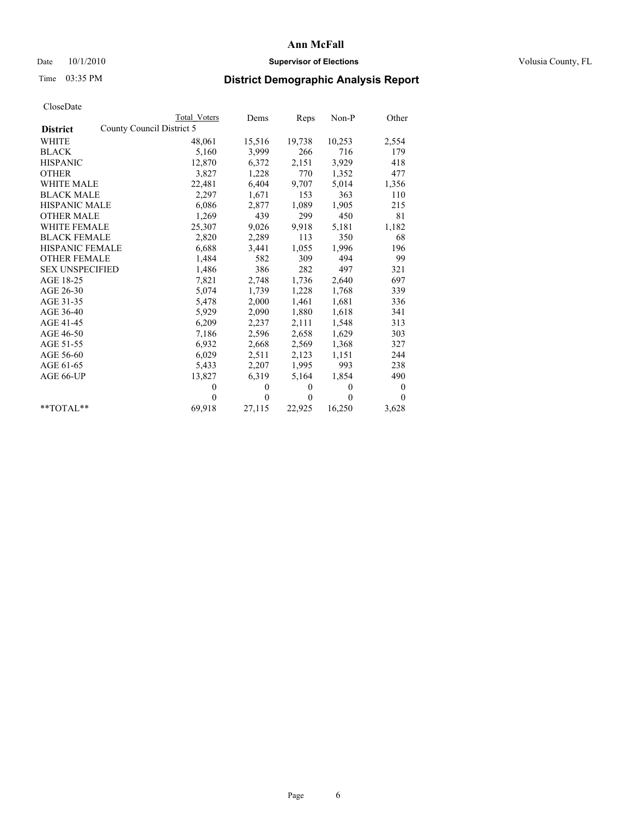### Date  $10/1/2010$  **Supervisor of Elections Supervisor of Elections** Volusia County, FL

## Time 03:35 PM **District Demographic Analysis Report**

|                                              | Total Voters | Dems         | Reps         | Non-P        | Other          |
|----------------------------------------------|--------------|--------------|--------------|--------------|----------------|
| County Council District 5<br><b>District</b> |              |              |              |              |                |
| <b>WHITE</b>                                 | 48,061       | 15,516       | 19,738       | 10,253       | 2,554          |
| <b>BLACK</b>                                 | 5,160        | 3,999        | 266          | 716          | 179            |
| <b>HISPANIC</b>                              | 12,870       | 6,372        | 2,151        | 3,929        | 418            |
| <b>OTHER</b>                                 | 3,827        | 1,228        | 770          | 1,352        | 477            |
| <b>WHITE MALE</b>                            | 22,481       | 6,404        | 9,707        | 5,014        | 1,356          |
| <b>BLACK MALE</b>                            | 2,297        | 1,671        | 153          | 363          | 110            |
| <b>HISPANIC MALE</b>                         | 6,086        | 2,877        | 1,089        | 1,905        | 215            |
| <b>OTHER MALE</b>                            | 1,269        | 439          | 299          | 450          | 81             |
| <b>WHITE FEMALE</b>                          | 25,307       | 9,026        | 9,918        | 5,181        | 1,182          |
| <b>BLACK FEMALE</b>                          | 2,820        | 2,289        | 113          | 350          | 68             |
| HISPANIC FEMALE                              | 6,688        | 3,441        | 1,055        | 1,996        | 196            |
| <b>OTHER FEMALE</b>                          | 1,484        | 582          | 309          | 494          | 99             |
| <b>SEX UNSPECIFIED</b>                       | 1,486        | 386          | 282          | 497          | 321            |
| AGE 18-25                                    | 7,821        | 2,748        | 1,736        | 2,640        | 697            |
| AGE 26-30                                    | 5,074        | 1,739        | 1,228        | 1,768        | 339            |
| AGE 31-35                                    | 5,478        | 2,000        | 1,461        | 1,681        | 336            |
| AGE 36-40                                    | 5,929        | 2,090        | 1,880        | 1,618        | 341            |
| AGE 41-45                                    | 6,209        | 2,237        | 2,111        | 1,548        | 313            |
| AGE 46-50                                    | 7,186        | 2,596        | 2,658        | 1,629        | 303            |
| AGE 51-55                                    | 6,932        | 2,668        | 2,569        | 1,368        | 327            |
| AGE 56-60                                    | 6,029        | 2,511        | 2,123        | 1,151        | 244            |
| AGE 61-65                                    | 5,433        | 2,207        | 1,995        | 993          | 238            |
| AGE 66-UP                                    | 13,827       | 6,319        | 5,164        | 1,854        | 490            |
|                                              | $\mathbf{0}$ | $\mathbf{0}$ | $\mathbf{0}$ | $\mathbf{0}$ | $\overline{0}$ |
|                                              | $\Omega$     | $\theta$     | $\mathbf{0}$ | $\mathbf{0}$ | $\theta$       |
| $*$ $TOTAI.**$                               | 69,918       | 27,115       | 22,925       | 16,250       | 3,628          |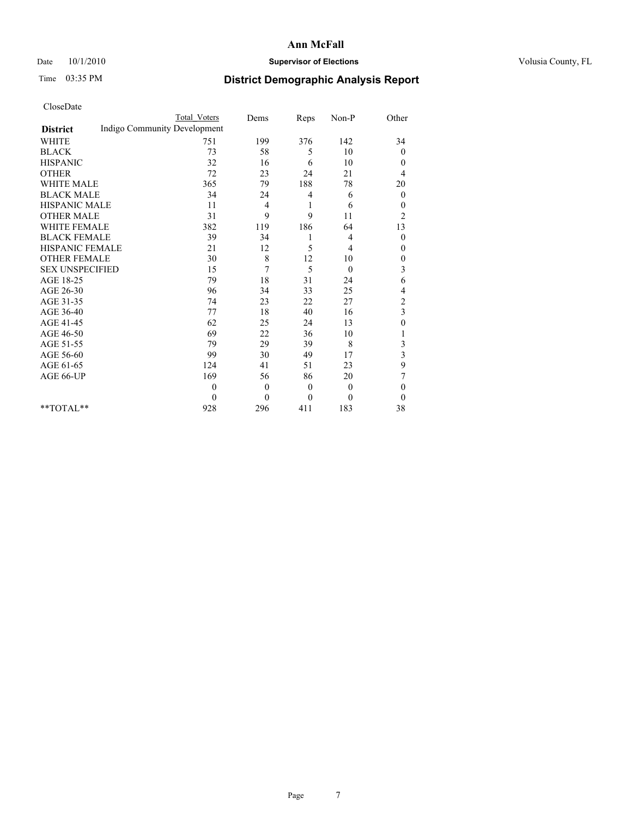### Date  $10/1/2010$  **Supervisor of Elections Supervisor of Elections** Volusia County, FL

# Time 03:35 PM **District Demographic Analysis Report**

|                                                 | <b>Total Voters</b> | Dems           | Reps     | Non-P        | Other            |
|-------------------------------------------------|---------------------|----------------|----------|--------------|------------------|
| Indigo Community Development<br><b>District</b> |                     |                |          |              |                  |
| <b>WHITE</b>                                    | 751                 | 199            | 376      | 142          | 34               |
| <b>BLACK</b>                                    | 73                  | 58             | 5        | 10           | $\theta$         |
| <b>HISPANIC</b>                                 | 32                  | 16             | 6        | 10           | $\theta$         |
| <b>OTHER</b>                                    | 72                  | 23             | 24       | 21           | 4                |
| <b>WHITE MALE</b>                               | 365                 | 79             | 188      | 78           | 20               |
| <b>BLACK MALE</b>                               | 34                  | 24             | 4        | 6            | $\overline{0}$   |
| <b>HISPANIC MALE</b>                            | 11                  | 4              | 1        | 6            | $\mathbf{0}$     |
| <b>OTHER MALE</b>                               | 31                  | 9              | 9        | 11           | $\overline{c}$   |
| <b>WHITE FEMALE</b>                             | 382                 | 119            | 186      | 64           | 13               |
| <b>BLACK FEMALE</b>                             | 39                  | 34             | 1        | 4            | $\mathbf{0}$     |
| HISPANIC FEMALE                                 | 21                  | 12             | 5        | 4            | 0                |
| <b>OTHER FEMALE</b>                             | 30                  | 8              | 12       | 10           | $\boldsymbol{0}$ |
| <b>SEX UNSPECIFIED</b>                          | 15                  | 7              | 5        | $\mathbf{0}$ | 3                |
| AGE 18-25                                       | 79                  | 18             | 31       | 24           | 6                |
| AGE 26-30                                       | 96                  | 34             | 33       | 25           | 4                |
| AGE 31-35                                       | 74                  | 23             | 22       | 27           | $\overline{c}$   |
| AGE 36-40                                       | 77                  | 18             | 40       | 16           | 3                |
| AGE 41-45                                       | 62                  | 25             | 24       | 13           | $\boldsymbol{0}$ |
| AGE 46-50                                       | 69                  | 22             | 36       | 10           |                  |
| AGE 51-55                                       | 79                  | 29             | 39       | 8            | 3                |
| AGE 56-60                                       | 99                  | 30             | 49       | 17           | 3                |
| AGE 61-65                                       | 124                 | 41             | 51       | 23           | 9                |
| AGE 66-UP                                       | 169                 | 56             | 86       | 20           | 7                |
|                                                 | $\mathbf{0}$        | $\overline{0}$ | $\theta$ | $\theta$     | $\theta$         |
|                                                 | $\theta$            | $\theta$       | $\theta$ | $\mathbf{0}$ | $\theta$         |
| $*$ TOTAL $*$                                   | 928                 | 296            | 411      | 183          | 38               |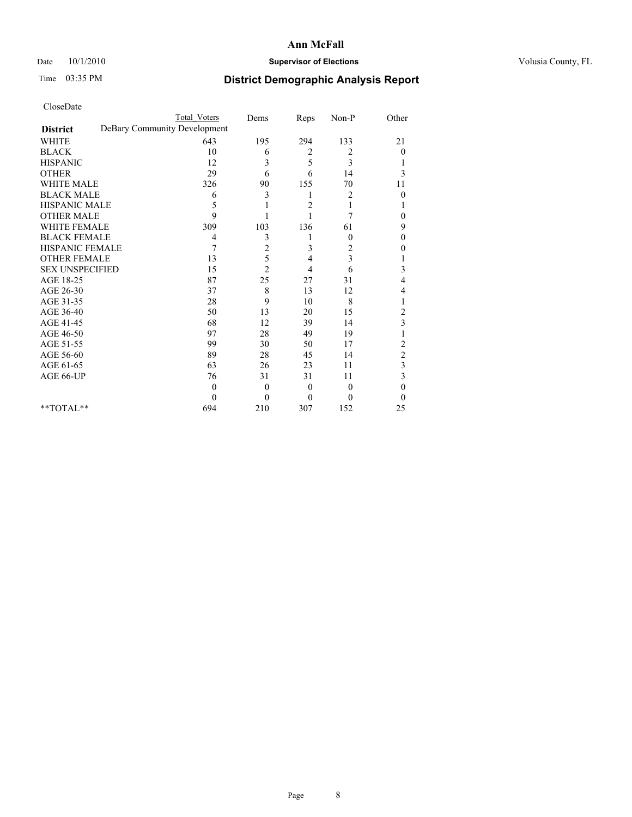### Date  $10/1/2010$  **Supervisor of Elections Supervisor of Elections** Volusia County, FL

# Time 03:35 PM **District Demographic Analysis Report**

|                                                 | <b>Total Voters</b> | Dems             | Reps     | Non-P        | Other                   |
|-------------------------------------------------|---------------------|------------------|----------|--------------|-------------------------|
| DeBary Community Development<br><b>District</b> |                     |                  |          |              |                         |
| <b>WHITE</b>                                    | 643                 | 195              | 294      | 133          | 21                      |
| <b>BLACK</b>                                    | 10                  | 6                | 2        | 2            | $\overline{0}$          |
| <b>HISPANIC</b>                                 | 12                  | 3                | 5        | 3            |                         |
| <b>OTHER</b>                                    | 29                  | 6                | 6        | 14           | 3                       |
| <b>WHITE MALE</b>                               | 326                 | 90               | 155      | 70           | 11                      |
| <b>BLACK MALE</b>                               | 6                   | 3                | 1        | 2            | $\Omega$                |
| HISPANIC MALE                                   | 5                   |                  | 2        |              |                         |
| <b>OTHER MALE</b>                               | $\mathbf{Q}$        |                  |          | 7            | 0                       |
| <b>WHITE FEMALE</b>                             | 309                 | 103              | 136      | 61           | 9                       |
| <b>BLACK FEMALE</b>                             | 4                   | 3                |          | $\mathbf{0}$ | $\theta$                |
| HISPANIC FEMALE                                 | 7                   | $\overline{c}$   | 3        | 2            | 0                       |
| <b>OTHER FEMALE</b>                             | 13                  | 5                | 4        | 3            |                         |
| <b>SEX UNSPECIFIED</b>                          | 15                  | $\overline{2}$   | 4        | 6            | 3                       |
| AGE 18-25                                       | 87                  | 25               | 27       | 31           | 4                       |
| AGE 26-30                                       | 37                  | 8                | 13       | 12           | 4                       |
| AGE 31-35                                       | 28                  | 9                | 10       | 8            |                         |
| AGE 36-40                                       | 50                  | 13               | 20       | 15           | $\overline{\mathbf{c}}$ |
| AGE 41-45                                       | 68                  | 12               | 39       | 14           | 3                       |
| AGE 46-50                                       | 97                  | 28               | 49       | 19           |                         |
| AGE 51-55                                       | 99                  | 30               | 50       | 17           | $\overline{\mathbf{c}}$ |
| AGE 56-60                                       | 89                  | 28               | 45       | 14           | $\overline{c}$          |
| AGE 61-65                                       | 63                  | 26               | 23       | 11           | 3                       |
| AGE 66-UP                                       | 76                  | 31               | 31       | 11           | 3                       |
|                                                 | $\Omega$            | $\mathbf{0}$     | $\theta$ | $\theta$     | $\theta$                |
|                                                 | $\Omega$            | $\boldsymbol{0}$ | $\Omega$ | $\theta$     | $\Omega$                |
| $*$ TOTAL $*$                                   | 694                 | 210              | 307      | 152          | 25                      |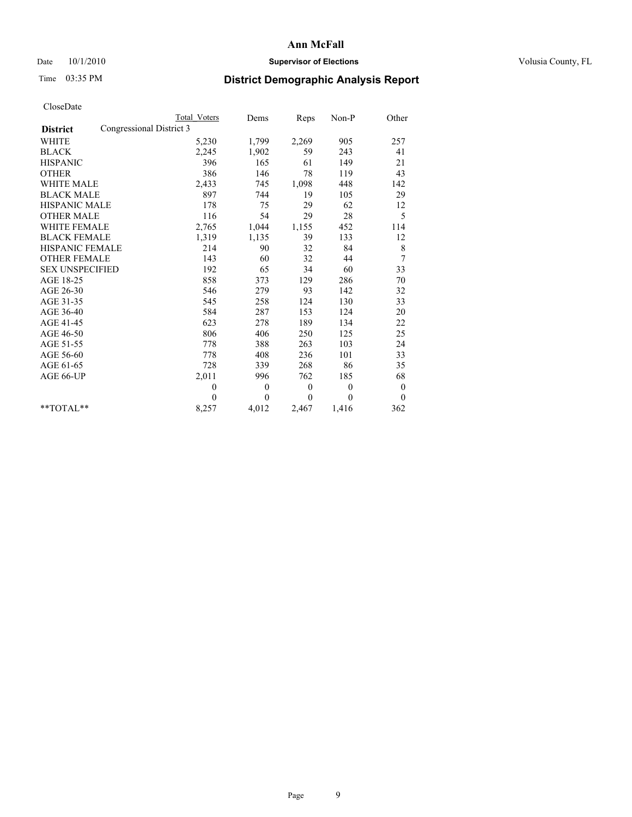### Date  $10/1/2010$  **Supervisor of Elections Supervisor of Elections** Volusia County, FL

# Time 03:35 PM **District Demographic Analysis Report**

|                                             | <b>Total Voters</b> | Dems     | Reps         | $Non-P$      | Other            |  |
|---------------------------------------------|---------------------|----------|--------------|--------------|------------------|--|
| Congressional District 3<br><b>District</b> |                     |          |              |              |                  |  |
| <b>WHITE</b>                                | 5,230               | 1,799    | 2,269        | 905          | 257              |  |
| <b>BLACK</b>                                | 2,245               | 1,902    | 59           | 243          | 41               |  |
| <b>HISPANIC</b>                             | 396                 | 165      | 61           | 149          | 21               |  |
| <b>OTHER</b>                                | 386                 | 146      | 78           | 119          | 43               |  |
| <b>WHITE MALE</b>                           | 2,433               | 745      | 1,098        | 448          | 142              |  |
| <b>BLACK MALE</b>                           | 897                 | 744      | 19           | 105          | 29               |  |
| <b>HISPANIC MALE</b>                        | 178                 | 75       | 29           | 62           | 12               |  |
| <b>OTHER MALE</b>                           | 116                 | 54       | 29           | 28           | 5                |  |
| <b>WHITE FEMALE</b>                         | 2,765               | 1,044    | 1,155        | 452          | 114              |  |
| <b>BLACK FEMALE</b>                         | 1,319               | 1,135    | 39           | 133          | 12               |  |
| HISPANIC FEMALE                             | 214                 | 90       | 32           | 84           | $\,$ $\,$        |  |
| <b>OTHER FEMALE</b>                         | 143                 | 60       | 32           | 44           | 7                |  |
| <b>SEX UNSPECIFIED</b>                      | 192                 | 65       | 34           | 60           | 33               |  |
| AGE 18-25                                   | 858                 | 373      | 129          | 286          | 70               |  |
| AGE 26-30                                   | 546                 | 279      | 93           | 142          | 32               |  |
| AGE 31-35                                   | 545                 | 258      | 124          | 130          | 33               |  |
| AGE 36-40                                   | 584                 | 287      | 153          | 124          | 20               |  |
| AGE 41-45                                   | 623                 | 278      | 189          | 134          | 22               |  |
| AGE 46-50                                   | 806                 | 406      | 250          | 125          | 25               |  |
| AGE 51-55                                   | 778                 | 388      | 263          | 103          | 24               |  |
| AGE 56-60                                   | 778                 | 408      | 236          | 101          | 33               |  |
| AGE 61-65                                   | 728                 | 339      | 268          | 86           | 35               |  |
| AGE 66-UP                                   | 2,011               | 996      | 762          | 185          | 68               |  |
|                                             | $\overline{0}$      | $\theta$ | $\mathbf{0}$ | $\mathbf{0}$ | $\boldsymbol{0}$ |  |
|                                             | $\theta$            | $\theta$ | $\theta$     | $\theta$     | $\mathbf{0}$     |  |
| $*$ $TOTAI.**$                              | 8,257               | 4,012    | 2,467        | 1,416        | 362              |  |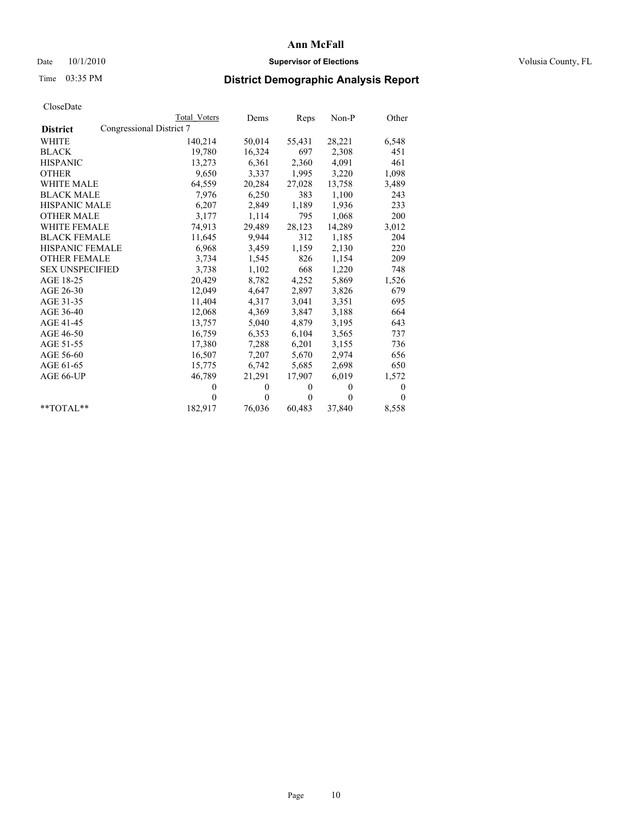### Date  $10/1/2010$  **Supervisor of Elections Supervisor of Elections** Volusia County, FL

## Time 03:35 PM **District Demographic Analysis Report**

|                        |                          | Total Voters | Dems     | Reps         | $Non-P$  | Other    |
|------------------------|--------------------------|--------------|----------|--------------|----------|----------|
| <b>District</b>        | Congressional District 7 |              |          |              |          |          |
| WHITE                  |                          | 140,214      | 50,014   | 55,431       | 28,221   | 6,548    |
| <b>BLACK</b>           |                          | 19,780       | 16,324   | 697          | 2,308    | 451      |
| <b>HISPANIC</b>        |                          | 13,273       | 6,361    | 2,360        | 4,091    | 461      |
| <b>OTHER</b>           |                          | 9,650        | 3,337    | 1,995        | 3,220    | 1,098    |
| WHITE MALE             |                          | 64,559       | 20,284   | 27,028       | 13,758   | 3,489    |
| <b>BLACK MALE</b>      |                          | 7,976        | 6,250    | 383          | 1,100    | 243      |
| HISPANIC MALE          |                          | 6,207        | 2,849    | 1,189        | 1,936    | 233      |
| <b>OTHER MALE</b>      |                          | 3,177        | 1,114    | 795          | 1,068    | 200      |
| <b>WHITE FEMALE</b>    |                          | 74.913       | 29,489   | 28,123       | 14,289   | 3,012    |
| <b>BLACK FEMALE</b>    |                          | 11,645       | 9,944    | 312          | 1,185    | 204      |
| HISPANIC FEMALE        |                          | 6,968        | 3,459    | 1,159        | 2,130    | 220      |
| <b>OTHER FEMALE</b>    |                          | 3,734        | 1,545    | 826          | 1,154    | 209      |
| <b>SEX UNSPECIFIED</b> |                          | 3,738        | 1,102    | 668          | 1,220    | 748      |
| AGE 18-25              |                          | 20,429       | 8,782    | 4,252        | 5,869    | 1,526    |
| AGE 26-30              |                          | 12,049       | 4,647    | 2,897        | 3,826    | 679      |
| AGE 31-35              |                          | 11,404       | 4,317    | 3,041        | 3,351    | 695      |
| AGE 36-40              |                          | 12,068       | 4,369    | 3,847        | 3,188    | 664      |
| AGE 41-45              |                          | 13.757       | 5,040    | 4,879        | 3,195    | 643      |
| AGE 46-50              |                          | 16,759       | 6,353    | 6,104        | 3,565    | 737      |
| AGE 51-55              |                          | 17,380       | 7,288    | 6,201        | 3,155    | 736      |
| AGE 56-60              |                          | 16,507       | 7,207    | 5,670        | 2,974    | 656      |
| AGE 61-65              |                          | 15,775       | 6,742    | 5,685        | 2,698    | 650      |
| AGE 66-UP              |                          | 46,789       | 21,291   | 17,907       | 6,019    | 1,572    |
|                        |                          | $\theta$     | $\theta$ | $\mathbf{0}$ | $\theta$ | 0        |
|                        |                          | $\theta$     | $\Omega$ | $\mathbf{0}$ | $\theta$ | $\Omega$ |
| $*$ $TOTAI.**$         |                          | 182,917      | 76,036   | 60,483       | 37,840   | 8,558    |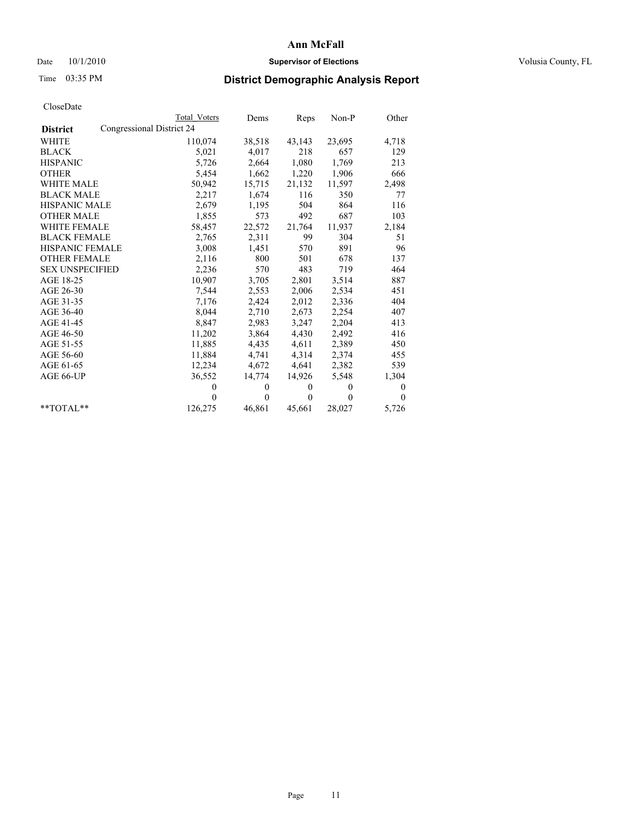### Date  $10/1/2010$  **Supervisor of Elections Supervisor of Elections** Volusia County, FL

## Time 03:35 PM **District Demographic Analysis Report**

|                        |                           | <b>Total Voters</b> | Dems         | Reps     | Non-P    | Other        |
|------------------------|---------------------------|---------------------|--------------|----------|----------|--------------|
| <b>District</b>        | Congressional District 24 |                     |              |          |          |              |
| <b>WHITE</b>           |                           | 110,074             | 38,518       | 43,143   | 23,695   | 4,718        |
| <b>BLACK</b>           |                           | 5,021               | 4,017        | 218      | 657      | 129          |
| <b>HISPANIC</b>        |                           | 5,726               | 2,664        | 1,080    | 1,769    | 213          |
| <b>OTHER</b>           |                           | 5,454               | 1,662        | 1,220    | 1,906    | 666          |
| <b>WHITE MALE</b>      |                           | 50,942              | 15,715       | 21,132   | 11,597   | 2,498        |
| <b>BLACK MALE</b>      |                           | 2,217               | 1,674        | 116      | 350      | 77           |
| <b>HISPANIC MALE</b>   |                           | 2,679               | 1,195        | 504      | 864      | 116          |
| <b>OTHER MALE</b>      |                           | 1,855               | 573          | 492      | 687      | 103          |
| <b>WHITE FEMALE</b>    |                           | 58,457              | 22,572       | 21,764   | 11,937   | 2,184        |
| <b>BLACK FEMALE</b>    |                           | 2,765               | 2,311        | 99       | 304      | 51           |
| <b>HISPANIC FEMALE</b> |                           | 3,008               | 1,451        | 570      | 891      | 96           |
| <b>OTHER FEMALE</b>    |                           | 2,116               | 800          | 501      | 678      | 137          |
| <b>SEX UNSPECIFIED</b> |                           | 2,236               | 570          | 483      | 719      | 464          |
| AGE 18-25              |                           | 10,907              | 3,705        | 2,801    | 3,514    | 887          |
| AGE 26-30              |                           | 7,544               | 2,553        | 2,006    | 2,534    | 451          |
| AGE 31-35              |                           | 7,176               | 2,424        | 2,012    | 2,336    | 404          |
| AGE 36-40              |                           | 8,044               | 2,710        | 2,673    | 2,254    | 407          |
| AGE 41-45              |                           | 8,847               | 2,983        | 3,247    | 2,204    | 413          |
| AGE 46-50              |                           | 11,202              | 3,864        | 4,430    | 2,492    | 416          |
| AGE 51-55              |                           | 11,885              | 4,435        | 4,611    | 2,389    | 450          |
| AGE 56-60              |                           | 11,884              | 4,741        | 4,314    | 2,374    | 455          |
| AGE 61-65              |                           | 12,234              | 4,672        | 4,641    | 2,382    | 539          |
| AGE 66-UP              |                           | 36,552              | 14,774       | 14,926   | 5,548    | 1,304        |
|                        |                           | $\theta$            | $\mathbf{0}$ | $\theta$ | $\theta$ | $\mathbf{0}$ |
|                        |                           | $\Omega$            | $\theta$     | $\theta$ | $\Omega$ | $\theta$     |
| $*$ TOTAL $*$          |                           | 126,275             | 46,861       | 45,661   | 28,027   | 5,726        |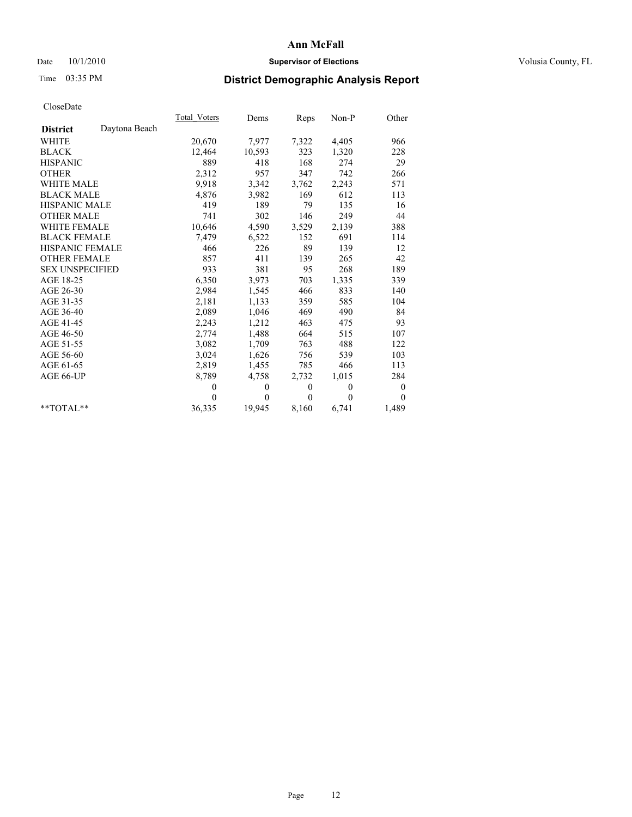### Date  $10/1/2010$  **Supervisor of Elections Supervisor of Elections** Volusia County, FL

# Time 03:35 PM **District Demographic Analysis Report**

|                                  | <b>Total Voters</b> | Dems         | <b>Reps</b> | Non-P        | Other            |  |
|----------------------------------|---------------------|--------------|-------------|--------------|------------------|--|
| Daytona Beach<br><b>District</b> |                     |              |             |              |                  |  |
| WHITE                            | 20,670              | 7,977        | 7,322       | 4,405        | 966              |  |
| <b>BLACK</b>                     | 12,464              | 10,593       | 323         | 1,320        | 228              |  |
| <b>HISPANIC</b>                  | 889                 | 418          | 168         | 274          | 29               |  |
| <b>OTHER</b>                     | 2,312               | 957          | 347         | 742          | 266              |  |
| <b>WHITE MALE</b>                | 9,918               | 3,342        | 3,762       | 2,243        | 571              |  |
| <b>BLACK MALE</b>                | 4,876               | 3,982        | 169         | 612          | 113              |  |
| <b>HISPANIC MALE</b>             | 419                 | 189          | 79          | 135          | 16               |  |
| <b>OTHER MALE</b>                | 741                 | 302          | 146         | 249          | 44               |  |
| <b>WHITE FEMALE</b>              | 10,646              | 4,590        | 3,529       | 2,139        | 388              |  |
| <b>BLACK FEMALE</b>              | 7,479               | 6,522        | 152         | 691          | 114              |  |
| HISPANIC FEMALE                  | 466                 | 226          | 89          | 139          | 12               |  |
| <b>OTHER FEMALE</b>              | 857                 | 411          | 139         | 265          | 42               |  |
| <b>SEX UNSPECIFIED</b>           | 933                 | 381          | 95          | 268          | 189              |  |
| AGE 18-25                        | 6,350               | 3,973        | 703         | 1,335        | 339              |  |
| AGE 26-30                        | 2,984               | 1,545        | 466         | 833          | 140              |  |
| AGE 31-35                        | 2,181               | 1,133        | 359         | 585          | 104              |  |
| AGE 36-40                        | 2,089               | 1,046        | 469         | 490          | 84               |  |
| AGE 41-45                        | 2,243               | 1,212        | 463         | 475          | 93               |  |
| AGE 46-50                        | 2,774               | 1,488        | 664         | 515          | 107              |  |
| AGE 51-55                        | 3,082               | 1,709        | 763         | 488          | 122              |  |
| AGE 56-60                        | 3,024               | 1,626        | 756         | 539          | 103              |  |
| AGE 61-65                        | 2,819               | 1,455        | 785         | 466          | 113              |  |
| AGE 66-UP                        | 8,789               | 4,758        | 2,732       | 1,015        | 284              |  |
|                                  | $\theta$            | $\mathbf{0}$ | $\theta$    | $\mathbf{0}$ | $\boldsymbol{0}$ |  |
|                                  | $\theta$            | $\theta$     | $\Omega$    | $\theta$     | $\theta$         |  |
| $*$ $TOTAI.**$                   | 36,335              | 19,945       | 8,160       | 6,741        | 1,489            |  |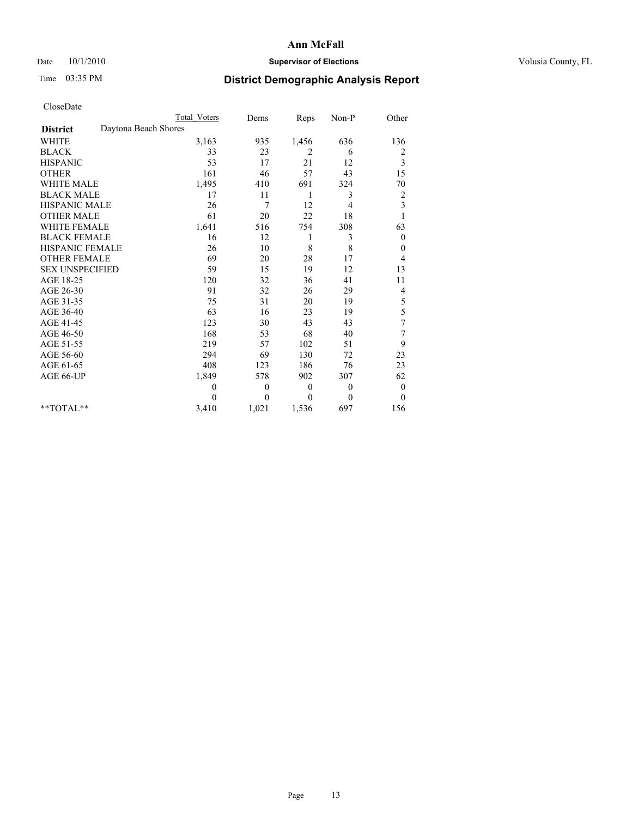### Date  $10/1/2010$  **Supervisor of Elections Supervisor of Elections** Volusia County, FL

# Time 03:35 PM **District Demographic Analysis Report**

|                                         | <b>Total Voters</b> | Dems             | Reps     | Non-P    | Other                   |
|-----------------------------------------|---------------------|------------------|----------|----------|-------------------------|
| Daytona Beach Shores<br><b>District</b> |                     |                  |          |          |                         |
| <b>WHITE</b>                            | 3,163               | 935              | 1,456    | 636      | 136                     |
| <b>BLACK</b>                            | 33                  | 23               | 2        | 6        | 2                       |
| <b>HISPANIC</b>                         | 53                  | 17               | 21       | 12       | 3                       |
| <b>OTHER</b>                            | 161                 | 46               | 57       | 43       | 15                      |
| WHITE MALE                              | 1,495               | 410              | 691      | 324      | 70                      |
| <b>BLACK MALE</b>                       | 17                  | 11               | 1        | 3        | $\overline{\mathbf{c}}$ |
| HISPANIC MALE                           | 26                  | $\overline{7}$   | 12       | 4        | 3                       |
| <b>OTHER MALE</b>                       | 61                  | 20               | 22       | 18       |                         |
| <b>WHITE FEMALE</b>                     | 1,641               | 516              | 754      | 308      | 63                      |
| <b>BLACK FEMALE</b>                     | 16                  | 12               | 1        | 3        | $\theta$                |
| HISPANIC FEMALE                         | 26                  | 10               | 8        | 8        | $\mathbf{0}$            |
| <b>OTHER FEMALE</b>                     | 69                  | 20               | 28       | 17       | 4                       |
| <b>SEX UNSPECIFIED</b>                  | 59                  | 15               | 19       | 12       | 13                      |
| AGE 18-25                               | 120                 | 32               | 36       | 41       | 11                      |
| AGE 26-30                               | 91                  | 32               | 26       | 29       | 4                       |
| AGE 31-35                               | 75                  | 31               | 20       | 19       | 5                       |
| AGE 36-40                               | 63                  | 16               | 23       | 19       | 5                       |
| AGE 41-45                               | 123                 | 30               | 43       | 43       | 7                       |
| AGE 46-50                               | 168                 | 53               | 68       | 40       | 7                       |
| AGE 51-55                               | 219                 | 57               | 102      | 51       | 9                       |
| AGE 56-60                               | 294                 | 69               | 130      | 72       | 23                      |
| AGE 61-65                               | 408                 | 123              | 186      | 76       | 23                      |
| AGE 66-UP                               | 1,849               | 578              | 902      | 307      | 62                      |
|                                         | $\theta$            | $\boldsymbol{0}$ | $\theta$ | $\theta$ | $\boldsymbol{0}$        |
|                                         | $\theta$            | $\theta$         | $\theta$ | $\theta$ | $\mathbf{0}$            |
| $*$ $TOTAI.**$                          | 3,410               | 1,021            | 1,536    | 697      | 156                     |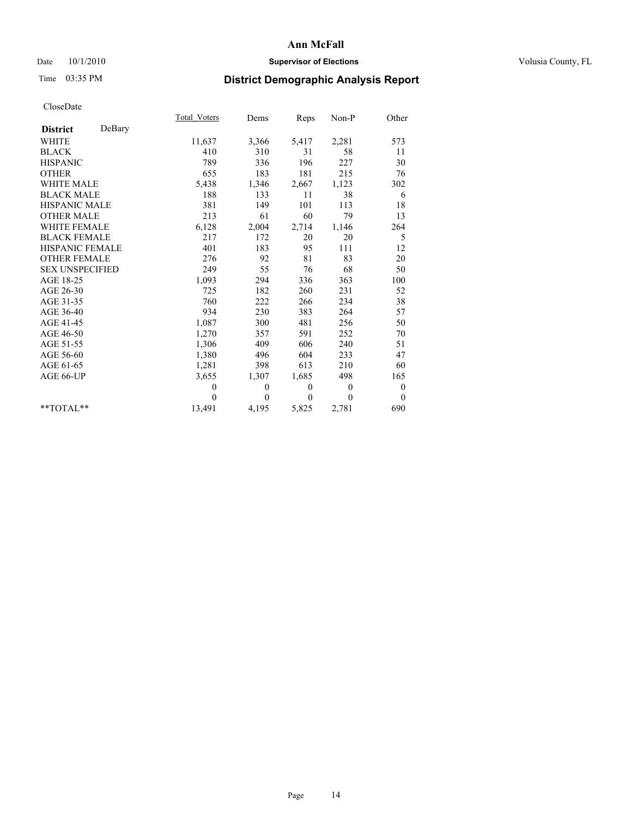### Date  $10/1/2010$  **Supervisor of Elections Supervisor of Elections** Volusia County, FL

# Time 03:35 PM **District Demographic Analysis Report**

|                           | <b>Total Voters</b> | Dems     | Reps         | $Non-P$        | Other            |  |
|---------------------------|---------------------|----------|--------------|----------------|------------------|--|
| DeBary<br><b>District</b> |                     |          |              |                |                  |  |
| <b>WHITE</b>              | 11,637              | 3,366    | 5,417        | 2,281          | 573              |  |
| <b>BLACK</b>              | 410                 | 310      | 31           | 58             | 11               |  |
| <b>HISPANIC</b>           | 789                 | 336      | 196          | 227            | 30               |  |
| <b>OTHER</b>              | 655                 | 183      | 181          | 215            | 76               |  |
| <b>WHITE MALE</b>         | 5,438               | 1,346    | 2,667        | 1,123          | 302              |  |
| <b>BLACK MALE</b>         | 188                 | 133      | 11           | 38             | 6                |  |
| <b>HISPANIC MALE</b>      | 381                 | 149      | 101          | 113            | 18               |  |
| <b>OTHER MALE</b>         | 213                 | 61       | 60           | 79             | 13               |  |
| <b>WHITE FEMALE</b>       | 6,128               | 2,004    | 2,714        | 1,146          | 264              |  |
| <b>BLACK FEMALE</b>       | 217                 | 172      | 20           | 20             | 5                |  |
| HISPANIC FEMALE           | 401                 | 183      | 95           | 111            | 12               |  |
| <b>OTHER FEMALE</b>       | 276                 | 92       | 81           | 83             | 20               |  |
| <b>SEX UNSPECIFIED</b>    | 249                 | 55       | 76           | 68             | 50               |  |
| AGE 18-25                 | 1,093               | 294      | 336          | 363            | 100              |  |
| AGE 26-30                 | 725                 | 182      | 260          | 231            | 52               |  |
| AGE 31-35                 | 760                 | 222      | 266          | 234            | 38               |  |
| AGE 36-40                 | 934                 | 230      | 383          | 264            | 57               |  |
| AGE 41-45                 | 1,087               | 300      | 481          | 256            | 50               |  |
| AGE 46-50                 | 1,270               | 357      | 591          | 252            | 70               |  |
| AGE 51-55                 | 1,306               | 409      | 606          | 240            | 51               |  |
| AGE 56-60                 | 1,380               | 496      | 604          | 233            | 47               |  |
| AGE 61-65                 | 1,281               | 398      | 613          | 210            | 60               |  |
| AGE 66-UP                 | 3,655               | 1,307    | 1,685        | 498            | 165              |  |
|                           | $\theta$            | 0        | $\mathbf{0}$ | $\overline{0}$ | $\boldsymbol{0}$ |  |
|                           | $\theta$            | $\theta$ | $\Omega$     | $\theta$       | $\overline{0}$   |  |
| $*$ $TOTAI.**$            | 13,491              | 4,195    | 5,825        | 2,781          | 690              |  |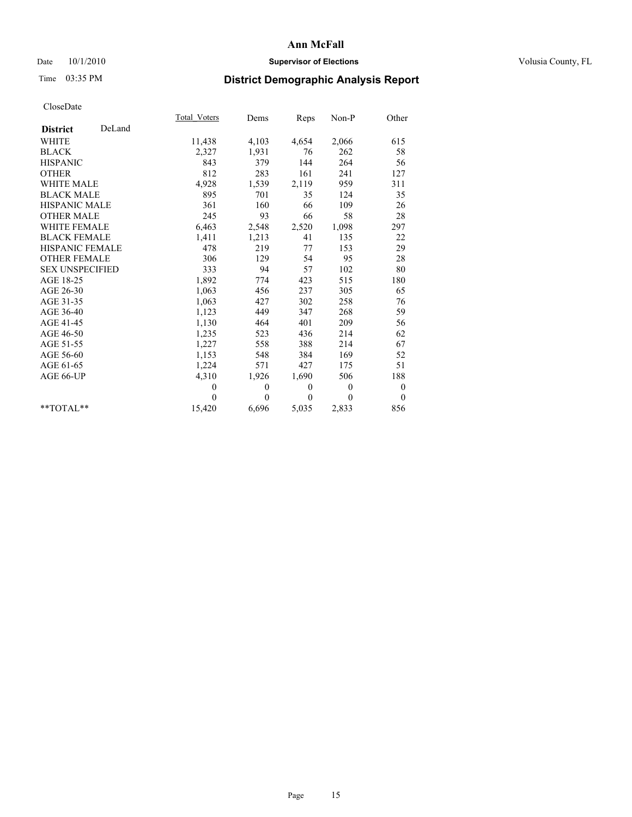### Date  $10/1/2010$  **Supervisor of Elections Supervisor of Elections** Volusia County, FL

# Time 03:35 PM **District Demographic Analysis Report**

|                        |        | <b>Total Voters</b> | Dems         | Reps         | $Non-P$      | Other            |  |
|------------------------|--------|---------------------|--------------|--------------|--------------|------------------|--|
| <b>District</b>        | DeLand |                     |              |              |              |                  |  |
| <b>WHITE</b>           |        | 11,438              | 4,103        | 4,654        | 2,066        | 615              |  |
| <b>BLACK</b>           |        | 2,327               | 1,931        | 76           | 262          | 58               |  |
| <b>HISPANIC</b>        |        | 843                 | 379          | 144          | 264          | 56               |  |
| <b>OTHER</b>           |        | 812                 | 283          | 161          | 241          | 127              |  |
| <b>WHITE MALE</b>      |        | 4,928               | 1,539        | 2,119        | 959          | 311              |  |
| <b>BLACK MALE</b>      |        | 895                 | 701          | 35           | 124          | 35               |  |
| <b>HISPANIC MALE</b>   |        | 361                 | 160          | 66           | 109          | 26               |  |
| <b>OTHER MALE</b>      |        | 245                 | 93           | 66           | 58           | 28               |  |
| <b>WHITE FEMALE</b>    |        | 6,463               | 2,548        | 2,520        | 1,098        | 297              |  |
| <b>BLACK FEMALE</b>    |        | 1,411               | 1,213        | 41           | 135          | 22               |  |
| HISPANIC FEMALE        |        | 478                 | 219          | 77           | 153          | 29               |  |
| <b>OTHER FEMALE</b>    |        | 306                 | 129          | 54           | 95           | 28               |  |
| <b>SEX UNSPECIFIED</b> |        | 333                 | 94           | 57           | 102          | 80               |  |
| AGE 18-25              |        | 1,892               | 774          | 423          | 515          | 180              |  |
| AGE 26-30              |        | 1,063               | 456          | 237          | 305          | 65               |  |
| AGE 31-35              |        | 1,063               | 427          | 302          | 258          | 76               |  |
| AGE 36-40              |        | 1,123               | 449          | 347          | 268          | 59               |  |
| AGE 41-45              |        | 1,130               | 464          | 401          | 209          | 56               |  |
| AGE 46-50              |        | 1,235               | 523          | 436          | 214          | 62               |  |
| AGE 51-55              |        | 1,227               | 558          | 388          | 214          | 67               |  |
| AGE 56-60              |        | 1,153               | 548          | 384          | 169          | 52               |  |
| AGE 61-65              |        | 1,224               | 571          | 427          | 175          | 51               |  |
| AGE 66-UP              |        | 4,310               | 1,926        | 1,690        | 506          | 188              |  |
|                        |        | $\mathbf{0}$        | $\mathbf{0}$ | $\mathbf{0}$ | $\mathbf{0}$ | $\boldsymbol{0}$ |  |
|                        |        | $\theta$            | $\theta$     | $\theta$     | $\theta$     | $\theta$         |  |
| $*$ $TOTAI.**$         |        | 15,420              | 6,696        | 5,035        | 2,833        | 856              |  |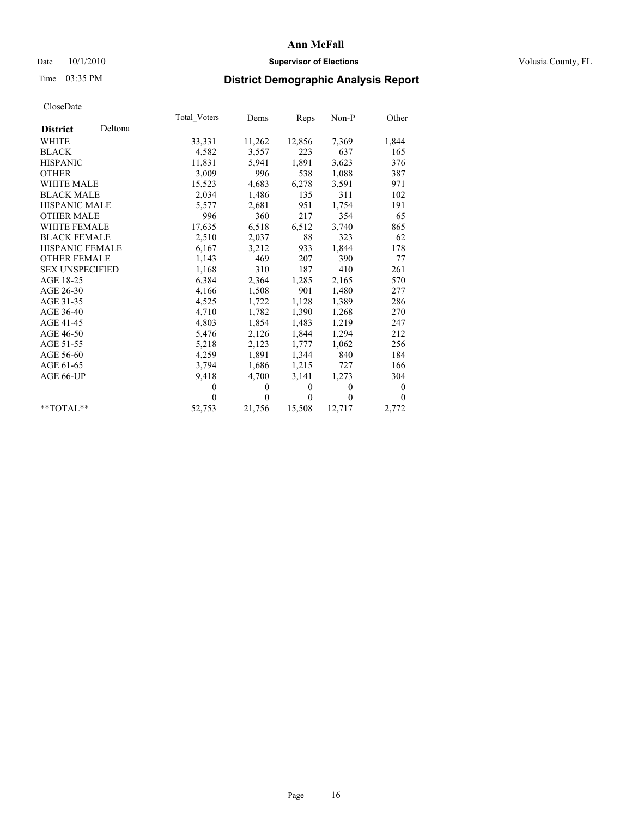### Date  $10/1/2010$  **Supervisor of Elections Supervisor of Elections** Volusia County, FL

## Time 03:35 PM **District Demographic Analysis Report**

|                            | Total Voters | Dems     | <b>Reps</b>  | $Non-P$  | Other            |
|----------------------------|--------------|----------|--------------|----------|------------------|
| Deltona<br><b>District</b> |              |          |              |          |                  |
| <b>WHITE</b>               | 33,331       | 11,262   | 12,856       | 7,369    | 1,844            |
| <b>BLACK</b>               | 4,582        | 3,557    | 223          | 637      | 165              |
| <b>HISPANIC</b>            | 11,831       | 5,941    | 1,891        | 3,623    | 376              |
| <b>OTHER</b>               | 3,009        | 996      | 538          | 1,088    | 387              |
| <b>WHITE MALE</b>          | 15,523       | 4,683    | 6,278        | 3,591    | 971              |
| <b>BLACK MALE</b>          | 2,034        | 1,486    | 135          | 311      | 102              |
| <b>HISPANIC MALE</b>       | 5,577        | 2,681    | 951          | 1,754    | 191              |
| <b>OTHER MALE</b>          | 996          | 360      | 217          | 354      | 65               |
| <b>WHITE FEMALE</b>        | 17,635       | 6,518    | 6,512        | 3,740    | 865              |
| <b>BLACK FEMALE</b>        | 2,510        | 2,037    | 88           | 323      | 62               |
| HISPANIC FEMALE            | 6,167        | 3,212    | 933          | 1,844    | 178              |
| <b>OTHER FEMALE</b>        | 1,143        | 469      | 207          | 390      | 77               |
| <b>SEX UNSPECIFIED</b>     | 1,168        | 310      | 187          | 410      | 261              |
| AGE 18-25                  | 6,384        | 2,364    | 1,285        | 2,165    | 570              |
| AGE 26-30                  | 4,166        | 1,508    | 901          | 1,480    | 277              |
| AGE 31-35                  | 4,525        | 1,722    | 1,128        | 1,389    | 286              |
| AGE 36-40                  | 4,710        | 1,782    | 1,390        | 1,268    | 270              |
| AGE 41-45                  | 4,803        | 1,854    | 1,483        | 1,219    | 247              |
| AGE 46-50                  | 5,476        | 2,126    | 1,844        | 1,294    | 212              |
| AGE 51-55                  | 5,218        | 2,123    | 1,777        | 1,062    | 256              |
| AGE 56-60                  | 4,259        | 1,891    | 1,344        | 840      | 184              |
| AGE 61-65                  | 3,794        | 1,686    | 1,215        | 727      | 166              |
| AGE 66-UP                  | 9,418        | 4,700    | 3,141        | 1,273    | 304              |
|                            | $\theta$     | $\theta$ | $\mathbf{0}$ | $\theta$ | $\boldsymbol{0}$ |
|                            | $\Omega$     | $\theta$ | $\theta$     | $\theta$ | $\theta$         |
| $*$ $TOTAI.**$             | 52,753       | 21,756   | 15,508       | 12,717   | 2,772            |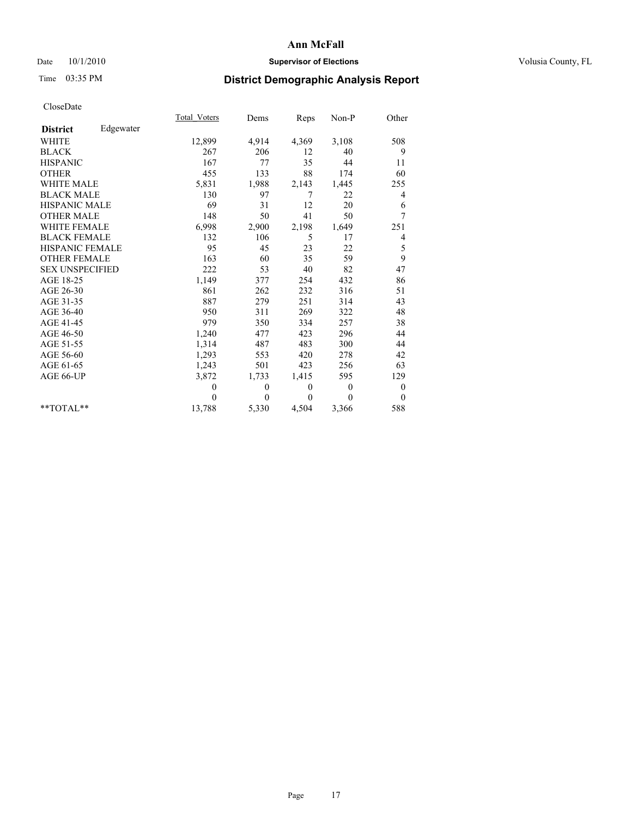### Date  $10/1/2010$  **Supervisor of Elections Supervisor of Elections** Volusia County, FL

# Time 03:35 PM **District Demographic Analysis Report**

|                        |           | <b>Total Voters</b> | Dems         | Reps         | Non-P          | Other            |
|------------------------|-----------|---------------------|--------------|--------------|----------------|------------------|
| <b>District</b>        | Edgewater |                     |              |              |                |                  |
| <b>WHITE</b>           |           | 12,899              | 4,914        | 4,369        | 3,108          | 508              |
| <b>BLACK</b>           |           | 267                 | 206          | 12           | 40             | 9                |
| <b>HISPANIC</b>        |           | 167                 | 77           | 35           | 44             | 11               |
| <b>OTHER</b>           |           | 455                 | 133          | 88           | 174            | 60               |
| <b>WHITE MALE</b>      |           | 5,831               | 1,988        | 2,143        | 1,445          | 255              |
| <b>BLACK MALE</b>      |           | 130                 | 97           | 7            | 22             | 4                |
| <b>HISPANIC MALE</b>   |           | 69                  | 31           | 12           | 20             | 6                |
| <b>OTHER MALE</b>      |           | 148                 | 50           | 41           | 50             | 7                |
| <b>WHITE FEMALE</b>    |           | 6,998               | 2,900        | 2,198        | 1,649          | 251              |
| <b>BLACK FEMALE</b>    |           | 132                 | 106          | 5            | 17             | 4                |
| HISPANIC FEMALE        |           | 95                  | 45           | 23           | 22             | 5                |
| <b>OTHER FEMALE</b>    |           | 163                 | 60           | 35           | 59             | 9                |
| <b>SEX UNSPECIFIED</b> |           | 222                 | 53           | 40           | 82             | 47               |
| AGE 18-25              |           | 1,149               | 377          | 254          | 432            | 86               |
| AGE 26-30              |           | 861                 | 262          | 232          | 316            | 51               |
| AGE 31-35              |           | 887                 | 279          | 251          | 314            | 43               |
| AGE 36-40              |           | 950                 | 311          | 269          | 322            | 48               |
| AGE 41-45              |           | 979                 | 350          | 334          | 257            | 38               |
| AGE 46-50              |           | 1,240               | 477          | 423          | 296            | 44               |
| AGE 51-55              |           | 1,314               | 487          | 483          | 300            | 44               |
| AGE 56-60              |           | 1,293               | 553          | 420          | 278            | 42               |
| AGE 61-65              |           | 1,243               | 501          | 423          | 256            | 63               |
| AGE 66-UP              |           | 3,872               | 1,733        | 1,415        | 595            | 129              |
|                        |           | $\mathbf{0}$        | $\mathbf{0}$ | $\mathbf{0}$ | $\overline{0}$ | $\boldsymbol{0}$ |
|                        |           | $\theta$            | $\theta$     | $\Omega$     | $\theta$       | $\theta$         |
| $*$ $TOTAI.**$         |           | 13,788              | 5,330        | 4,504        | 3,366          | 588              |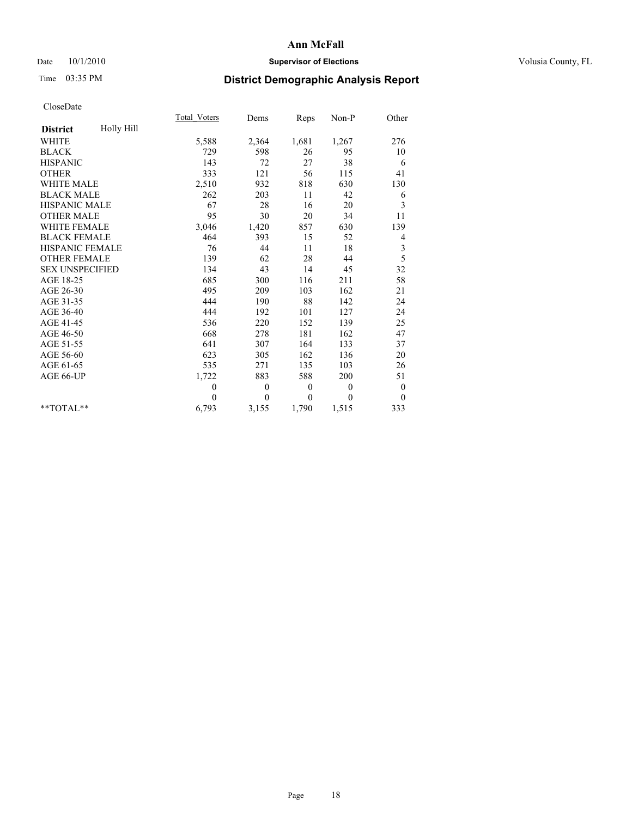### Date  $10/1/2010$  **Supervisor of Elections Supervisor of Elections** Volusia County, FL

# Time 03:35 PM **District Demographic Analysis Report**

|                        |            | <b>Total Voters</b> | Dems           | Reps         | $Non-P$      | Other            |
|------------------------|------------|---------------------|----------------|--------------|--------------|------------------|
| <b>District</b>        | Holly Hill |                     |                |              |              |                  |
| <b>WHITE</b>           |            | 5,588               | 2,364          | 1,681        | 1,267        | 276              |
| <b>BLACK</b>           |            | 729                 | 598            | 26           | 95           | 10               |
| <b>HISPANIC</b>        |            | 143                 | 72             | 27           | 38           | 6                |
| <b>OTHER</b>           |            | 333                 | 121            | 56           | 115          | 41               |
| <b>WHITE MALE</b>      |            | 2,510               | 932            | 818          | 630          | 130              |
| <b>BLACK MALE</b>      |            | 262                 | 203            | 11           | 42           | 6                |
| <b>HISPANIC MALE</b>   |            | 67                  | 28             | 16           | 20           | 3                |
| <b>OTHER MALE</b>      |            | 95                  | 30             | 20           | 34           | 11               |
| WHITE FEMALE           |            | 3,046               | 1,420          | 857          | 630          | 139              |
| <b>BLACK FEMALE</b>    |            | 464                 | 393            | 15           | 52           | 4                |
| HISPANIC FEMALE        |            | 76                  | 44             | 11           | 18           | 3                |
| <b>OTHER FEMALE</b>    |            | 139                 | 62             | 28           | 44           | 5                |
| <b>SEX UNSPECIFIED</b> |            | 134                 | 43             | 14           | 45           | 32               |
| AGE 18-25              |            | 685                 | 300            | 116          | 211          | 58               |
| AGE 26-30              |            | 495                 | 209            | 103          | 162          | 21               |
| AGE 31-35              |            | 444                 | 190            | 88           | 142          | 24               |
| AGE 36-40              |            | 444                 | 192            | 101          | 127          | 24               |
| AGE 41-45              |            | 536                 | 220            | 152          | 139          | 25               |
| AGE 46-50              |            | 668                 | 278            | 181          | 162          | 47               |
| AGE 51-55              |            | 641                 | 307            | 164          | 133          | 37               |
| AGE 56-60              |            | 623                 | 305            | 162          | 136          | 20               |
| AGE 61-65              |            | 535                 | 271            | 135          | 103          | 26               |
| AGE 66-UP              |            | 1,722               | 883            | 588          | 200          | 51               |
|                        |            | $\theta$            | $\overline{0}$ | $\theta$     | $\theta$     | $\boldsymbol{0}$ |
|                        |            | $\theta$            | $\theta$       | $\mathbf{0}$ | $\mathbf{0}$ | $\overline{0}$   |
| $*$ $TOTAI.**$         |            | 6,793               | 3,155          | 1,790        | 1,515        | 333              |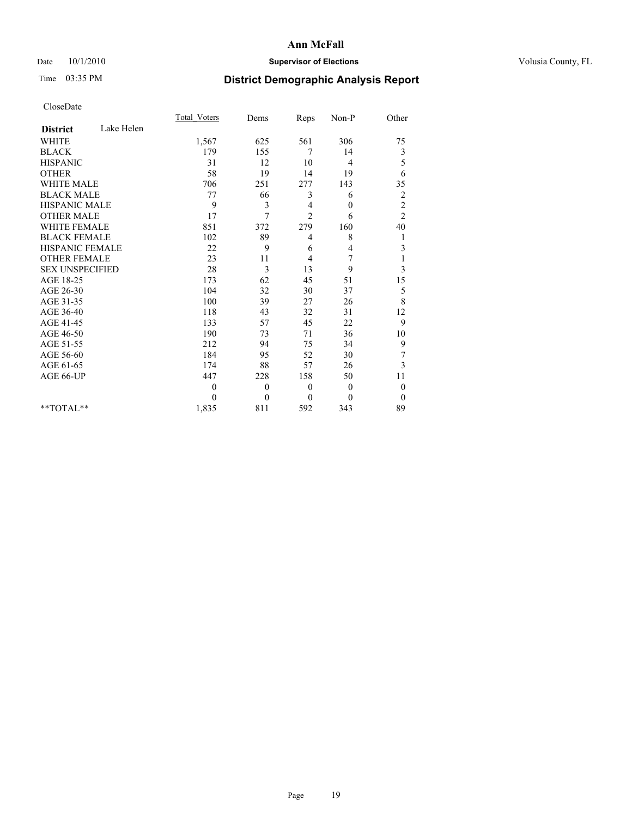### Date  $10/1/2010$  **Supervisor of Elections Supervisor of Elections** Volusia County, FL

## Time 03:35 PM **District Demographic Analysis Report**

|                               | <b>Total Voters</b> | Dems     | Reps           | Non-P            | Other          |  |
|-------------------------------|---------------------|----------|----------------|------------------|----------------|--|
| Lake Helen<br><b>District</b> |                     |          |                |                  |                |  |
| <b>WHITE</b>                  | 1,567               | 625      | 561            | 306              | 75             |  |
| <b>BLACK</b>                  | 179                 | 155      | 7              | 14               | 3              |  |
| <b>HISPANIC</b>               | 31                  | 12       | 10             | 4                | 5              |  |
| <b>OTHER</b>                  | 58                  | 19       | 14             | 19               | 6              |  |
| <b>WHITE MALE</b>             | 706                 | 251      | 277            | 143              | 35             |  |
| <b>BLACK MALE</b>             | 77                  | 66       | 3              | 6                | $\overline{c}$ |  |
| <b>HISPANIC MALE</b>          | 9                   | 3        | 4              | $\boldsymbol{0}$ | $\overline{c}$ |  |
| <b>OTHER MALE</b>             | 17                  | 7        | $\overline{2}$ | 6                | $\overline{c}$ |  |
| <b>WHITE FEMALE</b>           | 851                 | 372      | 279            | 160              | 40             |  |
| <b>BLACK FEMALE</b>           | 102                 | 89       | 4              | 8                |                |  |
| HISPANIC FEMALE               | 22                  | 9        | 6              | 4                | 3              |  |
| <b>OTHER FEMALE</b>           | 23                  | 11       | 4              | 7                |                |  |
| <b>SEX UNSPECIFIED</b>        | 28                  | 3        | 13             | 9                | 3              |  |
| AGE 18-25                     | 173                 | 62       | 45             | 51               | 15             |  |
| AGE 26-30                     | 104                 | 32       | 30             | 37               | 5              |  |
| AGE 31-35                     | 100                 | 39       | 27             | 26               | 8              |  |
| AGE 36-40                     | 118                 | 43       | 32             | 31               | 12             |  |
| AGE 41-45                     | 133                 | 57       | 45             | 22               | 9              |  |
| AGE 46-50                     | 190                 | 73       | 71             | 36               | 10             |  |
| AGE 51-55                     | 212                 | 94       | 75             | 34               | 9              |  |
| AGE 56-60                     | 184                 | 95       | 52             | 30               | 7              |  |
| AGE 61-65                     | 174                 | 88       | 57             | 26               | 3              |  |
| AGE 66-UP                     | 447                 | 228      | 158            | 50               | 11             |  |
|                               | $\theta$            | $\theta$ | $\mathbf{0}$   | $\theta$         | $\overline{0}$ |  |
|                               | $\theta$            | $\theta$ | $\theta$       | $\mathbf{0}$     | $\theta$       |  |
| $*$ TOTAL $*$                 | 1,835               | 811      | 592            | 343              | 89             |  |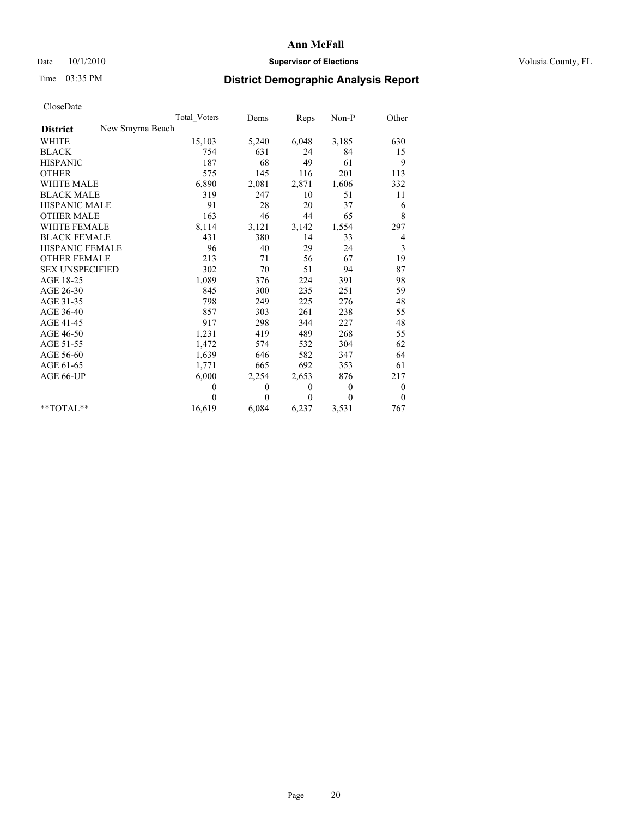### Date  $10/1/2010$  **Supervisor of Elections Supervisor of Elections** Volusia County, FL

# Time 03:35 PM **District Demographic Analysis Report**

|                        | <b>Total Voters</b> | Dems         | Reps     | $Non-P$        | Other            |
|------------------------|---------------------|--------------|----------|----------------|------------------|
| <b>District</b>        | New Smyrna Beach    |              |          |                |                  |
| <b>WHITE</b>           | 15,103              | 5,240        | 6,048    | 3,185          | 630              |
| <b>BLACK</b>           | 754                 | 631          | 24       | 84             | 15               |
| <b>HISPANIC</b>        | 187                 | 68           | 49       | 61             | 9                |
| <b>OTHER</b>           | 575                 | 145          | 116      | 201            | 113              |
| <b>WHITE MALE</b>      | 6,890               | 2,081        | 2,871    | 1,606          | 332              |
| <b>BLACK MALE</b>      | 319                 | 247          | 10       | 51             | 11               |
| <b>HISPANIC MALE</b>   | 91                  | 28           | 20       | 37             | 6                |
| <b>OTHER MALE</b>      | 163                 | 46           | 44       | 65             | 8                |
| <b>WHITE FEMALE</b>    | 8,114               | 3,121        | 3,142    | 1,554          | 297              |
| <b>BLACK FEMALE</b>    | 431                 | 380          | 14       | 33             | 4                |
| HISPANIC FEMALE        | 96                  | 40           | 29       | 24             | 3                |
| <b>OTHER FEMALE</b>    | 213                 | 71           | 56       | 67             | 19               |
| <b>SEX UNSPECIFIED</b> | 302                 | 70           | 51       | 94             | 87               |
| AGE 18-25              | 1,089               | 376          | 224      | 391            | 98               |
| AGE 26-30              | 845                 | 300          | 235      | 251            | 59               |
| AGE 31-35              | 798                 | 249          | 225      | 276            | 48               |
| AGE 36-40              | 857                 | 303          | 261      | 238            | 55               |
| AGE 41-45              | 917                 | 298          | 344      | 227            | 48               |
| AGE 46-50              | 1,231               | 419          | 489      | 268            | 55               |
| AGE 51-55              | 1,472               | 574          | 532      | 304            | 62               |
| AGE 56-60              | 1,639               | 646          | 582      | 347            | 64               |
| AGE 61-65              | 1,771               | 665          | 692      | 353            | 61               |
| AGE 66-UP              | 6,000               | 2,254        | 2,653    | 876            | 217              |
|                        | $\theta$            | $\mathbf{0}$ | $\theta$ | $\overline{0}$ | $\boldsymbol{0}$ |
|                        | $\theta$            | $\theta$     | $\theta$ | $\theta$       | $\theta$         |
| $*$ TOTAL $*$          | 16,619              | 6,084        | 6,237    | 3,531          | 767              |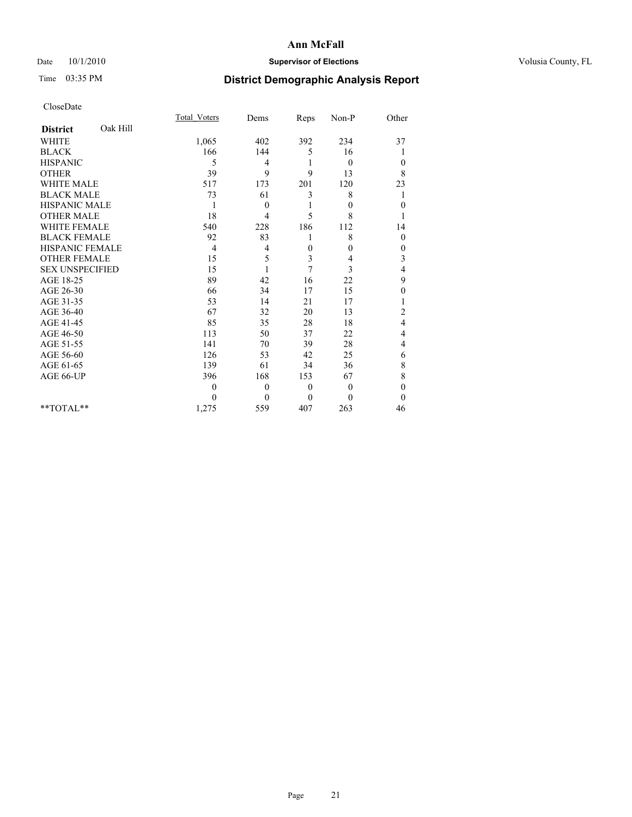### Date  $10/1/2010$  **Supervisor of Elections Supervisor of Elections** Volusia County, FL

# Time 03:35 PM **District Demographic Analysis Report**

|                        |          | <b>Total Voters</b> | Dems           | Reps         | Non-P            | Other            |
|------------------------|----------|---------------------|----------------|--------------|------------------|------------------|
| <b>District</b>        | Oak Hill |                     |                |              |                  |                  |
| <b>WHITE</b>           |          | 1,065               | 402            | 392          | 234              | 37               |
| <b>BLACK</b>           |          | 166                 | 144            | 5            | 16               |                  |
| <b>HISPANIC</b>        |          | 5                   | 4              | 1            | $\theta$         | $\mathbf{0}$     |
| <b>OTHER</b>           |          | 39                  | 9              | 9            | 13               | 8                |
| <b>WHITE MALE</b>      |          | 517                 | 173            | 201          | 120              | 23               |
| <b>BLACK MALE</b>      |          | 73                  | 61             | 3            | 8                | 1                |
| <b>HISPANIC MALE</b>   |          | 1                   | $\theta$       |              | $\boldsymbol{0}$ | $\mathbf{0}$     |
| <b>OTHER MALE</b>      |          | 18                  | 4              | 5            | 8                |                  |
| <b>WHITE FEMALE</b>    |          | 540                 | 228            | 186          | 112              | 14               |
| <b>BLACK FEMALE</b>    |          | 92                  | 83             |              | 8                | $\mathbf{0}$     |
| HISPANIC FEMALE        |          | $\overline{4}$      | 4              | $\theta$     | 0                | $\boldsymbol{0}$ |
| <b>OTHER FEMALE</b>    |          | 15                  | 5              | 3            | 4                | 3                |
| <b>SEX UNSPECIFIED</b> |          | 15                  | 1              | 7            | 3                | 4                |
| AGE 18-25              |          | 89                  | 42             | 16           | 22               | 9                |
| AGE 26-30              |          | 66                  | 34             | 17           | 15               | 0                |
| AGE 31-35              |          | 53                  | 14             | 21           | 17               |                  |
| AGE 36-40              |          | 67                  | 32             | 20           | 13               | $\overline{c}$   |
| AGE 41-45              |          | 85                  | 35             | 28           | 18               | 4                |
| AGE 46-50              |          | 113                 | 50             | 37           | 22               | 4                |
| AGE 51-55              |          | 141                 | 70             | 39           | 28               | 4                |
| AGE 56-60              |          | 126                 | 53             | 42           | 25               | 6                |
| AGE 61-65              |          | 139                 | 61             | 34           | 36               | 8                |
| AGE 66-UP              |          | 396                 | 168            | 153          | 67               | 8                |
|                        |          | $\mathbf{0}$        | $\mathbf{0}$   | $\mathbf{0}$ | $\theta$         | $\mathbf{0}$     |
|                        |          | $\theta$            | $\overline{0}$ | $\theta$     | $\theta$         | $\theta$         |
| $*$ TOTAL $*$          |          | 1,275               | 559            | 407          | 263              | 46               |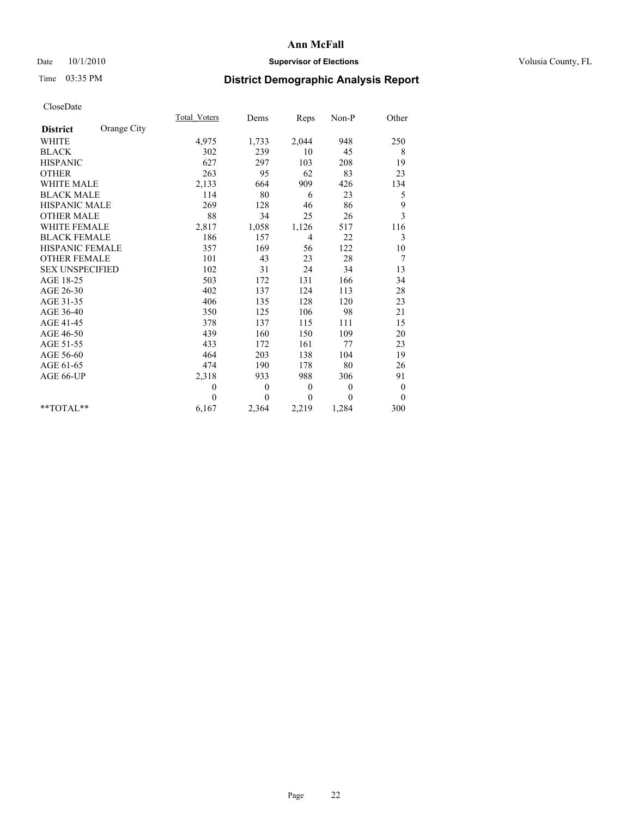### Date  $10/1/2010$  **Supervisor of Elections Supervisor of Elections** Volusia County, FL

# Time 03:35 PM **District Demographic Analysis Report**

|                        |             | Total Voters | Dems     | Reps           | $Non-P$          | Other            |
|------------------------|-------------|--------------|----------|----------------|------------------|------------------|
| <b>District</b>        | Orange City |              |          |                |                  |                  |
| <b>WHITE</b>           |             | 4,975        | 1,733    | 2,044          | 948              | 250              |
| <b>BLACK</b>           |             | 302          | 239      | 10             | 45               | 8                |
| <b>HISPANIC</b>        |             | 627          | 297      | 103            | 208              | 19               |
| <b>OTHER</b>           |             | 263          | 95       | 62             | 83               | 23               |
| <b>WHITE MALE</b>      |             | 2,133        | 664      | 909            | 426              | 134              |
| <b>BLACK MALE</b>      |             | 114          | 80       | 6              | 23               | 5                |
| <b>HISPANIC MALE</b>   |             | 269          | 128      | 46             | 86               | 9                |
| <b>OTHER MALE</b>      |             | 88           | 34       | 25             | 26               | 3                |
| WHITE FEMALE           |             | 2,817        | 1,058    | 1,126          | 517              | 116              |
| <b>BLACK FEMALE</b>    |             | 186          | 157      | $\overline{4}$ | 22               | 3                |
| HISPANIC FEMALE        |             | 357          | 169      | 56             | 122              | 10               |
| <b>OTHER FEMALE</b>    |             | 101          | 43       | 23             | 28               | 7                |
| <b>SEX UNSPECIFIED</b> |             | 102          | 31       | 24             | 34               | 13               |
| AGE 18-25              |             | 503          | 172      | 131            | 166              | 34               |
| AGE 26-30              |             | 402          | 137      | 124            | 113              | 28               |
| AGE 31-35              |             | 406          | 135      | 128            | 120              | 23               |
| AGE 36-40              |             | 350          | 125      | 106            | 98               | 21               |
| AGE 41-45              |             | 378          | 137      | 115            | 111              | 15               |
| AGE 46-50              |             | 439          | 160      | 150            | 109              | 20               |
| AGE 51-55              |             | 433          | 172      | 161            | 77               | 23               |
| AGE 56-60              |             | 464          | 203      | 138            | 104              | 19               |
| AGE 61-65              |             | 474          | 190      | 178            | 80               | 26               |
| AGE 66-UP              |             | 2,318        | 933      | 988            | 306              | 91               |
|                        |             | $\mathbf{0}$ | $\theta$ | $\theta$       | $\theta$         | $\boldsymbol{0}$ |
|                        |             | $\theta$     | $\theta$ | $\mathbf{0}$   | $\boldsymbol{0}$ | $\overline{0}$   |
| $*$ $TOTAI.**$         |             | 6,167        | 2,364    | 2,219          | 1,284            | 300              |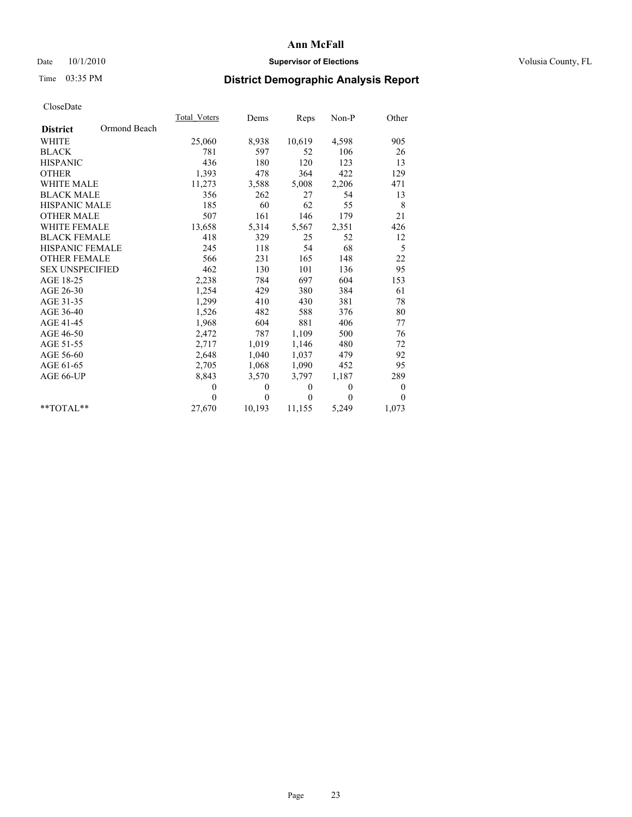### Date  $10/1/2010$  **Supervisor of Elections Supervisor of Elections** Volusia County, FL

# Time 03:35 PM **District Demographic Analysis Report**

|                        |              | Total Voters     | Dems         | Reps             | $Non-P$          | Other            |
|------------------------|--------------|------------------|--------------|------------------|------------------|------------------|
| <b>District</b>        | Ormond Beach |                  |              |                  |                  |                  |
| <b>WHITE</b>           |              | 25,060           | 8,938        | 10,619           | 4,598            | 905              |
| <b>BLACK</b>           |              | 781              | 597          | 52               | 106              | 26               |
| <b>HISPANIC</b>        |              | 436              | 180          | 120              | 123              | 13               |
| <b>OTHER</b>           |              | 1,393            | 478          | 364              | 422              | 129              |
| <b>WHITE MALE</b>      |              | 11,273           | 3,588        | 5,008            | 2,206            | 471              |
| <b>BLACK MALE</b>      |              | 356              | 262          | 27               | 54               | 13               |
| <b>HISPANIC MALE</b>   |              | 185              | 60           | 62               | 55               | 8                |
| <b>OTHER MALE</b>      |              | 507              | 161          | 146              | 179              | 21               |
| <b>WHITE FEMALE</b>    |              | 13,658           | 5,314        | 5,567            | 2,351            | 426              |
| <b>BLACK FEMALE</b>    |              | 418              | 329          | 25               | 52               | 12               |
| HISPANIC FEMALE        |              | 245              | 118          | 54               | 68               | 5                |
| <b>OTHER FEMALE</b>    |              | 566              | 231          | 165              | 148              | 22               |
| <b>SEX UNSPECIFIED</b> |              | 462              | 130          | 101              | 136              | 95               |
| AGE 18-25              |              | 2,238            | 784          | 697              | 604              | 153              |
| AGE 26-30              |              | 1,254            | 429          | 380              | 384              | 61               |
| AGE 31-35              |              | 1,299            | 410          | 430              | 381              | 78               |
| AGE 36-40              |              | 1,526            | 482          | 588              | 376              | 80               |
| AGE 41-45              |              | 1,968            | 604          | 881              | 406              | 77               |
| AGE 46-50              |              | 2,472            | 787          | 1,109            | 500              | 76               |
| AGE 51-55              |              | 2,717            | 1,019        | 1,146            | 480              | 72               |
| AGE 56-60              |              | 2,648            | 1,040        | 1,037            | 479              | 92               |
| AGE 61-65              |              | 2,705            | 1,068        | 1,090            | 452              | 95               |
| AGE 66-UP              |              | 8,843            | 3,570        | 3,797            | 1,187            | 289              |
|                        |              | $\boldsymbol{0}$ | $\mathbf{0}$ | $\boldsymbol{0}$ | $\boldsymbol{0}$ | $\boldsymbol{0}$ |
|                        |              | $\theta$         | $\theta$     | $\theta$         | $\theta$         | $\mathbf{0}$     |
| **TOTAL**              |              | 27,670           | 10,193       | 11,155           | 5,249            | 1,073            |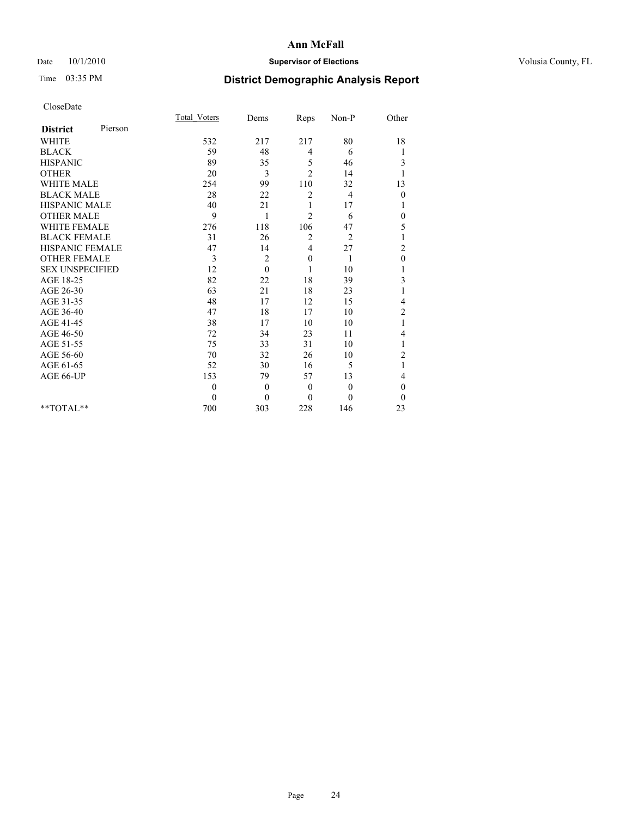### Date  $10/1/2010$  **Supervisor of Elections Supervisor of Elections** Volusia County, FL

# Time 03:35 PM **District Demographic Analysis Report**

|                        |         | Total Voters | Dems     | Reps           | Non-P          | Other          |  |
|------------------------|---------|--------------|----------|----------------|----------------|----------------|--|
| <b>District</b>        | Pierson |              |          |                |                |                |  |
| <b>WHITE</b>           |         | 532          | 217      | 217            | 80             | 18             |  |
| <b>BLACK</b>           |         | 59           | 48       | 4              | 6              | 1              |  |
| <b>HISPANIC</b>        |         | 89           | 35       | 5              | 46             | 3              |  |
| <b>OTHER</b>           |         | 20           | 3        | $\overline{2}$ | 14             | 1              |  |
| <b>WHITE MALE</b>      |         | 254          | 99       | 110            | 32             | 13             |  |
| <b>BLACK MALE</b>      |         | 28           | 22       | $\overline{c}$ | $\overline{4}$ | $\mathbf{0}$   |  |
| <b>HISPANIC MALE</b>   |         | 40           | 21       |                | 17             | 1              |  |
| <b>OTHER MALE</b>      |         | 9            | 1        | $\overline{c}$ | 6              | $\theta$       |  |
| WHITE FEMALE           |         | 276          | 118      | 106            | 47             | 5              |  |
| <b>BLACK FEMALE</b>    |         | 31           | 26       | 2              | $\overline{2}$ | 1              |  |
| HISPANIC FEMALE        |         | 47           | 14       | 4              | 27             | $\overline{c}$ |  |
| <b>OTHER FEMALE</b>    |         | 3            | 2        | $\mathbf{0}$   | 1              | $\mathbf{0}$   |  |
| <b>SEX UNSPECIFIED</b> |         | 12           | $\theta$ |                | 10             |                |  |
| AGE 18-25              |         | 82           | 22       | 18             | 39             | 3              |  |
| AGE 26-30              |         | 63           | 21       | 18             | 23             |                |  |
| AGE 31-35              |         | 48           | 17       | 12             | 15             | 4              |  |
| AGE 36-40              |         | 47           | 18       | 17             | 10             | $\overline{c}$ |  |
| AGE 41-45              |         | 38           | 17       | 10             | 10             | 1              |  |
| AGE 46-50              |         | 72           | 34       | 23             | 11             | 4              |  |
| AGE 51-55              |         | 75           | 33       | 31             | 10             | 1              |  |
| AGE 56-60              |         | 70           | 32       | 26             | 10             | $\overline{c}$ |  |
| AGE 61-65              |         | 52           | 30       | 16             | 5              | 1              |  |
| AGE 66-UP              |         | 153          | 79       | 57             | 13             | 4              |  |
|                        |         | $\theta$     | $\theta$ | $\mathbf{0}$   | $\mathbf{0}$   | $\theta$       |  |
|                        |         | $\theta$     | $\theta$ | $\theta$       | $\theta$       | $\theta$       |  |
| $*$ $TOTAI.**$         |         | 700          | 303      | 228            | 146            | 23             |  |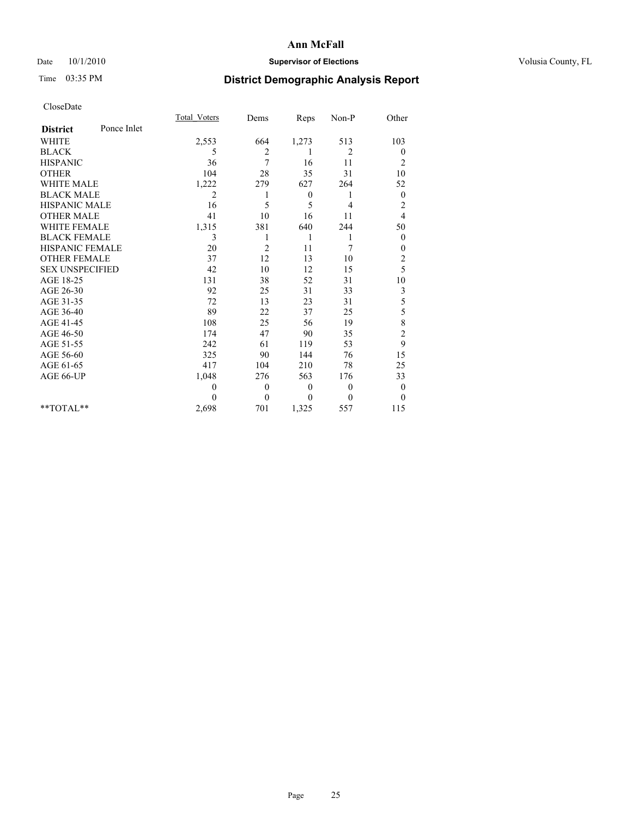### Date  $10/1/2010$  **Supervisor of Elections Supervisor of Elections** Volusia County, FL

# Time 03:35 PM **District Demographic Analysis Report**

|                        |             | <b>Total Voters</b> | Dems             | Reps         | Non-P    | Other                   |  |
|------------------------|-------------|---------------------|------------------|--------------|----------|-------------------------|--|
| <b>District</b>        | Ponce Inlet |                     |                  |              |          |                         |  |
| <b>WHITE</b>           |             | 2,553               | 664              | 1,273        | 513      | 103                     |  |
| <b>BLACK</b>           |             | 5                   | 2                |              | 2        | $\boldsymbol{0}$        |  |
| <b>HISPANIC</b>        |             | 36                  | 7                | 16           | 11       | $\overline{c}$          |  |
| <b>OTHER</b>           |             | 104                 | 28               | 35           | 31       | 10                      |  |
| <b>WHITE MALE</b>      |             | 1,222               | 279              | 627          | 264      | 52                      |  |
| <b>BLACK MALE</b>      |             | 2                   |                  | $\theta$     | 1        | $\boldsymbol{0}$        |  |
| <b>HISPANIC MALE</b>   |             | 16                  | 5                | 5            | 4        | $\overline{c}$          |  |
| <b>OTHER MALE</b>      |             | 41                  | 10               | 16           | 11       | 4                       |  |
| <b>WHITE FEMALE</b>    |             | 1,315               | 381              | 640          | 244      | 50                      |  |
| <b>BLACK FEMALE</b>    |             | 3                   | 1                | 1            | 1        | $\theta$                |  |
| HISPANIC FEMALE        |             | 20                  | $\overline{c}$   | 11           | 7        | $\boldsymbol{0}$        |  |
| <b>OTHER FEMALE</b>    |             | 37                  | 12               | 13           | 10       | $\overline{\mathbf{c}}$ |  |
| <b>SEX UNSPECIFIED</b> |             | 42                  | 10               | 12           | 15       | 5                       |  |
| AGE 18-25              |             | 131                 | 38               | 52           | 31       | 10                      |  |
| AGE 26-30              |             | 92                  | 25               | 31           | 33       | 3                       |  |
| AGE 31-35              |             | 72                  | 13               | 23           | 31       | 5                       |  |
| AGE 36-40              |             | 89                  | 22               | 37           | 25       | 5                       |  |
| AGE 41-45              |             | 108                 | 25               | 56           | 19       | 8                       |  |
| AGE 46-50              |             | 174                 | 47               | 90           | 35       | $\overline{c}$          |  |
| AGE 51-55              |             | 242                 | 61               | 119          | 53       | 9                       |  |
| AGE 56-60              |             | 325                 | 90               | 144          | 76       | 15                      |  |
| AGE 61-65              |             | 417                 | 104              | 210          | 78       | 25                      |  |
| AGE 66-UP              |             | 1,048               | 276              | 563          | 176      | 33                      |  |
|                        |             | $\theta$            | $\boldsymbol{0}$ | $\mathbf{0}$ | $\theta$ | $\theta$                |  |
|                        |             | $\Omega$            | $\overline{0}$   | $\theta$     | $\theta$ | $\theta$                |  |
| $*$ $TOTAI.**$         |             | 2,698               | 701              | 1,325        | 557      | 115                     |  |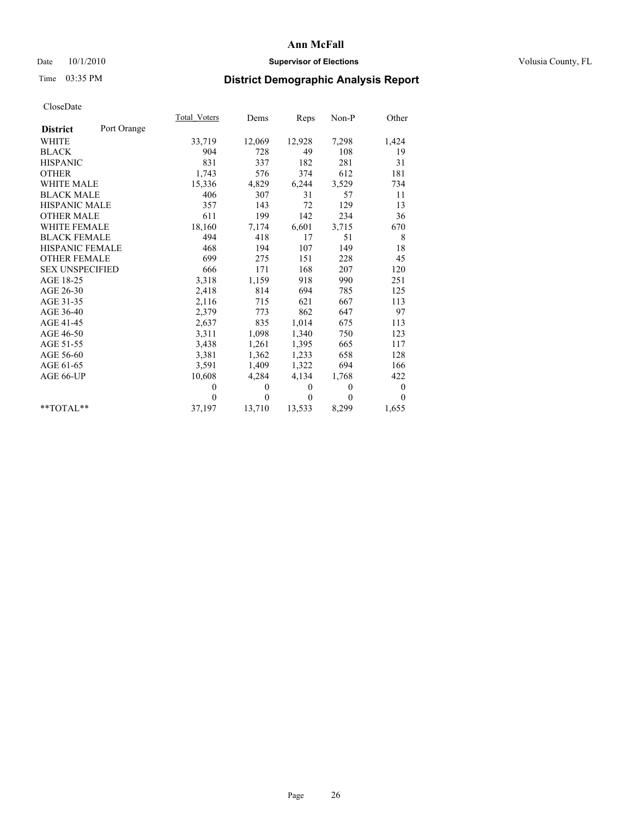### Date  $10/1/2010$  **Supervisor of Elections Supervisor of Elections** Volusia County, FL

# Time 03:35 PM **District Demographic Analysis Report**

|                        |             | Total Voters | Dems         | Reps         | $Non-P$      | Other            |
|------------------------|-------------|--------------|--------------|--------------|--------------|------------------|
| <b>District</b>        | Port Orange |              |              |              |              |                  |
| <b>WHITE</b>           |             | 33,719       | 12,069       | 12,928       | 7,298        | 1,424            |
| <b>BLACK</b>           |             | 904          | 728          | 49           | 108          | 19               |
| <b>HISPANIC</b>        |             | 831          | 337          | 182          | 281          | 31               |
| <b>OTHER</b>           |             | 1,743        | 576          | 374          | 612          | 181              |
| <b>WHITE MALE</b>      |             | 15,336       | 4,829        | 6,244        | 3,529        | 734              |
| <b>BLACK MALE</b>      |             | 406          | 307          | 31           | 57           | 11               |
| <b>HISPANIC MALE</b>   |             | 357          | 143          | 72           | 129          | 13               |
| <b>OTHER MALE</b>      |             | 611          | 199          | 142          | 234          | 36               |
| WHITE FEMALE           |             | 18,160       | 7,174        | 6,601        | 3,715        | 670              |
| <b>BLACK FEMALE</b>    |             | 494          | 418          | 17           | 51           | 8                |
| HISPANIC FEMALE        |             | 468          | 194          | 107          | 149          | 18               |
| <b>OTHER FEMALE</b>    |             | 699          | 275          | 151          | 228          | 45               |
| <b>SEX UNSPECIFIED</b> |             | 666          | 171          | 168          | 207          | 120              |
| AGE 18-25              |             | 3,318        | 1,159        | 918          | 990          | 251              |
| AGE 26-30              |             | 2,418        | 814          | 694          | 785          | 125              |
| AGE 31-35              |             | 2,116        | 715          | 621          | 667          | 113              |
| AGE 36-40              |             | 2,379        | 773          | 862          | 647          | 97               |
| AGE 41-45              |             | 2,637        | 835          | 1,014        | 675          | 113              |
| AGE 46-50              |             | 3,311        | 1,098        | 1,340        | 750          | 123              |
| AGE 51-55              |             | 3,438        | 1,261        | 1,395        | 665          | 117              |
| AGE 56-60              |             | 3,381        | 1,362        | 1,233        | 658          | 128              |
| AGE 61-65              |             | 3,591        | 1,409        | 1,322        | 694          | 166              |
| AGE 66-UP              |             | 10,608       | 4,284        | 4,134        | 1,768        | 422              |
|                        |             | $\theta$     | $\mathbf{0}$ | $\mathbf{0}$ | $\mathbf{0}$ | $\boldsymbol{0}$ |
|                        |             | $\theta$     | $\theta$     | $\theta$     | $\theta$     | $\theta$         |
| $*$ $TOTAI.**$         |             | 37,197       | 13,710       | 13,533       | 8,299        | 1,655            |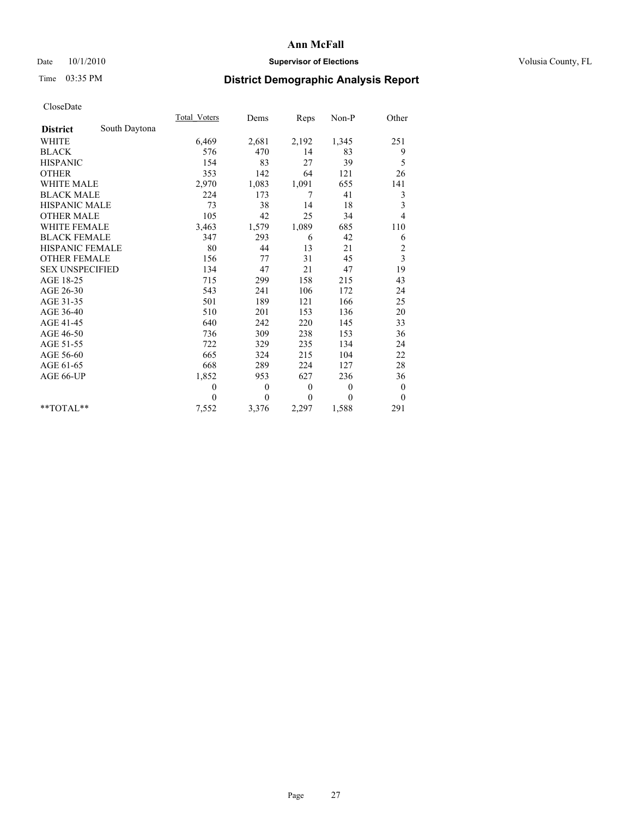### Date  $10/1/2010$  **Supervisor of Elections Supervisor of Elections** Volusia County, FL

# Time 03:35 PM **District Demographic Analysis Report**

|                                  | Total Voters | Dems             | Reps         | $Non-P$  | Other            |  |
|----------------------------------|--------------|------------------|--------------|----------|------------------|--|
| South Daytona<br><b>District</b> |              |                  |              |          |                  |  |
| <b>WHITE</b>                     | 6,469        | 2,681            | 2,192        | 1,345    | 251              |  |
| <b>BLACK</b>                     | 576          | 470              | 14           | 83       | 9                |  |
| <b>HISPANIC</b>                  | 154          | 83               | 27           | 39       | 5                |  |
| <b>OTHER</b>                     | 353          | 142              | 64           | 121      | 26               |  |
| <b>WHITE MALE</b>                | 2,970        | 1,083            | 1,091        | 655      | 141              |  |
| <b>BLACK MALE</b>                | 224          | 173              | 7            | 41       | 3                |  |
| <b>HISPANIC MALE</b>             | 73           | 38               | 14           | 18       | 3                |  |
| <b>OTHER MALE</b>                | 105          | 42               | 25           | 34       | $\overline{4}$   |  |
| WHITE FEMALE                     | 3,463        | 1,579            | 1,089        | 685      | 110              |  |
| <b>BLACK FEMALE</b>              | 347          | 293              | 6            | 42       | 6                |  |
| HISPANIC FEMALE                  | 80           | 44               | 13           | 21       | $\overline{c}$   |  |
| <b>OTHER FEMALE</b>              | 156          | 77               | 31           | 45       | 3                |  |
| <b>SEX UNSPECIFIED</b>           | 134          | 47               | 21           | 47       | 19               |  |
| AGE 18-25                        | 715          | 299              | 158          | 215      | 43               |  |
| AGE 26-30                        | 543          | 241              | 106          | 172      | 24               |  |
| AGE 31-35                        | 501          | 189              | 121          | 166      | 25               |  |
| AGE 36-40                        | 510          | 201              | 153          | 136      | 20               |  |
| AGE 41-45                        | 640          | 242              | 220          | 145      | 33               |  |
| AGE 46-50                        | 736          | 309              | 238          | 153      | 36               |  |
| AGE 51-55                        | 722          | 329              | 235          | 134      | 24               |  |
| AGE 56-60                        | 665          | 324              | 215          | 104      | 22               |  |
| AGE 61-65                        | 668          | 289              | 224          | 127      | 28               |  |
| AGE 66-UP                        | 1,852        | 953              | 627          | 236      | 36               |  |
|                                  | $\mathbf{0}$ | $\boldsymbol{0}$ | $\mathbf{0}$ | $\theta$ | $\boldsymbol{0}$ |  |
|                                  | $\theta$     | $\theta$         | $\mathbf{0}$ | $\theta$ | $\theta$         |  |
| $*$ $TOTAI.**$                   | 7,552        | 3,376            | 2,297        | 1,588    | 291              |  |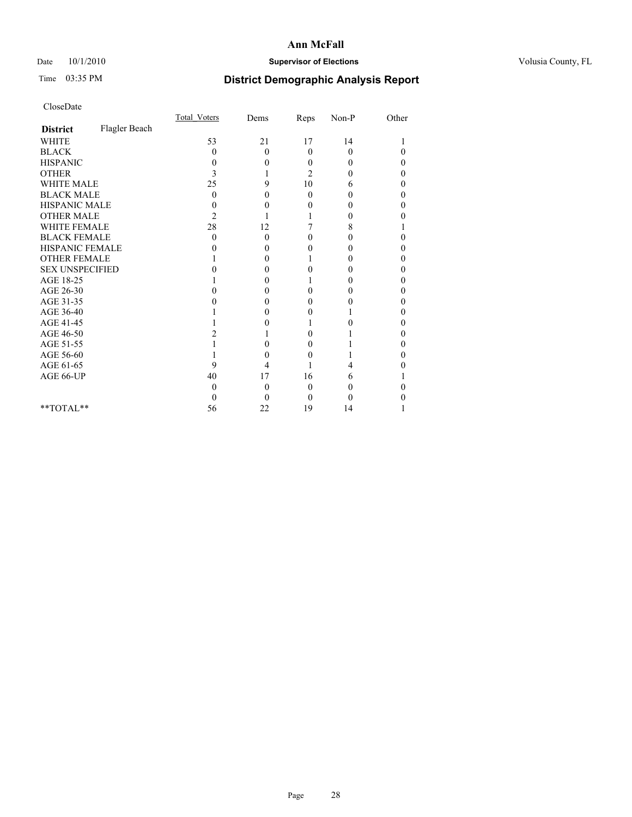### Date  $10/1/2010$  **Supervisor of Elections Supervisor of Elections** Volusia County, FL

# Time 03:35 PM **District Demographic Analysis Report**

|                        |               | Total Voters | Dems     | Reps           | $Non-P$  | Other |  |
|------------------------|---------------|--------------|----------|----------------|----------|-------|--|
| <b>District</b>        | Flagler Beach |              |          |                |          |       |  |
| <b>WHITE</b>           |               | 53           | 21       | 17             | 14       |       |  |
| <b>BLACK</b>           |               | 0            | $\theta$ | $\theta$       | $\theta$ | 0     |  |
| <b>HISPANIC</b>        |               | 0            | 0        | 0              | 0        | 0     |  |
| <b>OTHER</b>           |               | 3            |          | $\overline{c}$ | 0        | 0     |  |
| <b>WHITE MALE</b>      |               | 25           | 9        | 10             | 6        | 0     |  |
| <b>BLACK MALE</b>      |               | 0            | 0        | $\Omega$       | 0        | 0     |  |
| HISPANIC MALE          |               | 0            | 0        | 0              | 0        | 0     |  |
| <b>OTHER MALE</b>      |               | 2            |          |                | 0        | 0     |  |
| <b>WHITE FEMALE</b>    |               | 28           | 12       |                | 8        |       |  |
| <b>BLACK FEMALE</b>    |               | 0            | $\theta$ | 0              | 0        | 0     |  |
| HISPANIC FEMALE        |               |              | 0        | 0              | 0        | 0     |  |
| <b>OTHER FEMALE</b>    |               |              | 0        |                | 0        | 0     |  |
| <b>SEX UNSPECIFIED</b> |               |              | 0        | 0              | 0        | 0     |  |
| AGE 18-25              |               |              | 0        |                | 0        | 0     |  |
| AGE 26-30              |               | 0            | 0        | 0              | 0        | 0     |  |
| AGE 31-35              |               |              | 0        | 0              | 0        | 0     |  |
| AGE 36-40              |               |              | 0        | 0              |          | 0     |  |
| AGE 41-45              |               |              | 0        |                | 0        | 0     |  |
| AGE 46-50              |               |              |          | 0              |          | 0     |  |
| AGE 51-55              |               |              | 0        | 0              |          | 0     |  |
| AGE 56-60              |               |              | 0        | 0              |          | 0     |  |
| AGE 61-65              |               | 9            | 4        |                | 4        |       |  |
| AGE 66-UP              |               | 40           | 17       | 16             | 6        |       |  |
|                        |               | 0            | $\theta$ | $\theta$       | 0        | 0     |  |
|                        |               |              | 0        | $\Omega$       | 0        |       |  |
| **TOTAL**              |               | 56           | 22       | 19             | 14       |       |  |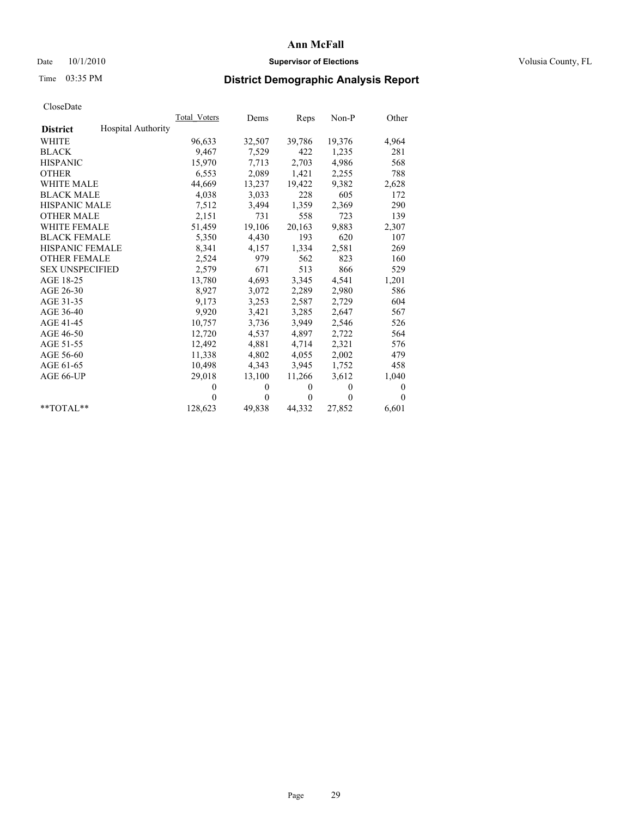### Date  $10/1/2010$  **Supervisor of Elections Supervisor of Elections** Volusia County, FL

## Time 03:35 PM **District Demographic Analysis Report**

|                                              | Total Voters | Dems     | Reps         | $Non-P$  | Other        |
|----------------------------------------------|--------------|----------|--------------|----------|--------------|
| <b>Hospital Authority</b><br><b>District</b> |              |          |              |          |              |
| WHITE                                        | 96,633       | 32,507   | 39,786       | 19,376   | 4,964        |
| <b>BLACK</b>                                 | 9,467        | 7,529    | 422          | 1,235    | 281          |
| <b>HISPANIC</b>                              | 15,970       | 7,713    | 2,703        | 4,986    | 568          |
| <b>OTHER</b>                                 | 6,553        | 2,089    | 1,421        | 2,255    | 788          |
| <b>WHITE MALE</b>                            | 44,669       | 13,237   | 19,422       | 9,382    | 2,628        |
| <b>BLACK MALE</b>                            | 4,038        | 3,033    | 228          | 605      | 172          |
| <b>HISPANIC MALE</b>                         | 7,512        | 3,494    | 1,359        | 2,369    | 290          |
| <b>OTHER MALE</b>                            | 2,151        | 731      | 558          | 723      | 139          |
| <b>WHITE FEMALE</b>                          | 51,459       | 19,106   | 20,163       | 9,883    | 2,307        |
| <b>BLACK FEMALE</b>                          | 5,350        | 4,430    | 193          | 620      | 107          |
| HISPANIC FEMALE                              | 8,341        | 4,157    | 1,334        | 2,581    | 269          |
| <b>OTHER FEMALE</b>                          | 2,524        | 979      | 562          | 823      | 160          |
| <b>SEX UNSPECIFIED</b>                       | 2,579        | 671      | 513          | 866      | 529          |
| AGE 18-25                                    | 13,780       | 4,693    | 3,345        | 4,541    | 1,201        |
| AGE 26-30                                    | 8,927        | 3,072    | 2,289        | 2,980    | 586          |
| AGE 31-35                                    | 9,173        | 3,253    | 2,587        | 2,729    | 604          |
| AGE 36-40                                    | 9,920        | 3,421    | 3,285        | 2,647    | 567          |
| AGE 41-45                                    | 10.757       | 3,736    | 3,949        | 2,546    | 526          |
| AGE 46-50                                    | 12,720       | 4,537    | 4,897        | 2,722    | 564          |
| AGE 51-55                                    | 12,492       | 4,881    | 4,714        | 2,321    | 576          |
| AGE 56-60                                    | 11,338       | 4,802    | 4,055        | 2,002    | 479          |
| AGE 61-65                                    | 10,498       | 4,343    | 3,945        | 1,752    | 458          |
| AGE 66-UP                                    | 29,018       | 13,100   | 11,266       | 3,612    | 1,040        |
|                                              | $\Omega$     | $\theta$ | $\Omega$     | $\theta$ | $\mathbf{0}$ |
|                                              | $\Omega$     | $\theta$ | $\mathbf{0}$ | $\theta$ | $\theta$     |
| $*$ $TOTAI.**$                               | 128,623      | 49,838   | 44,332       | 27,852   | 6,601        |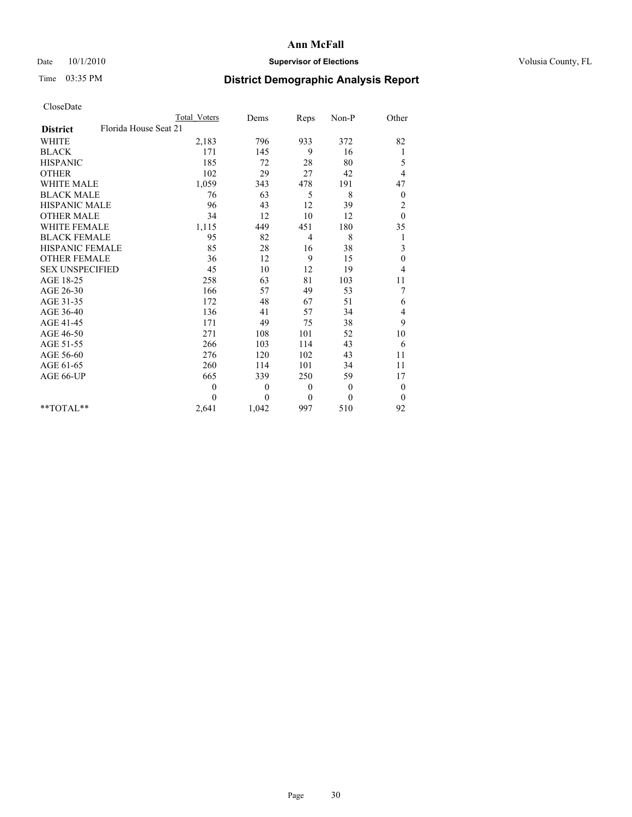### Date  $10/1/2010$  **Supervisor of Elections Supervisor of Elections** Volusia County, FL

# Time 03:35 PM **District Demographic Analysis Report**

|                                          | <b>Total Voters</b> | Dems     | Reps         | Non-P        | Other            |
|------------------------------------------|---------------------|----------|--------------|--------------|------------------|
| Florida House Seat 21<br><b>District</b> |                     |          |              |              |                  |
| <b>WHITE</b>                             | 2,183               | 796      | 933          | 372          | 82               |
| <b>BLACK</b>                             | 171                 | 145      | 9            | 16           | 1                |
| <b>HISPANIC</b>                          | 185                 | 72       | 28           | 80           | 5                |
| <b>OTHER</b>                             | 102                 | 29       | 27           | 42           | 4                |
| <b>WHITE MALE</b>                        | 1,059               | 343      | 478          | 191          | 47               |
| <b>BLACK MALE</b>                        | 76                  | 63       | 5            | 8            | $\boldsymbol{0}$ |
| <b>HISPANIC MALE</b>                     | 96                  | 43       | 12           | 39           | $\overline{c}$   |
| <b>OTHER MALE</b>                        | 34                  | 12       | 10           | 12           | $\Omega$         |
| <b>WHITE FEMALE</b>                      | 1,115               | 449      | 451          | 180          | 35               |
| <b>BLACK FEMALE</b>                      | 95                  | 82       | 4            | 8            | 1                |
| HISPANIC FEMALE                          | 85                  | 28       | 16           | 38           | 3                |
| <b>OTHER FEMALE</b>                      | 36                  | 12       | 9            | 15           | $\boldsymbol{0}$ |
| <b>SEX UNSPECIFIED</b>                   | 45                  | 10       | 12           | 19           | 4                |
| AGE 18-25                                | 258                 | 63       | 81           | 103          | 11               |
| AGE 26-30                                | 166                 | 57       | 49           | 53           | 7                |
| AGE 31-35                                | 172                 | 48       | 67           | 51           | 6                |
| AGE 36-40                                | 136                 | 41       | 57           | 34           | 4                |
| AGE 41-45                                | 171                 | 49       | 75           | 38           | 9                |
| AGE 46-50                                | 271                 | 108      | 101          | 52           | 10               |
| AGE 51-55                                | 266                 | 103      | 114          | 43           | 6                |
| AGE 56-60                                | 276                 | 120      | 102          | 43           | 11               |
| AGE 61-65                                | 260                 | 114      | 101          | 34           | 11               |
| AGE 66-UP                                | 665                 | 339      | 250          | 59           | 17               |
|                                          | $\overline{0}$      | $\theta$ | $\mathbf{0}$ | $\mathbf{0}$ | $\boldsymbol{0}$ |
|                                          | $\theta$            | $\theta$ | $\mathbf{0}$ | $\theta$     | $\theta$         |
| $*$ TOTAL $*$                            | 2,641               | 1,042    | 997          | 510          | 92               |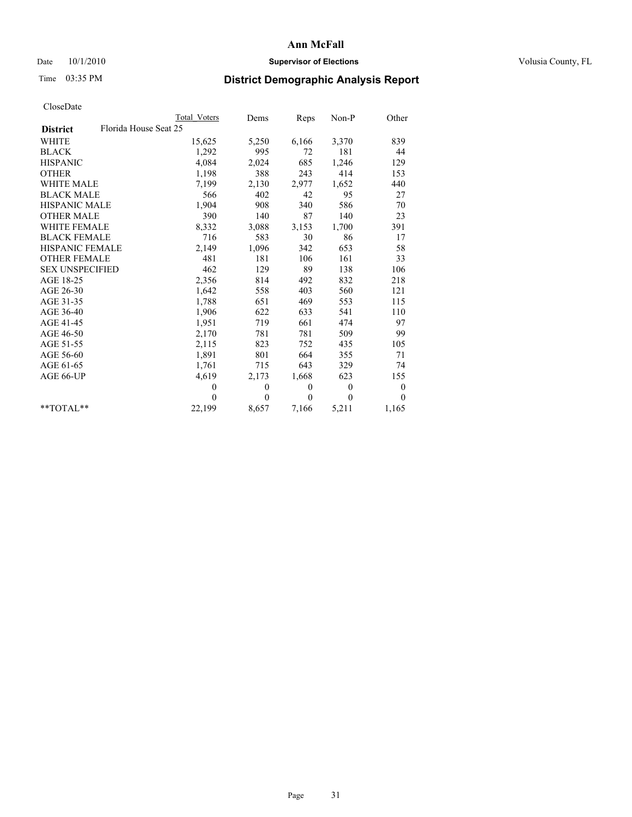### Date  $10/1/2010$  **Supervisor of Elections Supervisor of Elections** Volusia County, FL

# Time 03:35 PM **District Demographic Analysis Report**

|                                          | <b>Total Voters</b> | Dems         | Reps         | $Non-P$        | Other            |
|------------------------------------------|---------------------|--------------|--------------|----------------|------------------|
| Florida House Seat 25<br><b>District</b> |                     |              |              |                |                  |
| <b>WHITE</b>                             | 15,625              | 5,250        | 6,166        | 3,370          | 839              |
| <b>BLACK</b>                             | 1,292               | 995          | 72           | 181            | 44               |
| <b>HISPANIC</b>                          | 4,084               | 2,024        | 685          | 1,246          | 129              |
| <b>OTHER</b>                             | 1,198               | 388          | 243          | 414            | 153              |
| <b>WHITE MALE</b>                        | 7,199               | 2,130        | 2,977        | 1,652          | 440              |
| <b>BLACK MALE</b>                        | 566                 | 402          | 42           | 95             | 27               |
| <b>HISPANIC MALE</b>                     | 1,904               | 908          | 340          | 586            | 70               |
| <b>OTHER MALE</b>                        | 390                 | 140          | 87           | 140            | 23               |
| WHITE FEMALE                             | 8,332               | 3,088        | 3,153        | 1,700          | 391              |
| <b>BLACK FEMALE</b>                      | 716                 | 583          | 30           | 86             | 17               |
| HISPANIC FEMALE                          | 2,149               | 1,096        | 342          | 653            | 58               |
| <b>OTHER FEMALE</b>                      | 481                 | 181          | 106          | 161            | 33               |
| <b>SEX UNSPECIFIED</b>                   | 462                 | 129          | 89           | 138            | 106              |
| AGE 18-25                                | 2,356               | 814          | 492          | 832            | 218              |
| AGE 26-30                                | 1,642               | 558          | 403          | 560            | 121              |
| AGE 31-35                                | 1,788               | 651          | 469          | 553            | 115              |
| AGE 36-40                                | 1,906               | 622          | 633          | 541            | 110              |
| AGE 41-45                                | 1,951               | 719          | 661          | 474            | 97               |
| AGE 46-50                                | 2,170               | 781          | 781          | 509            | 99               |
| AGE 51-55                                | 2,115               | 823          | 752          | 435            | 105              |
| AGE 56-60                                | 1,891               | 801          | 664          | 355            | 71               |
| AGE 61-65                                | 1,761               | 715          | 643          | 329            | 74               |
| AGE 66-UP                                | 4,619               | 2,173        | 1,668        | 623            | 155              |
|                                          | $\mathbf{0}$        | $\mathbf{0}$ | $\mathbf{0}$ | $\overline{0}$ | $\boldsymbol{0}$ |
|                                          | $\theta$            | $\theta$     | $\theta$     | $\theta$       | $\theta$         |
| $*$ $TOTAI.**$                           | 22,199              | 8,657        | 7,166        | 5,211          | 1,165            |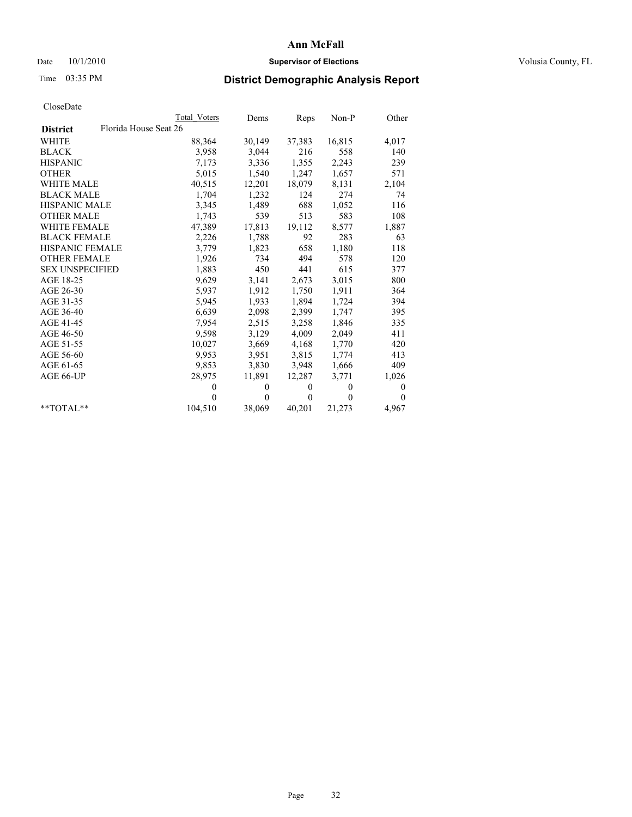### Date  $10/1/2010$  **Supervisor of Elections Supervisor of Elections** Volusia County, FL

# Time 03:35 PM **District Demographic Analysis Report**

|                                          | Total Voters | Dems     | Reps         | $Non-P$  | Other        |
|------------------------------------------|--------------|----------|--------------|----------|--------------|
| Florida House Seat 26<br><b>District</b> |              |          |              |          |              |
| <b>WHITE</b>                             | 88,364       | 30,149   | 37,383       | 16,815   | 4,017        |
| <b>BLACK</b>                             | 3,958        | 3,044    | 216          | 558      | 140          |
| <b>HISPANIC</b>                          | 7,173        | 3,336    | 1,355        | 2,243    | 239          |
| <b>OTHER</b>                             | 5,015        | 1,540    | 1,247        | 1,657    | 571          |
| <b>WHITE MALE</b>                        | 40,515       | 12,201   | 18,079       | 8,131    | 2,104        |
| <b>BLACK MALE</b>                        | 1,704        | 1,232    | 124          | 274      | 74           |
| <b>HISPANIC MALE</b>                     | 3,345        | 1,489    | 688          | 1,052    | 116          |
| <b>OTHER MALE</b>                        | 1,743        | 539      | 513          | 583      | 108          |
| <b>WHITE FEMALE</b>                      | 47,389       | 17,813   | 19,112       | 8,577    | 1,887        |
| <b>BLACK FEMALE</b>                      | 2,226        | 1,788    | 92           | 283      | 63           |
| HISPANIC FEMALE                          | 3,779        | 1,823    | 658          | 1,180    | 118          |
| <b>OTHER FEMALE</b>                      | 1,926        | 734      | 494          | 578      | 120          |
| <b>SEX UNSPECIFIED</b>                   | 1,883        | 450      | 441          | 615      | 377          |
| AGE 18-25                                | 9,629        | 3,141    | 2,673        | 3,015    | 800          |
| AGE 26-30                                | 5,937        | 1,912    | 1,750        | 1,911    | 364          |
| AGE 31-35                                | 5,945        | 1,933    | 1,894        | 1,724    | 394          |
| AGE 36-40                                | 6,639        | 2,098    | 2,399        | 1,747    | 395          |
| AGE 41-45                                | 7,954        | 2,515    | 3,258        | 1,846    | 335          |
| AGE 46-50                                | 9,598        | 3,129    | 4,009        | 2,049    | 411          |
| AGE 51-55                                | 10,027       | 3,669    | 4,168        | 1,770    | 420          |
| AGE 56-60                                | 9,953        | 3,951    | 3,815        | 1,774    | 413          |
| AGE 61-65                                | 9,853        | 3,830    | 3,948        | 1,666    | 409          |
| AGE 66-UP                                | 28,975       | 11,891   | 12,287       | 3,771    | 1,026        |
|                                          | $\theta$     | $\theta$ | $\theta$     | $\theta$ | $\mathbf{0}$ |
|                                          | $\Omega$     | $\theta$ | $\mathbf{0}$ | $\theta$ | $\mathbf{0}$ |
| $*$ $TOTAI.**$                           | 104,510      | 38,069   | 40,201       | 21,273   | 4,967        |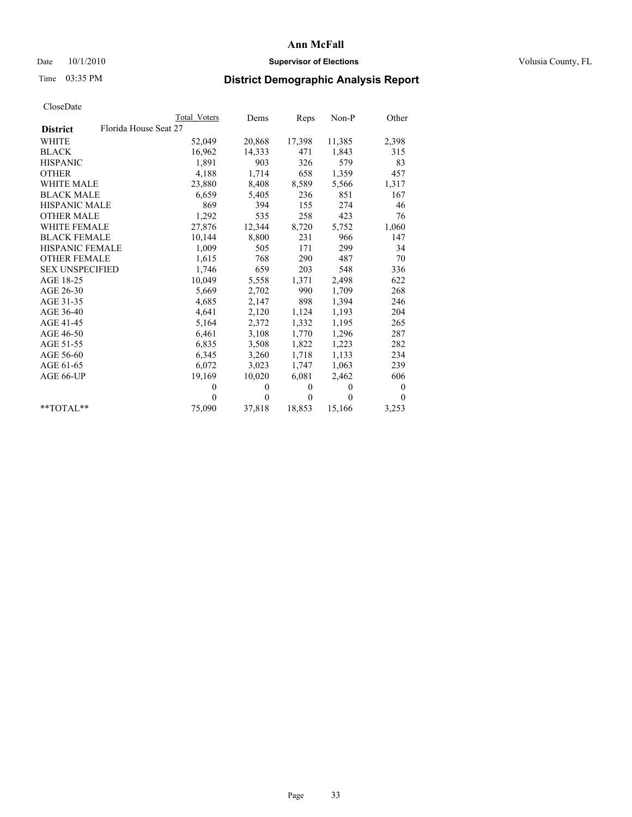### Date  $10/1/2010$  **Supervisor of Elections Supervisor of Elections** Volusia County, FL

## Time 03:35 PM **District Demographic Analysis Report**

|                                          | Total Voters | Dems     | Reps         | $Non-P$  | Other            |
|------------------------------------------|--------------|----------|--------------|----------|------------------|
| Florida House Seat 27<br><b>District</b> |              |          |              |          |                  |
| <b>WHITE</b>                             | 52,049       | 20,868   | 17,398       | 11,385   | 2,398            |
| <b>BLACK</b>                             | 16,962       | 14,333   | 471          | 1,843    | 315              |
| <b>HISPANIC</b>                          | 1,891        | 903      | 326          | 579      | 83               |
| <b>OTHER</b>                             | 4,188        | 1,714    | 658          | 1,359    | 457              |
| WHITE MALE                               | 23,880       | 8,408    | 8,589        | 5,566    | 1,317            |
| <b>BLACK MALE</b>                        | 6,659        | 5,405    | 236          | 851      | 167              |
| HISPANIC MALE                            | 869          | 394      | 155          | 274      | 46               |
| <b>OTHER MALE</b>                        | 1,292        | 535      | 258          | 423      | 76               |
| <b>WHITE FEMALE</b>                      | 27,876       | 12,344   | 8,720        | 5,752    | 1,060            |
| <b>BLACK FEMALE</b>                      | 10,144       | 8,800    | 231          | 966      | 147              |
| HISPANIC FEMALE                          | 1,009        | 505      | 171          | 299      | 34               |
| <b>OTHER FEMALE</b>                      | 1,615        | 768      | 290          | 487      | 70               |
| <b>SEX UNSPECIFIED</b>                   | 1,746        | 659      | 203          | 548      | 336              |
| AGE 18-25                                | 10,049       | 5,558    | 1,371        | 2,498    | 622              |
| AGE 26-30                                | 5,669        | 2,702    | 990          | 1,709    | 268              |
| AGE 31-35                                | 4,685        | 2,147    | 898          | 1,394    | 246              |
| AGE 36-40                                | 4,641        | 2,120    | 1,124        | 1,193    | 204              |
| AGE 41-45                                | 5,164        | 2,372    | 1,332        | 1,195    | 265              |
| AGE 46-50                                | 6,461        | 3,108    | 1,770        | 1,296    | 287              |
| AGE 51-55                                | 6,835        | 3,508    | 1,822        | 1,223    | 282              |
| AGE 56-60                                | 6,345        | 3,260    | 1,718        | 1,133    | 234              |
| AGE 61-65                                | 6,072        | 3,023    | 1,747        | 1,063    | 239              |
| AGE 66-UP                                | 19,169       | 10,020   | 6,081        | 2,462    | 606              |
|                                          | $\theta$     | $\theta$ | $\theta$     | $\theta$ | $\boldsymbol{0}$ |
|                                          | $\Omega$     | $\theta$ | $\mathbf{0}$ | $\Omega$ | $\theta$         |
| $*$ $TOTAI.**$                           | 75,090       | 37,818   | 18,853       | 15,166   | 3,253            |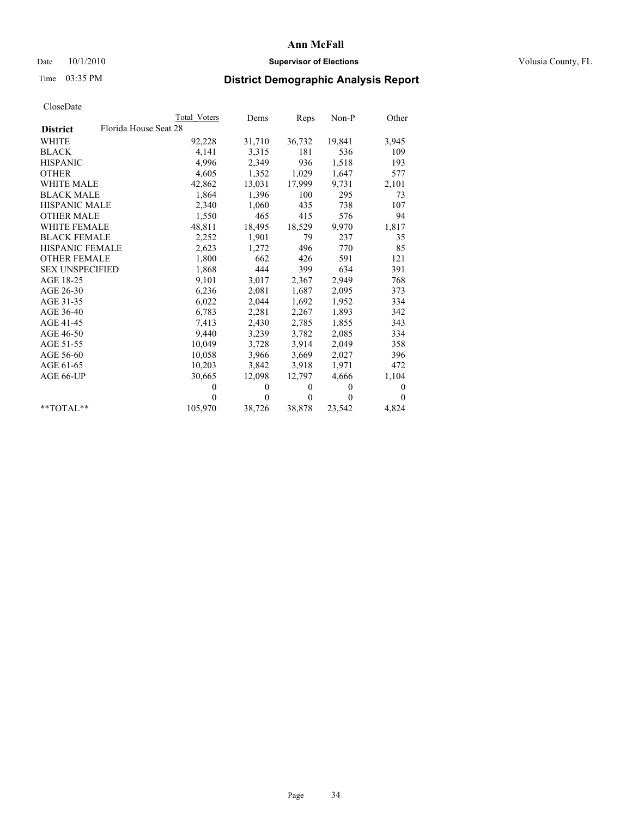### Date  $10/1/2010$  **Supervisor of Elections Supervisor of Elections** Volusia County, FL

## Time 03:35 PM **District Demographic Analysis Report**

|                                          | Total Voters | Dems         | Reps         | Non-P        | Other        |
|------------------------------------------|--------------|--------------|--------------|--------------|--------------|
| Florida House Seat 28<br><b>District</b> |              |              |              |              |              |
| <b>WHITE</b>                             | 92,228       | 31,710       | 36,732       | 19,841       | 3,945        |
| <b>BLACK</b>                             | 4,141        | 3,315        | 181          | 536          | 109          |
| <b>HISPANIC</b>                          | 4,996        | 2,349        | 936          | 1,518        | 193          |
| <b>OTHER</b>                             | 4,605        | 1,352        | 1,029        | 1,647        | 577          |
| <b>WHITE MALE</b>                        | 42,862       | 13,031       | 17,999       | 9,731        | 2,101        |
| <b>BLACK MALE</b>                        | 1,864        | 1,396        | 100          | 295          | 73           |
| <b>HISPANIC MALE</b>                     | 2,340        | 1,060        | 435          | 738          | 107          |
| <b>OTHER MALE</b>                        | 1,550        | 465          | 415          | 576          | 94           |
| <b>WHITE FEMALE</b>                      | 48,811       | 18,495       | 18,529       | 9,970        | 1,817        |
| <b>BLACK FEMALE</b>                      | 2,252        | 1,901        | 79           | 237          | 35           |
| <b>HISPANIC FEMALE</b>                   | 2,623        | 1,272        | 496          | 770          | 85           |
| <b>OTHER FEMALE</b>                      | 1,800        | 662          | 426          | 591          | 121          |
| <b>SEX UNSPECIFIED</b>                   | 1,868        | 444          | 399          | 634          | 391          |
| AGE 18-25                                | 9,101        | 3,017        | 2,367        | 2,949        | 768          |
| AGE 26-30                                | 6,236        | 2,081        | 1,687        | 2,095        | 373          |
| AGE 31-35                                | 6,022        | 2,044        | 1,692        | 1,952        | 334          |
| AGE 36-40                                | 6,783        | 2,281        | 2,267        | 1,893        | 342          |
| AGE 41-45                                | 7,413        | 2,430        | 2,785        | 1,855        | 343          |
| AGE 46-50                                | 9,440        | 3,239        | 3,782        | 2,085        | 334          |
| AGE 51-55                                | 10,049       | 3,728        | 3,914        | 2,049        | 358          |
| AGE 56-60                                | 10,058       | 3,966        | 3,669        | 2,027        | 396          |
| AGE 61-65                                | 10,203       | 3,842        | 3,918        | 1,971        | 472          |
| AGE 66-UP                                | 30,665       | 12,098       | 12,797       | 4,666        | 1,104        |
|                                          | $\theta$     | $\mathbf{0}$ | $\mathbf{0}$ | $\mathbf{0}$ | $\mathbf{0}$ |
|                                          | $\Omega$     | $\theta$     | $\mathbf{0}$ | $\theta$     | $\Omega$     |
| $*$ $TOTAI.**$                           | 105,970      | 38,726       | 38,878       | 23,542       | 4,824        |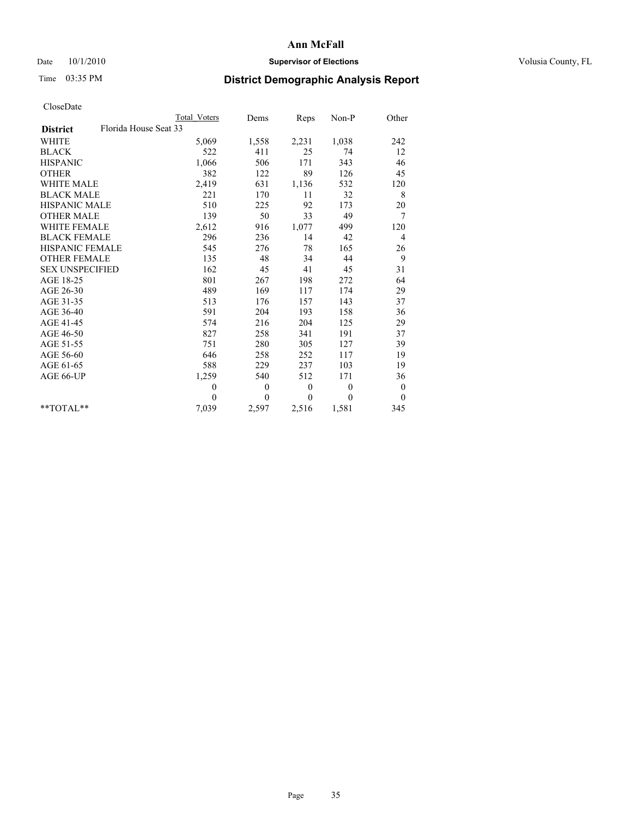### Date  $10/1/2010$  **Supervisor of Elections Supervisor of Elections** Volusia County, FL

# Time 03:35 PM **District Demographic Analysis Report**

|                                          | <b>Total Voters</b> | Dems     | <b>Reps</b> | Non-P        | Other            |
|------------------------------------------|---------------------|----------|-------------|--------------|------------------|
| Florida House Seat 33<br><b>District</b> |                     |          |             |              |                  |
| <b>WHITE</b>                             | 5,069               | 1,558    | 2,231       | 1,038        | 242              |
| <b>BLACK</b>                             | 522                 | 411      | 25          | 74           | 12               |
| <b>HISPANIC</b>                          | 1,066               | 506      | 171         | 343          | 46               |
| <b>OTHER</b>                             | 382                 | 122      | 89          | 126          | 45               |
| <b>WHITE MALE</b>                        | 2,419               | 631      | 1,136       | 532          | 120              |
| <b>BLACK MALE</b>                        | 221                 | 170      | 11          | 32           | $\,$ 8 $\,$      |
| <b>HISPANIC MALE</b>                     | 510                 | 225      | 92          | 173          | 20               |
| <b>OTHER MALE</b>                        | 139                 | 50       | 33          | 49           | 7                |
| WHITE FEMALE                             | 2,612               | 916      | 1,077       | 499          | 120              |
| <b>BLACK FEMALE</b>                      | 296                 | 236      | 14          | 42           | 4                |
| HISPANIC FEMALE                          | 545                 | 276      | 78          | 165          | 26               |
| <b>OTHER FEMALE</b>                      | 135                 | 48       | 34          | 44           | 9                |
| <b>SEX UNSPECIFIED</b>                   | 162                 | 45       | 41          | 45           | 31               |
| AGE 18-25                                | 801                 | 267      | 198         | 272          | 64               |
| AGE 26-30                                | 489                 | 169      | 117         | 174          | 29               |
| AGE 31-35                                | 513                 | 176      | 157         | 143          | 37               |
| AGE 36-40                                | 591                 | 204      | 193         | 158          | 36               |
| AGE 41-45                                | 574                 | 216      | 204         | 125          | 29               |
| AGE 46-50                                | 827                 | 258      | 341         | 191          | 37               |
| AGE 51-55                                | 751                 | 280      | 305         | 127          | 39               |
| AGE 56-60                                | 646                 | 258      | 252         | 117          | 19               |
| AGE 61-65                                | 588                 | 229      | 237         | 103          | 19               |
| AGE 66-UP                                | 1,259               | 540      | 512         | 171          | 36               |
|                                          | $\theta$            | $\theta$ | $\theta$    | $\mathbf{0}$ | $\boldsymbol{0}$ |
|                                          | $\theta$            | $\theta$ | $\theta$    | $\mathbf{0}$ | $\mathbf{0}$     |
| $*$ $TOTAI.**$                           | 7,039               | 2,597    | 2,516       | 1,581        | 345              |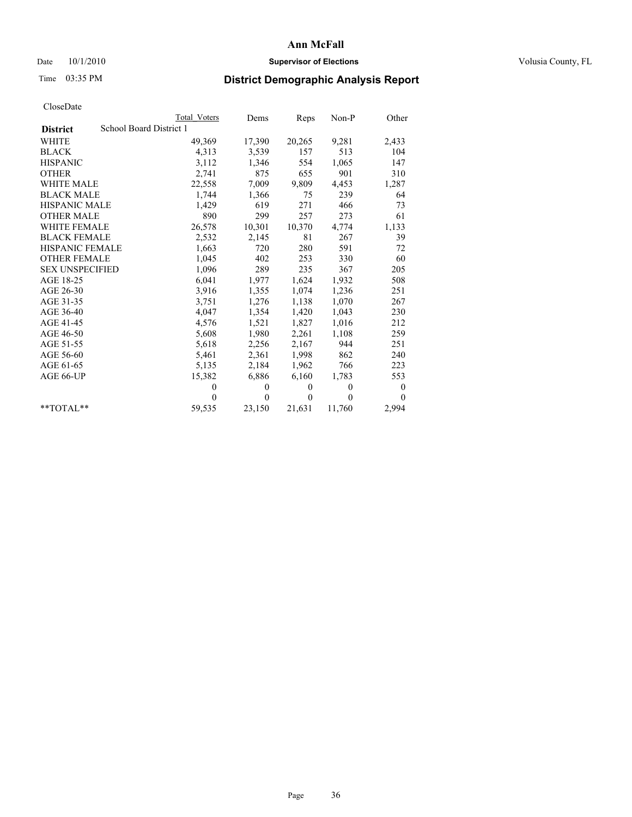### Date  $10/1/2010$  **Supervisor of Elections Supervisor of Elections** Volusia County, FL

# Time 03:35 PM **District Demographic Analysis Report**

|                                            | <b>Total Voters</b> | Dems         | Reps     | $Non-P$      | Other    |
|--------------------------------------------|---------------------|--------------|----------|--------------|----------|
| School Board District 1<br><b>District</b> |                     |              |          |              |          |
| <b>WHITE</b>                               | 49,369              | 17,390       | 20,265   | 9,281        | 2,433    |
| <b>BLACK</b>                               | 4,313               | 3,539        | 157      | 513          | 104      |
| <b>HISPANIC</b>                            | 3,112               | 1,346        | 554      | 1,065        | 147      |
| <b>OTHER</b>                               | 2,741               | 875          | 655      | 901          | 310      |
| <b>WHITE MALE</b>                          | 22,558              | 7,009        | 9,809    | 4,453        | 1,287    |
| <b>BLACK MALE</b>                          | 1,744               | 1,366        | 75       | 239          | 64       |
| <b>HISPANIC MALE</b>                       | 1,429               | 619          | 271      | 466          | 73       |
| <b>OTHER MALE</b>                          | 890                 | 299          | 257      | 273          | 61       |
| WHITE FEMALE                               | 26,578              | 10,301       | 10,370   | 4,774        | 1,133    |
| <b>BLACK FEMALE</b>                        | 2,532               | 2,145        | 81       | 267          | 39       |
| <b>HISPANIC FEMALE</b>                     | 1,663               | 720          | 280      | 591          | 72       |
| <b>OTHER FEMALE</b>                        | 1,045               | 402          | 253      | 330          | 60       |
| <b>SEX UNSPECIFIED</b>                     | 1,096               | 289          | 235      | 367          | 205      |
| AGE 18-25                                  | 6,041               | 1,977        | 1,624    | 1,932        | 508      |
| AGE 26-30                                  | 3,916               | 1,355        | 1,074    | 1,236        | 251      |
| AGE 31-35                                  | 3,751               | 1,276        | 1,138    | 1,070        | 267      |
| AGE 36-40                                  | 4,047               | 1,354        | 1,420    | 1,043        | 230      |
| AGE 41-45                                  | 4,576               | 1,521        | 1,827    | 1,016        | 212      |
| AGE 46-50                                  | 5,608               | 1,980        | 2,261    | 1,108        | 259      |
| AGE 51-55                                  | 5,618               | 2,256        | 2,167    | 944          | 251      |
| AGE 56-60                                  | 5,461               | 2,361        | 1,998    | 862          | 240      |
| AGE 61-65                                  | 5,135               | 2,184        | 1,962    | 766          | 223      |
| AGE 66-UP                                  | 15,382              | 6,886        | 6,160    | 1,783        | 553      |
|                                            | $\theta$            | $\mathbf{0}$ | $\theta$ | $\mathbf{0}$ | 0        |
|                                            | $\theta$            | $\theta$     | $\theta$ | $\theta$     | $\theta$ |
| $*$ TOTAL $*$                              | 59,535              | 23,150       | 21,631   | 11,760       | 2,994    |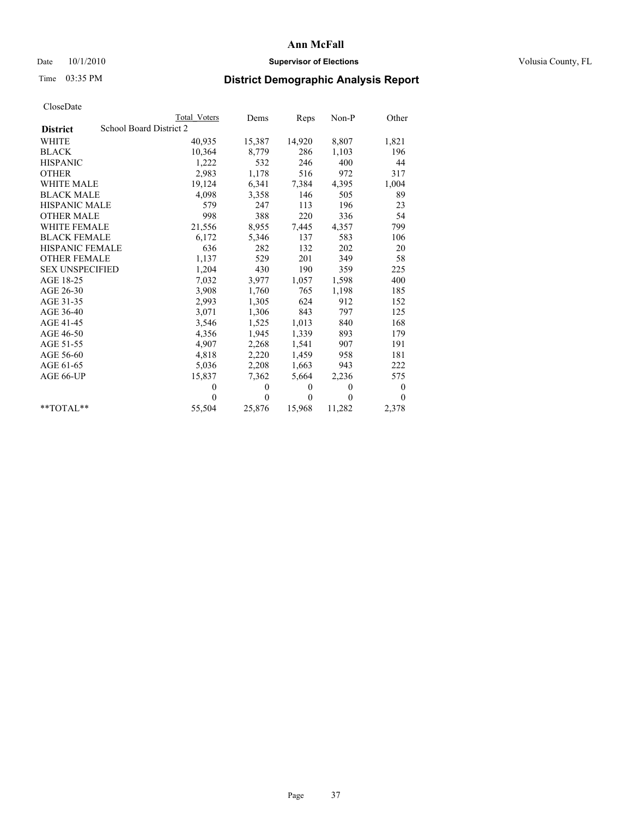## Date  $10/1/2010$  **Supervisor of Elections Supervisor of Elections** Volusia County, FL

# Time 03:35 PM **District Demographic Analysis Report**

|                        |                         | Total Voters | Dems         | Reps         | Non-P        | Other    |
|------------------------|-------------------------|--------------|--------------|--------------|--------------|----------|
| <b>District</b>        | School Board District 2 |              |              |              |              |          |
| <b>WHITE</b>           |                         | 40,935       | 15,387       | 14,920       | 8,807        | 1,821    |
| <b>BLACK</b>           |                         | 10,364       | 8,779        | 286          | 1,103        | 196      |
| <b>HISPANIC</b>        |                         | 1,222        | 532          | 246          | 400          | 44       |
| <b>OTHER</b>           |                         | 2,983        | 1,178        | 516          | 972          | 317      |
| <b>WHITE MALE</b>      |                         | 19,124       | 6,341        | 7,384        | 4,395        | 1,004    |
| <b>BLACK MALE</b>      |                         | 4,098        | 3,358        | 146          | 505          | 89       |
| <b>HISPANIC MALE</b>   |                         | 579          | 247          | 113          | 196          | 23       |
| <b>OTHER MALE</b>      |                         | 998          | 388          | 220          | 336          | 54       |
| <b>WHITE FEMALE</b>    |                         | 21,556       | 8,955        | 7,445        | 4,357        | 799      |
| <b>BLACK FEMALE</b>    |                         | 6,172        | 5,346        | 137          | 583          | 106      |
| HISPANIC FEMALE        |                         | 636          | 282          | 132          | 202          | 20       |
| <b>OTHER FEMALE</b>    |                         | 1,137        | 529          | 201          | 349          | 58       |
| <b>SEX UNSPECIFIED</b> |                         | 1,204        | 430          | 190          | 359          | 225      |
| AGE 18-25              |                         | 7,032        | 3,977        | 1,057        | 1,598        | 400      |
| AGE 26-30              |                         | 3,908        | 1,760        | 765          | 1,198        | 185      |
| AGE 31-35              |                         | 2,993        | 1,305        | 624          | 912          | 152      |
| AGE 36-40              |                         | 3,071        | 1,306        | 843          | 797          | 125      |
| AGE 41-45              |                         | 3,546        | 1,525        | 1,013        | 840          | 168      |
| AGE 46-50              |                         | 4,356        | 1,945        | 1,339        | 893          | 179      |
| AGE 51-55              |                         | 4,907        | 2,268        | 1,541        | 907          | 191      |
| AGE 56-60              |                         | 4,818        | 2,220        | 1,459        | 958          | 181      |
| AGE 61-65              |                         | 5,036        | 2,208        | 1,663        | 943          | 222      |
| AGE 66-UP              |                         | 15,837       | 7,362        | 5,664        | 2,236        | 575      |
|                        |                         | $\theta$     | $\mathbf{0}$ | $\mathbf{0}$ | $\mathbf{0}$ | $\bf{0}$ |
|                        |                         | $\theta$     | $\theta$     | $\theta$     | $\theta$     | $\theta$ |
| $*$ $TOTAI.**$         |                         | 55,504       | 25,876       | 15,968       | 11,282       | 2,378    |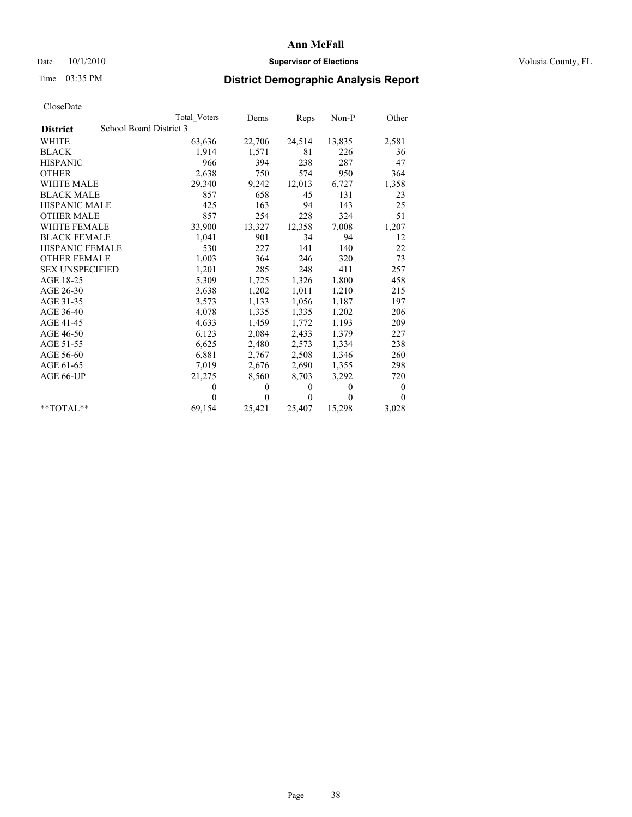# Date  $10/1/2010$  **Supervisor of Elections Supervisor of Elections** Volusia County, FL

# Time 03:35 PM **District Demographic Analysis Report**

|                        | Total Voters            | Dems           | Reps         | Non-P                        | Other    |  |
|------------------------|-------------------------|----------------|--------------|------------------------------|----------|--|
| <b>District</b>        | School Board District 3 |                |              |                              |          |  |
| <b>WHITE</b>           | 63,636                  | 22,706         | 24,514       | 13,835                       | 2,581    |  |
| <b>BLACK</b>           |                         | 1,914<br>1,571 |              | 81<br>226                    | 36       |  |
| <b>HISPANIC</b>        |                         | 966            | 394<br>238   | 287                          | 47       |  |
| <b>OTHER</b>           |                         | 2,638          | 750<br>574   | 950                          | 364      |  |
| <b>WHITE MALE</b>      | 29,340                  | 9,242          | 12,013       | 6,727                        | 1,358    |  |
| <b>BLACK MALE</b>      |                         | 857            | 658          | 45<br>131                    | 23       |  |
| <b>HISPANIC MALE</b>   |                         | 425<br>163     |              | 94<br>143                    | 25       |  |
| <b>OTHER MALE</b>      |                         | 857            | 254<br>228   | 324                          | 51       |  |
| <b>WHITE FEMALE</b>    | 33,900                  | 13,327         | 12,358       | 7,008                        | 1,207    |  |
| <b>BLACK FEMALE</b>    |                         | 1,041<br>901   |              | 34<br>94                     | 12       |  |
| HISPANIC FEMALE        |                         | 530            | 227<br>141   | 140                          | 22       |  |
| <b>OTHER FEMALE</b>    |                         | 1,003<br>364   | 246          | 320                          | 73       |  |
| <b>SEX UNSPECIFIED</b> |                         | 1,201          | 285<br>248   | 411                          | 257      |  |
| AGE 18-25              |                         | 5,309<br>1,725 | 1,326        | 1,800                        | 458      |  |
| AGE 26-30              |                         | 1,202<br>3,638 | 1,011        | 1,210                        | 215      |  |
| AGE 31-35              |                         | 3,573<br>1,133 | 1,056        | 1,187                        | 197      |  |
| AGE 36-40              |                         | 4,078<br>1,335 | 1,335        | 1,202                        | 206      |  |
| AGE 41-45              |                         | 4,633<br>1,459 | 1,772        | 1,193                        | 209      |  |
| AGE 46-50              |                         | 6,123<br>2,084 | 2,433        | 1,379                        | 227      |  |
| AGE 51-55              |                         | 6,625<br>2,480 | 2,573        | 1,334                        | 238      |  |
| AGE 56-60              |                         | 6,881<br>2,767 | 2,508        | 1,346                        | 260      |  |
| AGE 61-65              |                         | 7,019<br>2,676 | 2,690        | 1,355                        | 298      |  |
| AGE 66-UP              | 21,275                  | 8,560          | 8,703        | 3,292                        | 720      |  |
|                        |                         | $\theta$       | $\mathbf{0}$ | $\mathbf{0}$<br>$\mathbf{0}$ | $\bf{0}$ |  |
|                        |                         | $\theta$       | $\theta$     | $\theta$<br>$\theta$         | $\theta$ |  |
| $*$ $TOTAI.**$         | 69,154                  | 25,421         | 25,407       | 15,298                       | 3,028    |  |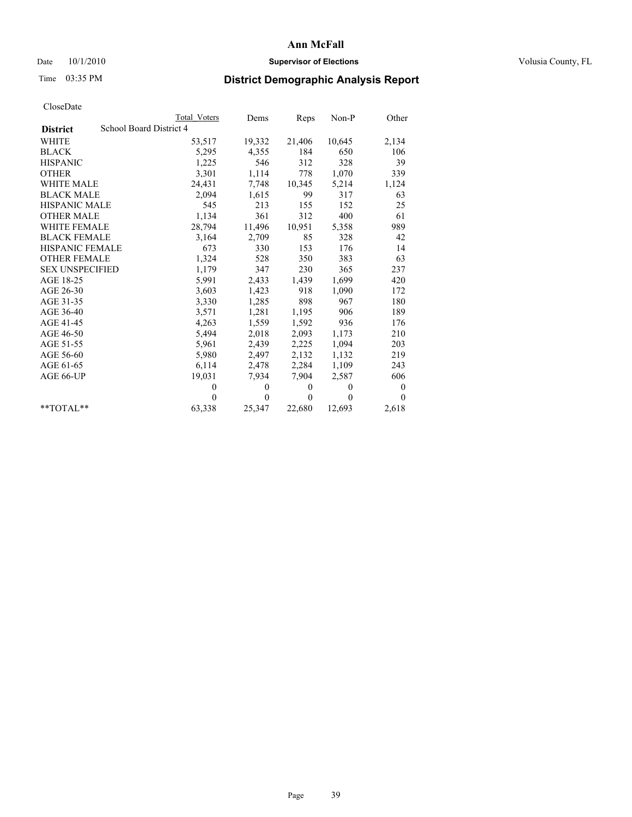# Date  $10/1/2010$  **Supervisor of Elections Supervisor of Elections** Volusia County, FL

# Time 03:35 PM **District Demographic Analysis Report**

|                                            | Total Voters | Dems           | Reps     | $Non-P$  | Other            |
|--------------------------------------------|--------------|----------------|----------|----------|------------------|
| School Board District 4<br><b>District</b> |              |                |          |          |                  |
| WHITE                                      | 53,517       | 19,332         | 21,406   | 10,645   | 2,134            |
| <b>BLACK</b>                               | 5,295        | 4,355          | 184      | 650      | 106              |
| <b>HISPANIC</b>                            | 1,225        | 546            | 312      | 328      | 39               |
| <b>OTHER</b>                               | 3,301        | 1,114          | 778      | 1,070    | 339              |
| <b>WHITE MALE</b>                          | 24,431       | 7,748          | 10,345   | 5,214    | 1,124            |
| <b>BLACK MALE</b>                          | 2,094        | 1,615          | 99       | 317      | 63               |
| <b>HISPANIC MALE</b>                       | 545          | 213            | 155      | 152      | 25               |
| <b>OTHER MALE</b>                          | 1,134        | 361            | 312      | 400      | 61               |
| WHITE FEMALE                               | 28,794       | 11,496         | 10,951   | 5,358    | 989              |
| <b>BLACK FEMALE</b>                        | 3,164        | 2,709          | 85       | 328      | 42               |
| HISPANIC FEMALE                            | 673          | 330            | 153      | 176      | 14               |
| <b>OTHER FEMALE</b>                        | 1,324        | 528            | 350      | 383      | 63               |
| <b>SEX UNSPECIFIED</b>                     | 1,179        | 347            | 230      | 365      | 237              |
| AGE 18-25                                  | 5,991        | 2,433          | 1,439    | 1,699    | 420              |
| AGE 26-30                                  | 3,603        | 1,423          | 918      | 1,090    | 172              |
| AGE 31-35                                  | 3,330        | 1,285          | 898      | 967      | 180              |
| AGE 36-40                                  | 3,571        | 1,281          | 1,195    | 906      | 189              |
| AGE 41-45                                  | 4,263        | 1,559          | 1,592    | 936      | 176              |
| AGE 46-50                                  | 5,494        | 2,018          | 2,093    | 1,173    | 210              |
| AGE 51-55                                  | 5,961        | 2,439          | 2,225    | 1,094    | 203              |
| AGE 56-60                                  | 5,980        | 2,497          | 2,132    | 1,132    | 219              |
| AGE 61-65                                  | 6,114        | 2,478          | 2,284    | 1,109    | 243              |
| AGE 66-UP                                  | 19,031       | 7,934          | 7,904    | 2,587    | 606              |
|                                            | $\mathbf{0}$ | $\theta$       | $\theta$ | $\theta$ | $\boldsymbol{0}$ |
|                                            | $\theta$     | $\overline{0}$ | $\theta$ | $\theta$ | $\theta$         |
| $*$ $TOTAI.**$                             | 63,338       | 25,347         | 22,680   | 12,693   | 2,618            |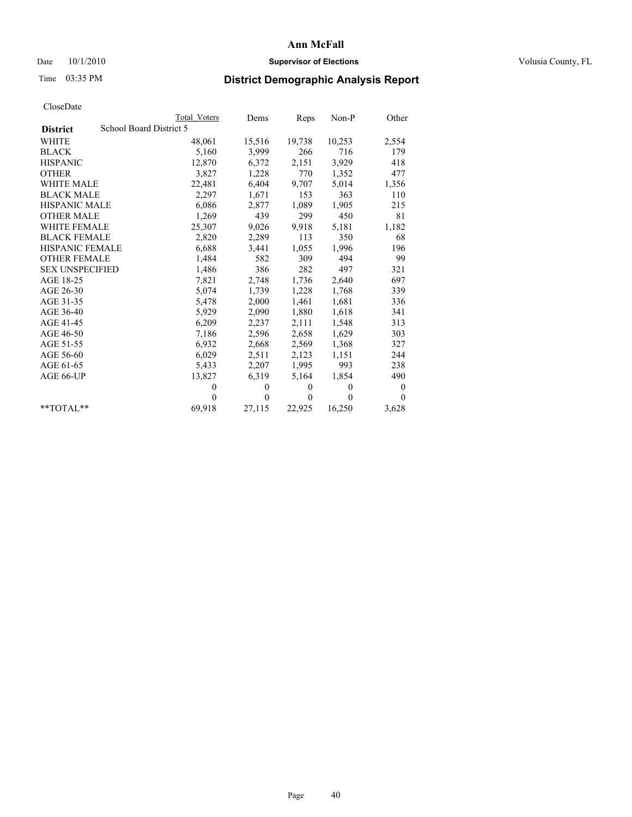## Date  $10/1/2010$  **Supervisor of Elections Supervisor of Elections** Volusia County, FL

# Time 03:35 PM **District Demographic Analysis Report**

|                                            | Total Voters | Dems     | Reps         | $Non-P$  | Other            |
|--------------------------------------------|--------------|----------|--------------|----------|------------------|
| School Board District 5<br><b>District</b> |              |          |              |          |                  |
| <b>WHITE</b>                               | 48,061       | 15,516   | 19,738       | 10,253   | 2,554            |
| <b>BLACK</b>                               | 5,160        | 3,999    | 266          | 716      | 179              |
| <b>HISPANIC</b>                            | 12,870       | 6,372    | 2,151        | 3,929    | 418              |
| <b>OTHER</b>                               | 3,827        | 1,228    | 770          | 1,352    | 477              |
| <b>WHITE MALE</b>                          | 22,481       | 6,404    | 9,707        | 5,014    | 1,356            |
| <b>BLACK MALE</b>                          | 2,297        | 1,671    | 153          | 363      | 110              |
| <b>HISPANIC MALE</b>                       | 6,086        | 2,877    | 1,089        | 1,905    | 215              |
| <b>OTHER MALE</b>                          | 1,269        | 439      | 299          | 450      | 81               |
| <b>WHITE FEMALE</b>                        | 25,307       | 9,026    | 9.918        | 5,181    | 1,182            |
| <b>BLACK FEMALE</b>                        | 2,820        | 2,289    | 113          | 350      | 68               |
| HISPANIC FEMALE                            | 6,688        | 3,441    | 1,055        | 1,996    | 196              |
| <b>OTHER FEMALE</b>                        | 1,484        | 582      | 309          | 494      | 99               |
| <b>SEX UNSPECIFIED</b>                     | 1,486        | 386      | 282          | 497      | 321              |
| AGE 18-25                                  | 7,821        | 2,748    | 1,736        | 2,640    | 697              |
| AGE 26-30                                  | 5,074        | 1,739    | 1,228        | 1,768    | 339              |
| AGE 31-35                                  | 5,478        | 2,000    | 1,461        | 1,681    | 336              |
| AGE 36-40                                  | 5,929        | 2,090    | 1,880        | 1,618    | 341              |
| AGE 41-45                                  | 6,209        | 2,237    | 2,111        | 1,548    | 313              |
| AGE 46-50                                  | 7,186        | 2,596    | 2,658        | 1,629    | 303              |
| AGE 51-55                                  | 6,932        | 2,668    | 2,569        | 1,368    | 327              |
| AGE 56-60                                  | 6,029        | 2,511    | 2,123        | 1,151    | 244              |
| AGE 61-65                                  | 5,433        | 2,207    | 1,995        | 993      | 238              |
| AGE 66-UP                                  | 13,827       | 6,319    | 5,164        | 1,854    | 490              |
|                                            | $\theta$     | $\theta$ | $\theta$     | $\theta$ | $\boldsymbol{0}$ |
|                                            | $\Omega$     | $\theta$ | $\mathbf{0}$ | $\theta$ | $\theta$         |
| $*$ $TOTAI.**$                             | 69,918       | 27,115   | 22,925       | 16,250   | 3,628            |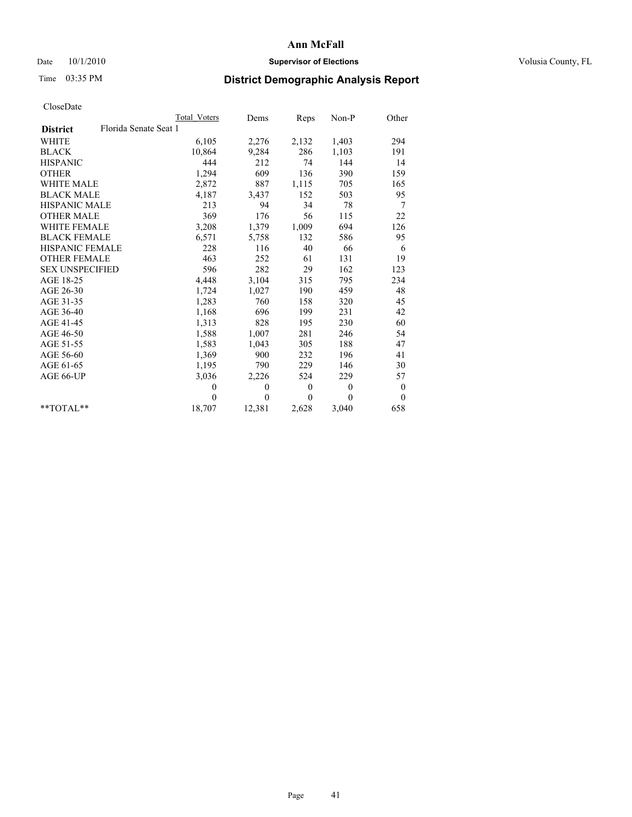# Date  $10/1/2010$  **Supervisor of Elections Supervisor of Elections** Volusia County, FL

# Time 03:35 PM **District Demographic Analysis Report**

|                                          | <b>Total Voters</b> | Dems           | Reps         | Non-P        | Other            |
|------------------------------------------|---------------------|----------------|--------------|--------------|------------------|
| Florida Senate Seat 1<br><b>District</b> |                     |                |              |              |                  |
| WHITE                                    | 6,105               | 2,276          | 2,132        | 1,403        | 294              |
| <b>BLACK</b>                             | 10,864              | 9,284          | 286          | 1,103        | 191              |
| <b>HISPANIC</b>                          | 444                 | 212            | 74           | 144          | 14               |
| <b>OTHER</b>                             | 1,294               | 609            | 136          | 390          | 159              |
| <b>WHITE MALE</b>                        | 2,872               | 887            | 1,115        | 705          | 165              |
| <b>BLACK MALE</b>                        | 4,187               | 3,437          | 152          | 503          | 95               |
| HISPANIC MALE                            | 213                 | 94             | 34           | 78           | 7                |
| <b>OTHER MALE</b>                        | 369                 | 176            | 56           | 115          | 22               |
| WHITE FEMALE                             | 3,208               | 1,379          | 1,009        | 694          | 126              |
| <b>BLACK FEMALE</b>                      | 6,571               | 5,758          | 132          | 586          | 95               |
| HISPANIC FEMALE                          | 228                 | 116            | 40           | 66           | 6                |
| <b>OTHER FEMALE</b>                      | 463                 | 252            | 61           | 131          | 19               |
| <b>SEX UNSPECIFIED</b>                   | 596                 | 282            | 29           | 162          | 123              |
| AGE 18-25                                | 4,448               | 3,104          | 315          | 795          | 234              |
| AGE 26-30                                | 1,724               | 1,027          | 190          | 459          | 48               |
| AGE 31-35                                | 1,283               | 760            | 158          | 320          | 45               |
| AGE 36-40                                | 1,168               | 696            | 199          | 231          | 42               |
| AGE 41-45                                | 1,313               | 828            | 195          | 230          | 60               |
| AGE 46-50                                | 1,588               | 1,007          | 281          | 246          | 54               |
| AGE 51-55                                | 1,583               | 1,043          | 305          | 188          | 47               |
| AGE 56-60                                | 1,369               | 900            | 232          | 196          | 41               |
| AGE 61-65                                | 1,195               | 790            | 229          | 146          | 30               |
| AGE 66-UP                                | 3,036               | 2,226          | 524          | 229          | 57               |
|                                          | $\theta$            | $\theta$       | $\mathbf{0}$ | $\mathbf{0}$ | $\boldsymbol{0}$ |
|                                          | $\theta$            | $\overline{0}$ | $\Omega$     | $\theta$     | $\theta$         |
| $*$ $TOTAI.**$                           | 18,707              | 12,381         | 2,628        | 3,040        | 658              |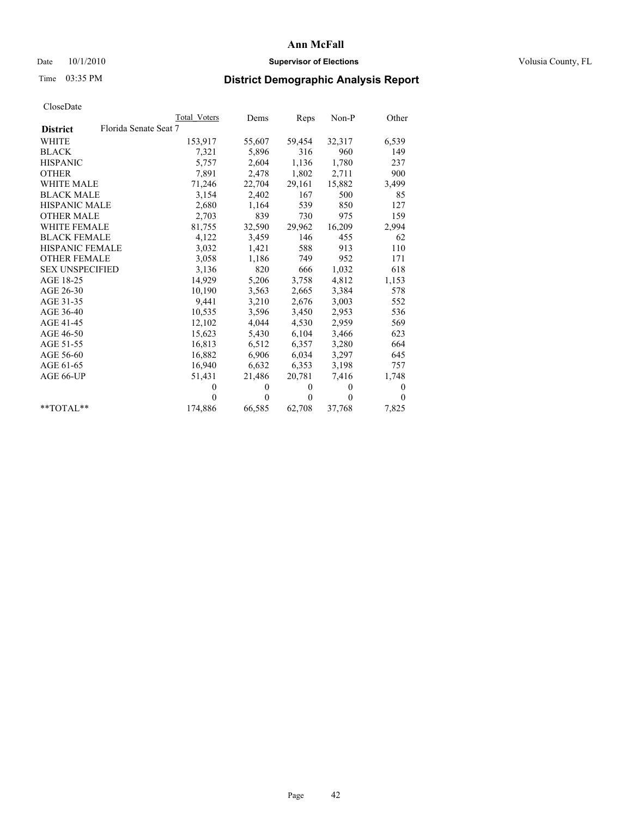# Date  $10/1/2010$  **Supervisor of Elections Supervisor of Elections** Volusia County, FL

# Time 03:35 PM **District Demographic Analysis Report**

|                                          | Total Voters | Dems         | Reps     | $Non-P$      | Other    |
|------------------------------------------|--------------|--------------|----------|--------------|----------|
| Florida Senate Seat 7<br><b>District</b> |              |              |          |              |          |
| <b>WHITE</b>                             | 153,917      | 55,607       | 59,454   | 32,317       | 6,539    |
| <b>BLACK</b>                             | 7,321        | 5,896        | 316      | 960          | 149      |
| <b>HISPANIC</b>                          | 5,757        | 2,604        | 1,136    | 1,780        | 237      |
| <b>OTHER</b>                             | 7,891        | 2,478        | 1,802    | 2,711        | 900      |
| <b>WHITE MALE</b>                        | 71,246       | 22,704       | 29,161   | 15,882       | 3,499    |
| <b>BLACK MALE</b>                        | 3,154        | 2,402        | 167      | 500          | 85       |
| HISPANIC MALE                            | 2,680        | 1,164        | 539      | 850          | 127      |
| <b>OTHER MALE</b>                        | 2,703        | 839          | 730      | 975          | 159      |
| WHITE FEMALE                             | 81,755       | 32,590       | 29,962   | 16,209       | 2,994    |
| <b>BLACK FEMALE</b>                      | 4,122        | 3,459        | 146      | 455          | 62       |
| <b>HISPANIC FEMALE</b>                   | 3,032        | 1,421        | 588      | 913          | 110      |
| <b>OTHER FEMALE</b>                      | 3,058        | 1,186        | 749      | 952          | 171      |
| <b>SEX UNSPECIFIED</b>                   | 3,136        | 820          | 666      | 1,032        | 618      |
| AGE 18-25                                | 14,929       | 5,206        | 3,758    | 4,812        | 1,153    |
| AGE 26-30                                | 10,190       | 3,563        | 2,665    | 3,384        | 578      |
| AGE 31-35                                | 9,441        | 3,210        | 2,676    | 3,003        | 552      |
| AGE 36-40                                | 10,535       | 3,596        | 3,450    | 2,953        | 536      |
| AGE 41-45                                | 12,102       | 4,044        | 4,530    | 2,959        | 569      |
| AGE 46-50                                | 15,623       | 5,430        | 6,104    | 3,466        | 623      |
| AGE 51-55                                | 16,813       | 6,512        | 6,357    | 3,280        | 664      |
| AGE 56-60                                | 16,882       | 6,906        | 6,034    | 3,297        | 645      |
| AGE 61-65                                | 16,940       | 6,632        | 6,353    | 3,198        | 757      |
| AGE 66-UP                                | 51,431       | 21,486       | 20,781   | 7.416        | 1,748    |
|                                          | $\theta$     | $\mathbf{0}$ | $\theta$ | $\mathbf{0}$ | 0        |
|                                          | $\theta$     | $\theta$     | $\theta$ | $\theta$     | $\theta$ |
| $*$ TOTAL $*$                            | 174,886      | 66,585       | 62,708   | 37,768       | 7,825    |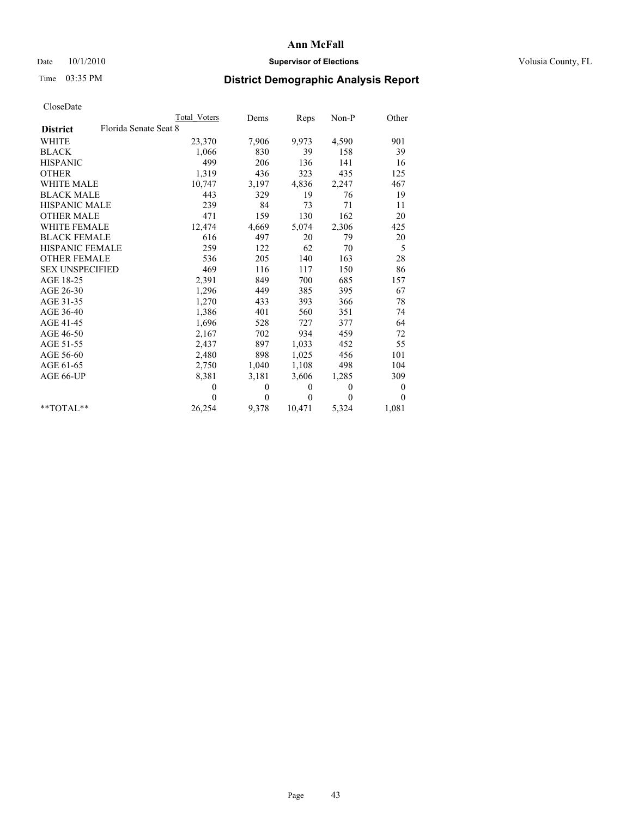# Date  $10/1/2010$  **Supervisor of Elections Supervisor of Elections** Volusia County, FL

# Time 03:35 PM **District Demographic Analysis Report**

|                                          | Total Voters | Dems         | Reps         | $Non-P$  | Other        |
|------------------------------------------|--------------|--------------|--------------|----------|--------------|
| Florida Senate Seat 8<br><b>District</b> |              |              |              |          |              |
| <b>WHITE</b>                             | 23,370       | 7,906        | 9,973        | 4,590    | 901          |
| <b>BLACK</b>                             | 1,066        | 830          | 39           | 158      | 39           |
| <b>HISPANIC</b>                          | 499          | 206          | 136          | 141      | 16           |
| <b>OTHER</b>                             | 1,319        | 436          | 323          | 435      | 125          |
| <b>WHITE MALE</b>                        | 10,747       | 3,197        | 4,836        | 2,247    | 467          |
| <b>BLACK MALE</b>                        | 443          | 329          | 19           | 76       | 19           |
| HISPANIC MALE                            | 239          | 84           | 73           | 71       | 11           |
| <b>OTHER MALE</b>                        | 471          | 159          | 130          | 162      | 20           |
| <b>WHITE FEMALE</b>                      | 12,474       | 4,669        | 5,074        | 2,306    | 425          |
| <b>BLACK FEMALE</b>                      | 616          | 497          | 20           | 79       | 20           |
| HISPANIC FEMALE                          | 259          | 122          | 62           | 70       | 5            |
| <b>OTHER FEMALE</b>                      | 536          | 205          | 140          | 163      | 28           |
| <b>SEX UNSPECIFIED</b>                   | 469          | 116          | 117          | 150      | 86           |
| AGE 18-25                                | 2,391        | 849          | 700          | 685      | 157          |
| AGE 26-30                                | 1,296        | 449          | 385          | 395      | 67           |
| AGE 31-35                                | 1,270        | 433          | 393          | 366      | 78           |
| AGE 36-40                                | 1,386        | 401          | 560          | 351      | 74           |
| AGE 41-45                                | 1,696        | 528          | 727          | 377      | 64           |
| AGE 46-50                                | 2,167        | 702          | 934          | 459      | 72           |
| AGE 51-55                                | 2,437        | 897          | 1,033        | 452      | 55           |
| AGE 56-60                                | 2,480        | 898          | 1,025        | 456      | 101          |
| AGE 61-65                                | 2,750        | 1,040        | 1,108        | 498      | 104          |
| AGE 66-UP                                | 8,381        | 3,181        | 3,606        | 1,285    | 309          |
|                                          | $\mathbf{0}$ | $\mathbf{0}$ | $\mathbf{0}$ | $\theta$ | $\mathbf{0}$ |
|                                          | $\theta$     | $\theta$     | $\Omega$     | $\theta$ | $\theta$     |
| $*$ $TOTAI.**$                           | 26,254       | 9,378        | 10,471       | 5,324    | 1,081        |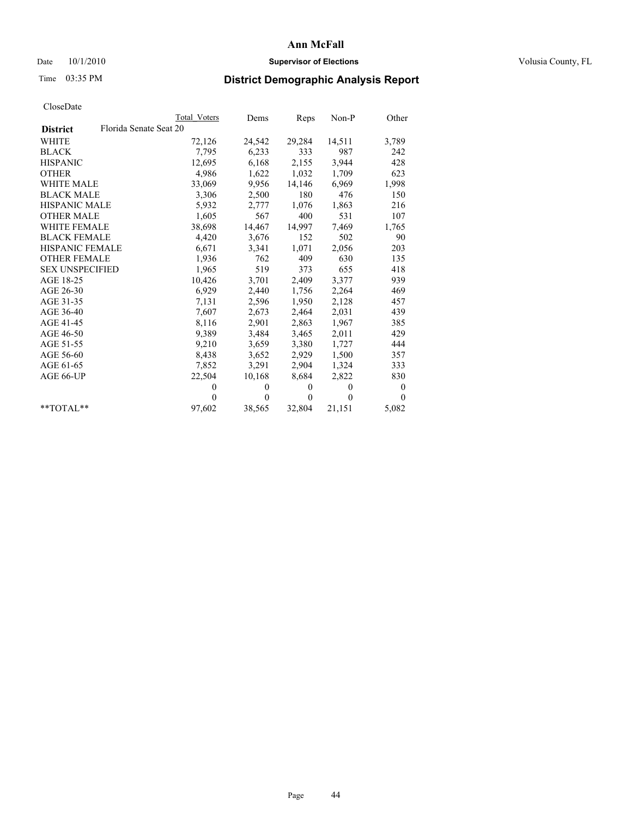# Date  $10/1/2010$  **Supervisor of Elections Supervisor of Elections** Volusia County, FL

# Time 03:35 PM **District Demographic Analysis Report**

|                                           | Total Voters | Dems     | Reps         | Non-P    | Other        |
|-------------------------------------------|--------------|----------|--------------|----------|--------------|
| Florida Senate Seat 20<br><b>District</b> |              |          |              |          |              |
| WHITE                                     | 72,126       | 24,542   | 29,284       | 14,511   | 3,789        |
| <b>BLACK</b>                              | 7,795        | 6,233    | 333          | 987      | 242          |
| <b>HISPANIC</b>                           | 12,695       | 6,168    | 2,155        | 3.944    | 428          |
| <b>OTHER</b>                              | 4,986        | 1,622    | 1,032        | 1,709    | 623          |
| <b>WHITE MALE</b>                         | 33,069       | 9,956    | 14,146       | 6,969    | 1,998        |
| <b>BLACK MALE</b>                         | 3,306        | 2,500    | 180          | 476      | 150          |
| <b>HISPANIC MALE</b>                      | 5,932        | 2,777    | 1,076        | 1,863    | 216          |
| <b>OTHER MALE</b>                         | 1,605        | 567      | 400          | 531      | 107          |
| WHITE FEMALE                              | 38,698       | 14,467   | 14,997       | 7,469    | 1,765        |
| <b>BLACK FEMALE</b>                       | 4,420        | 3,676    | 152          | 502      | 90           |
| <b>HISPANIC FEMALE</b>                    | 6,671        | 3,341    | 1,071        | 2,056    | 203          |
| <b>OTHER FEMALE</b>                       | 1,936        | 762      | 409          | 630      | 135          |
| <b>SEX UNSPECIFIED</b>                    | 1,965        | 519      | 373          | 655      | 418          |
| AGE 18-25                                 | 10,426       | 3,701    | 2,409        | 3,377    | 939          |
| AGE 26-30                                 | 6,929        | 2,440    | 1,756        | 2,264    | 469          |
| AGE 31-35                                 | 7,131        | 2,596    | 1,950        | 2,128    | 457          |
| AGE 36-40                                 | 7,607        | 2,673    | 2,464        | 2,031    | 439          |
| AGE 41-45                                 | 8,116        | 2,901    | 2,863        | 1,967    | 385          |
| AGE 46-50                                 | 9,389        | 3,484    | 3,465        | 2,011    | 429          |
| AGE 51-55                                 | 9,210        | 3,659    | 3,380        | 1,727    | 444          |
| AGE 56-60                                 | 8,438        | 3,652    | 2,929        | 1,500    | 357          |
| AGE 61-65                                 | 7,852        | 3,291    | 2,904        | 1,324    | 333          |
| AGE 66-UP                                 | 22,504       | 10,168   | 8,684        | 2,822    | 830          |
|                                           | $\mathbf{0}$ | $\theta$ | $\mathbf{0}$ | $\theta$ | $\mathbf{0}$ |
|                                           | $\Omega$     | $\theta$ | $\theta$     | $\theta$ | $\theta$     |
| $*$ $TOTAI.**$                            | 97,602       | 38,565   | 32,804       | 21,151   | 5,082        |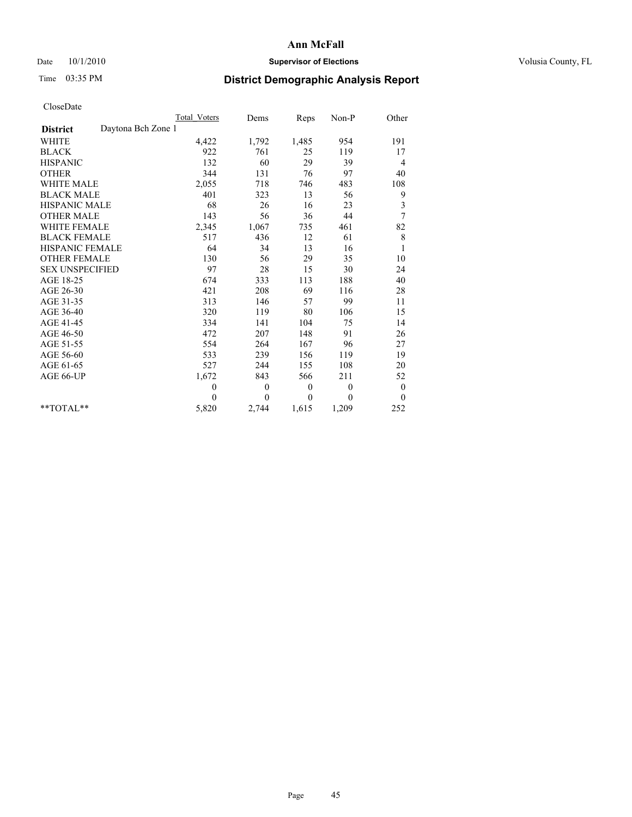# Date  $10/1/2010$  **Supervisor of Elections Supervisor of Elections** Volusia County, FL

# Time 03:35 PM **District Demographic Analysis Report**

|                                       | Total Voters | Dems         | Reps         | $Non-P$      | Other            |
|---------------------------------------|--------------|--------------|--------------|--------------|------------------|
| Daytona Bch Zone 1<br><b>District</b> |              |              |              |              |                  |
| WHITE                                 | 4,422        | 1,792        | 1,485        | 954          | 191              |
| <b>BLACK</b>                          | 922          | 761          | 25           | 119          | 17               |
| <b>HISPANIC</b>                       | 132          | 60           | 29           | 39           | 4                |
| <b>OTHER</b>                          | 344          | 131          | 76           | 97           | 40               |
| <b>WHITE MALE</b>                     | 2,055        | 718          | 746          | 483          | 108              |
| <b>BLACK MALE</b>                     | 401          | 323          | 13           | 56           | 9                |
| <b>HISPANIC MALE</b>                  | 68           | 26           | 16           | 23           | $\mathfrak{Z}$   |
| <b>OTHER MALE</b>                     | 143          | 56           | 36           | 44           | $\overline{7}$   |
| WHITE FEMALE                          | 2,345        | 1,067        | 735          | 461          | 82               |
| <b>BLACK FEMALE</b>                   | 517          | 436          | 12           | 61           | $\,$ 8 $\,$      |
| HISPANIC FEMALE                       | 64           | 34           | 13           | 16           | $\mathbf{1}$     |
| <b>OTHER FEMALE</b>                   | 130          | 56           | 29           | 35           | 10               |
| <b>SEX UNSPECIFIED</b>                | 97           | $28\,$       | 15           | 30           | 24               |
| AGE 18-25                             | 674          | 333          | 113          | 188          | 40               |
| AGE 26-30                             | 421          | 208          | 69           | 116          | 28               |
| AGE 31-35                             | 313          | 146          | 57           | 99           | 11               |
| AGE 36-40                             | 320          | 119          | 80           | 106          | 15               |
| AGE 41-45                             | 334          | 141          | 104          | 75           | 14               |
| AGE 46-50                             | 472          | 207          | 148          | 91           | 26               |
| AGE 51-55                             | 554          | 264          | 167          | 96           | 27               |
| AGE 56-60                             | 533          | 239          | 156          | 119          | 19               |
| AGE 61-65                             | 527          | 244          | 155          | 108          | 20               |
| AGE 66-UP                             | 1,672        | 843          | 566          | 211          | 52               |
|                                       | $\mathbf{0}$ | $\mathbf{0}$ | $\mathbf{0}$ | $\mathbf{0}$ | $\boldsymbol{0}$ |
|                                       | $\Omega$     | $\theta$     | $\theta$     | $\theta$     | $\theta$         |
| $*$ TOTAL $*$                         | 5,820        | 2,744        | 1,615        | 1,209        | 252              |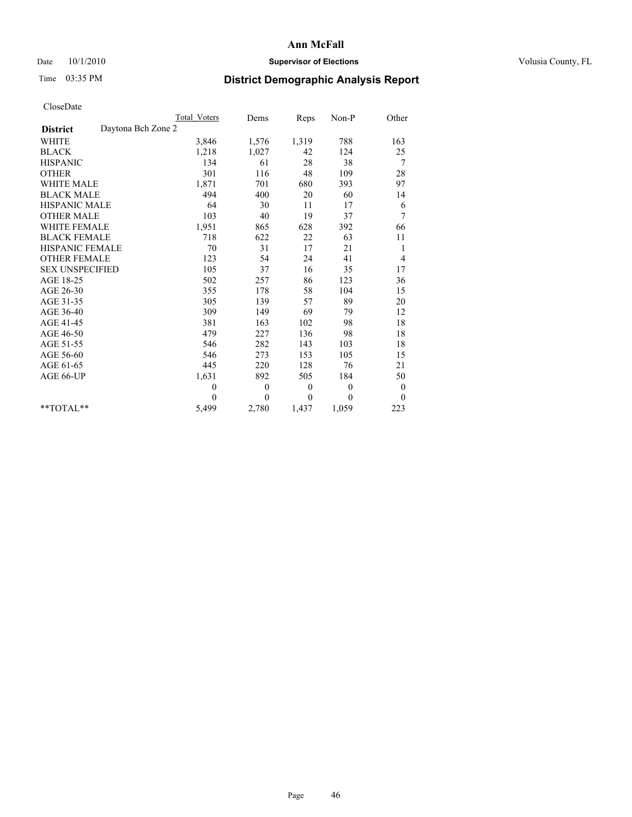# Date  $10/1/2010$  **Supervisor of Elections Supervisor of Elections** Volusia County, FL

# Time 03:35 PM **District Demographic Analysis Report**

|                                       | Total Voters | Dems         | Reps         | $Non-P$      | Other            |  |
|---------------------------------------|--------------|--------------|--------------|--------------|------------------|--|
| Daytona Bch Zone 2<br><b>District</b> |              |              |              |              |                  |  |
| <b>WHITE</b>                          | 3,846        | 1,576        | 1,319        | 788          | 163              |  |
| <b>BLACK</b>                          | 1,218        | 1,027        | 42           | 124          | 25               |  |
| <b>HISPANIC</b>                       | 134          | 61           | 28           | 38           | 7                |  |
| <b>OTHER</b>                          | 301          | 116          | 48           | 109          | 28               |  |
| <b>WHITE MALE</b>                     | 1,871        | 701          | 680          | 393          | 97               |  |
| <b>BLACK MALE</b>                     | 494          | 400          | 20           | 60           | 14               |  |
| <b>HISPANIC MALE</b>                  | 64           | 30           | 11           | 17           | 6                |  |
| <b>OTHER MALE</b>                     | 103          | 40           | 19           | 37           | 7                |  |
| <b>WHITE FEMALE</b>                   | 1,951        | 865          | 628          | 392          | 66               |  |
| <b>BLACK FEMALE</b>                   | 718          | 622          | 22           | 63           | 11               |  |
| HISPANIC FEMALE                       | 70           | 31           | 17           | 21           | 1                |  |
| <b>OTHER FEMALE</b>                   | 123          | 54           | 24           | 41           | 4                |  |
| <b>SEX UNSPECIFIED</b>                | 105          | 37           | 16           | 35           | 17               |  |
| AGE 18-25                             | 502          | 257          | 86           | 123          | 36               |  |
| AGE 26-30                             | 355          | 178          | 58           | 104          | 15               |  |
| AGE 31-35                             | 305          | 139          | 57           | 89           | 20               |  |
| AGE 36-40                             | 309          | 149          | 69           | 79           | 12               |  |
| AGE 41-45                             | 381          | 163          | 102          | 98           | $18\,$           |  |
| AGE 46-50                             | 479          | 227          | 136          | 98           | 18               |  |
| AGE 51-55                             | 546          | 282          | 143          | 103          | 18               |  |
| AGE 56-60                             | 546          | 273          | 153          | 105          | 15               |  |
| AGE 61-65                             | 445          | 220          | 128          | 76           | 21               |  |
| AGE 66-UP                             | 1,631        | 892          | 505          | 184          | 50               |  |
|                                       | $\mathbf{0}$ | $\mathbf{0}$ | $\mathbf{0}$ | $\mathbf{0}$ | $\boldsymbol{0}$ |  |
|                                       | $\Omega$     | $\theta$     | $\mathbf{0}$ | $\theta$     | $\theta$         |  |
| $*$ $TOTAI.**$                        | 5,499        | 2,780        | 1,437        | 1,059        | 223              |  |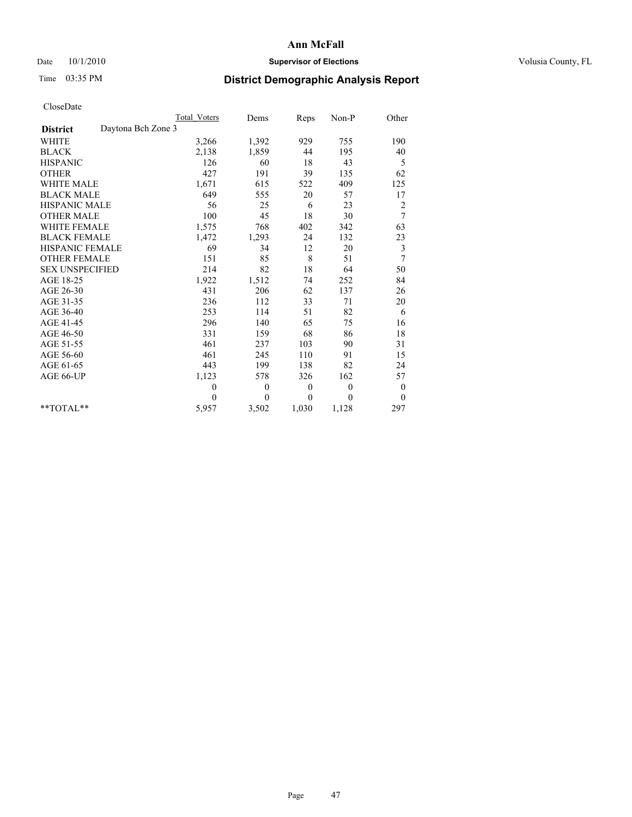# Date  $10/1/2010$  **Supervisor of Elections Supervisor of Elections** Volusia County, FL

# Time 03:35 PM **District Demographic Analysis Report**

|                                       | Total Voters | Dems         | Reps             | Non-P    | Other            |
|---------------------------------------|--------------|--------------|------------------|----------|------------------|
| Daytona Bch Zone 3<br><b>District</b> |              |              |                  |          |                  |
| <b>WHITE</b>                          | 3,266        | 1,392        | 929              | 755      | 190              |
| <b>BLACK</b>                          | 2,138        | 1,859        | 44               | 195      | 40               |
| <b>HISPANIC</b>                       | 126          | 60           | 18               | 43       | 5                |
| <b>OTHER</b>                          | 427          | 191          | 39               | 135      | 62               |
| <b>WHITE MALE</b>                     | 1,671        | 615          | 522              | 409      | 125              |
| <b>BLACK MALE</b>                     | 649          | 555          | 20               | 57       | 17               |
| <b>HISPANIC MALE</b>                  | 56           | 25           | 6                | 23       | 2                |
| <b>OTHER MALE</b>                     | 100          | 45           | 18               | 30       | 7                |
| WHITE FEMALE                          | 1,575        | 768          | 402              | 342      | 63               |
| <b>BLACK FEMALE</b>                   | 1,472        | 1,293        | 24               | 132      | 23               |
| HISPANIC FEMALE                       | 69           | 34           | 12               | 20       | 3                |
| <b>OTHER FEMALE</b>                   | 151          | 85           | 8                | 51       | 7                |
| <b>SEX UNSPECIFIED</b>                | 214          | 82           | 18               | 64       | 50               |
| AGE 18-25                             | 1,922        | 1,512        | 74               | 252      | 84               |
| AGE 26-30                             | 431          | 206          | 62               | 137      | 26               |
| AGE 31-35                             | 236          | 112          | 33               | 71       | 20               |
| AGE 36-40                             | 253          | 114          | 51               | 82       | 6                |
| AGE 41-45                             | 296          | 140          | 65               | 75       | 16               |
| AGE 46-50                             | 331          | 159          | 68               | 86       | 18               |
| AGE 51-55                             | 461          | 237          | 103              | 90       | 31               |
| AGE 56-60                             | 461          | 245          | 110              | 91       | 15               |
| AGE 61-65                             | 443          | 199          | 138              | 82       | 24               |
| AGE 66-UP                             | 1,123        | 578          | 326              | 162      | 57               |
|                                       | $\mathbf{0}$ | $\mathbf{0}$ | $\boldsymbol{0}$ | $\theta$ | $\boldsymbol{0}$ |
|                                       | $\theta$     | $\theta$     | $\theta$         | $\theta$ | $\theta$         |
| $*$ TOTAL $*$                         | 5,957        | 3,502        | 1,030            | 1,128    | 297              |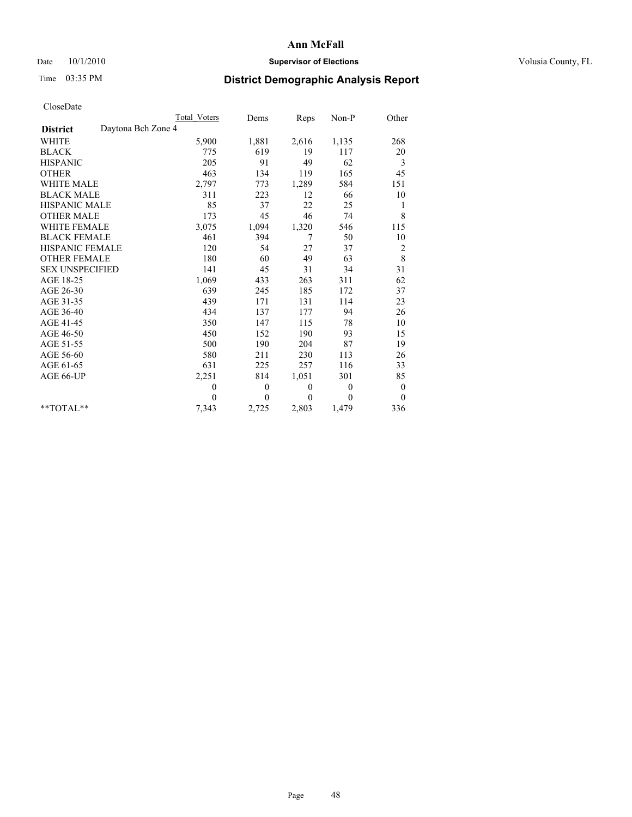# Date  $10/1/2010$  **Supervisor of Elections Supervisor of Elections** Volusia County, FL

# Time 03:35 PM **District Demographic Analysis Report**

|                                       | Total Voters | Dems     | Reps     | $Non-P$      | Other            |
|---------------------------------------|--------------|----------|----------|--------------|------------------|
| Daytona Bch Zone 4<br><b>District</b> |              |          |          |              |                  |
| WHITE                                 | 5,900        | 1,881    | 2,616    | 1,135        | 268              |
| <b>BLACK</b>                          | 775          | 619      | 19       | 117          | 20               |
| <b>HISPANIC</b>                       | 205          | 91       | 49       | 62           | 3                |
| <b>OTHER</b>                          | 463          | 134      | 119      | 165          | 45               |
| <b>WHITE MALE</b>                     | 2,797        | 773      | 1,289    | 584          | 151              |
| <b>BLACK MALE</b>                     | 311          | 223      | 12       | 66           | 10               |
| <b>HISPANIC MALE</b>                  | 85           | 37       | 22       | 25           | 1                |
| <b>OTHER MALE</b>                     | 173          | 45       | 46       | 74           | 8                |
| WHITE FEMALE                          | 3,075        | 1,094    | 1,320    | 546          | 115              |
| <b>BLACK FEMALE</b>                   | 461          | 394      | 7        | 50           | 10               |
| HISPANIC FEMALE                       | 120          | 54       | 27       | 37           | 2                |
| <b>OTHER FEMALE</b>                   | 180          | 60       | 49       | 63           | $\,8\,$          |
| <b>SEX UNSPECIFIED</b>                | 141          | 45       | 31       | 34           | 31               |
| AGE 18-25                             | 1,069        | 433      | 263      | 311          | 62               |
| AGE 26-30                             | 639          | 245      | 185      | 172          | 37               |
| AGE 31-35                             | 439          | 171      | 131      | 114          | 23               |
| AGE 36-40                             | 434          | 137      | 177      | 94           | 26               |
| AGE 41-45                             | 350          | 147      | 115      | 78           | 10               |
| AGE 46-50                             | 450          | 152      | 190      | 93           | 15               |
| AGE 51-55                             | 500          | 190      | 204      | 87           | 19               |
| AGE 56-60                             | 580          | 211      | 230      | 113          | 26               |
| AGE 61-65                             | 631          | 225      | 257      | 116          | 33               |
| AGE 66-UP                             | 2,251        | 814      | 1,051    | 301          | 85               |
|                                       | $\theta$     | $\theta$ | $\theta$ | $\mathbf{0}$ | $\boldsymbol{0}$ |
|                                       | $\theta$     | $\theta$ | $\theta$ | $\theta$     | $\theta$         |
| $*$ TOTAL $*$                         | 7,343        | 2,725    | 2,803    | 1,479        | 336              |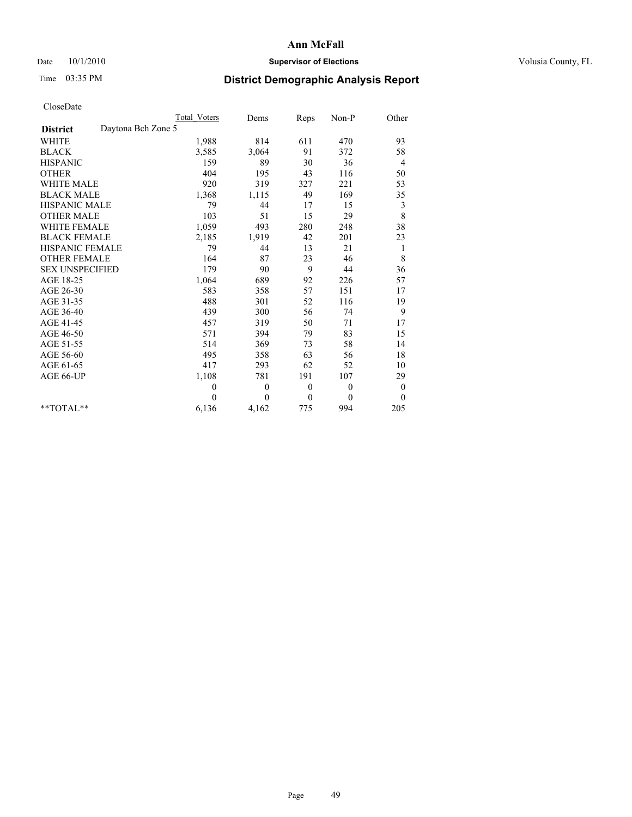# Date  $10/1/2010$  **Supervisor of Elections Supervisor of Elections** Volusia County, FL

# Time 03:35 PM **District Demographic Analysis Report**

|                                       | Total Voters | Dems         | Reps             | Non-P    | Other            |
|---------------------------------------|--------------|--------------|------------------|----------|------------------|
| Daytona Bch Zone 5<br><b>District</b> |              |              |                  |          |                  |
| <b>WHITE</b>                          | 1,988        | 814          | 611              | 470      | 93               |
| <b>BLACK</b>                          | 3,585        | 3,064        | 91               | 372      | 58               |
| <b>HISPANIC</b>                       | 159          | 89           | 30               | 36       | $\overline{4}$   |
| <b>OTHER</b>                          | 404          | 195          | 43               | 116      | 50               |
| <b>WHITE MALE</b>                     | 920          | 319          | 327              | 221      | 53               |
| <b>BLACK MALE</b>                     | 1,368        | 1,115        | 49               | 169      | 35               |
| <b>HISPANIC MALE</b>                  | 79           | 44           | 17               | 15       | 3                |
| <b>OTHER MALE</b>                     | 103          | 51           | 15               | 29       | 8                |
| WHITE FEMALE                          | 1,059        | 493          | 280              | 248      | 38               |
| <b>BLACK FEMALE</b>                   | 2,185        | 1,919        | 42               | 201      | 23               |
| HISPANIC FEMALE                       | 79           | 44           | 13               | 21       | 1                |
| <b>OTHER FEMALE</b>                   | 164          | 87           | 23               | 46       | 8                |
| <b>SEX UNSPECIFIED</b>                | 179          | 90           | 9                | 44       | 36               |
| AGE 18-25                             | 1,064        | 689          | 92               | 226      | 57               |
| AGE 26-30                             | 583          | 358          | 57               | 151      | 17               |
| AGE 31-35                             | 488          | 301          | 52               | 116      | 19               |
| AGE 36-40                             | 439          | 300          | 56               | 74       | 9                |
| AGE 41-45                             | 457          | 319          | 50               | 71       | 17               |
| AGE 46-50                             | 571          | 394          | 79               | 83       | 15               |
| AGE 51-55                             | 514          | 369          | 73               | 58       | 14               |
| AGE 56-60                             | 495          | 358          | 63               | 56       | 18               |
| AGE 61-65                             | 417          | 293          | 62               | 52       | 10               |
| AGE 66-UP                             | 1,108        | 781          | 191              | 107      | 29               |
|                                       | $\mathbf{0}$ | $\mathbf{0}$ | $\boldsymbol{0}$ | $\theta$ | $\boldsymbol{0}$ |
|                                       | $\Omega$     | $\theta$     | $\theta$         | $\theta$ | $\theta$         |
| $*$ $TOTAI.**$                        | 6,136        | 4,162        | 775              | 994      | 205              |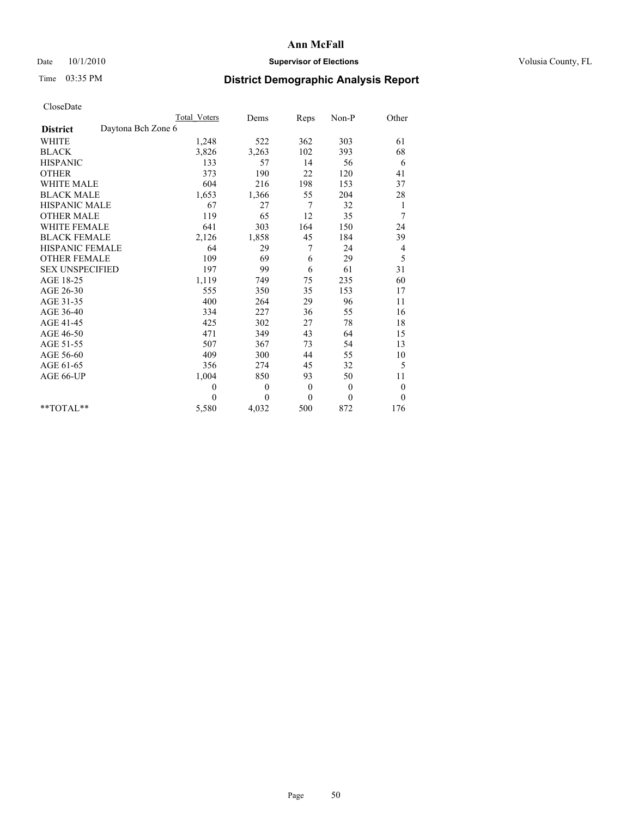## Date  $10/1/2010$  **Supervisor of Elections Supervisor of Elections** Volusia County, FL

# Time 03:35 PM **District Demographic Analysis Report**

|                                       | <b>Total Voters</b> | Dems         | Reps             | Non-P        | Other            |
|---------------------------------------|---------------------|--------------|------------------|--------------|------------------|
| Daytona Bch Zone 6<br><b>District</b> |                     |              |                  |              |                  |
| <b>WHITE</b>                          | 1,248               | 522          | 362              | 303          | 61               |
| <b>BLACK</b>                          | 3,826               | 3,263        | 102              | 393          | 68               |
| <b>HISPANIC</b>                       | 133                 | 57           | 14               | 56           | 6                |
| <b>OTHER</b>                          | 373                 | 190          | 22               | 120          | 41               |
| <b>WHITE MALE</b>                     | 604                 | 216          | 198              | 153          | 37               |
| <b>BLACK MALE</b>                     | 1,653               | 1,366        | 55               | 204          | 28               |
| HISPANIC MALE                         | 67                  | 27           | 7                | 32           | $\mathbf{1}$     |
| <b>OTHER MALE</b>                     | 119                 | 65           | 12               | 35           | 7                |
| <b>WHITE FEMALE</b>                   | 641                 | 303          | 164              | 150          | 24               |
| <b>BLACK FEMALE</b>                   | 2,126               | 1,858        | 45               | 184          | 39               |
| HISPANIC FEMALE                       | 64                  | 29           | 7                | 24           | 4                |
| <b>OTHER FEMALE</b>                   | 109                 | 69           | 6                | 29           | 5                |
| <b>SEX UNSPECIFIED</b>                | 197                 | 99           | 6                | 61           | 31               |
| AGE 18-25                             | 1,119               | 749          | 75               | 235          | 60               |
| AGE 26-30                             | 555                 | 350          | 35               | 153          | 17               |
| AGE 31-35                             | 400                 | 264          | 29               | 96           | 11               |
| AGE 36-40                             | 334                 | 227          | 36               | 55           | 16               |
| AGE 41-45                             | 425                 | 302          | 27               | 78           | 18               |
| AGE 46-50                             | 471                 | 349          | 43               | 64           | 15               |
| AGE 51-55                             | 507                 | 367          | 73               | 54           | 13               |
| AGE 56-60                             | 409                 | 300          | 44               | 55           | 10               |
| AGE 61-65                             | 356                 | 274          | 45               | 32           | 5                |
| AGE 66-UP                             | 1,004               | 850          | 93               | 50           | 11               |
|                                       | $\mathbf{0}$        | $\mathbf{0}$ | $\boldsymbol{0}$ | $\mathbf{0}$ | $\boldsymbol{0}$ |
|                                       | $\theta$            | $\theta$     | $\theta$         | $\theta$     | $\theta$         |
| $*$ TOTAL $*$                         | 5,580               | 4,032        | 500              | 872          | 176              |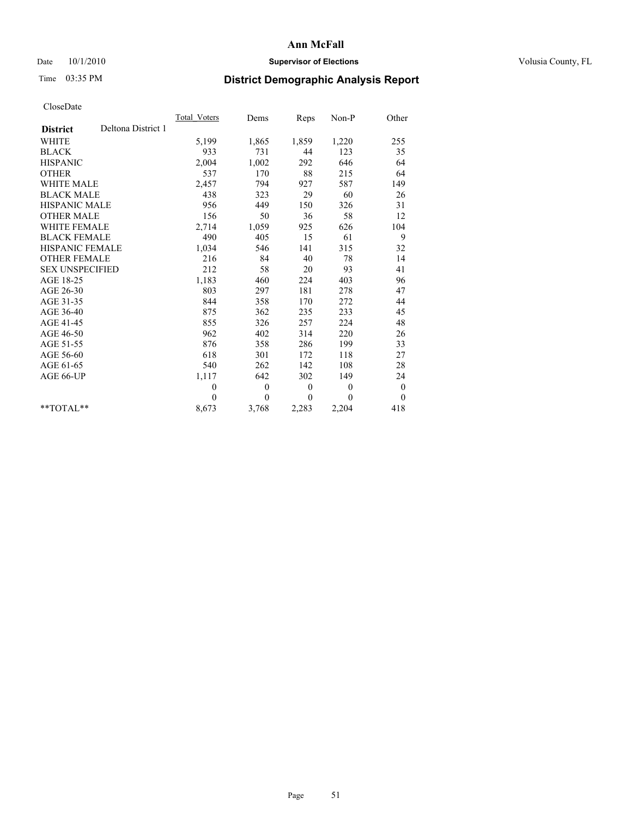# Date  $10/1/2010$  **Supervisor of Elections Supervisor of Elections** Volusia County, FL

# Time 03:35 PM **District Demographic Analysis Report**

|                        |                    | Total Voters | Dems     | Reps         | $Non-P$      | Other            |  |
|------------------------|--------------------|--------------|----------|--------------|--------------|------------------|--|
| <b>District</b>        | Deltona District 1 |              |          |              |              |                  |  |
| <b>WHITE</b>           |                    | 5,199        | 1,865    | 1,859        | 1,220        | 255              |  |
| <b>BLACK</b>           |                    | 933          | 731      | 44           | 123          | 35               |  |
| <b>HISPANIC</b>        |                    | 2,004        | 1,002    | 292          | 646          | 64               |  |
| <b>OTHER</b>           |                    | 537          | 170      | 88           | 215          | 64               |  |
| <b>WHITE MALE</b>      |                    | 2,457        | 794      | 927          | 587          | 149              |  |
| <b>BLACK MALE</b>      |                    | 438          | 323      | 29           | 60           | 26               |  |
| <b>HISPANIC MALE</b>   |                    | 956          | 449      | 150          | 326          | 31               |  |
| <b>OTHER MALE</b>      |                    | 156          | 50       | 36           | 58           | 12               |  |
| <b>WHITE FEMALE</b>    |                    | 2,714        | 1,059    | 925          | 626          | 104              |  |
| <b>BLACK FEMALE</b>    |                    | 490          | 405      | 15           | 61           | 9                |  |
| HISPANIC FEMALE        |                    | 1,034        | 546      | 141          | 315          | 32               |  |
| <b>OTHER FEMALE</b>    |                    | 216          | 84       | 40           | 78           | 14               |  |
| <b>SEX UNSPECIFIED</b> |                    | 212          | 58       | 20           | 93           | 41               |  |
| AGE 18-25              |                    | 1,183        | 460      | 224          | 403          | 96               |  |
| AGE 26-30              |                    | 803          | 297      | 181          | 278          | 47               |  |
| AGE 31-35              |                    | 844          | 358      | 170          | 272          | 44               |  |
| AGE 36-40              |                    | 875          | 362      | 235          | 233          | 45               |  |
| AGE 41-45              |                    | 855          | 326      | 257          | 224          | 48               |  |
| AGE 46-50              |                    | 962          | 402      | 314          | 220          | 26               |  |
| AGE 51-55              |                    | 876          | 358      | 286          | 199          | 33               |  |
| AGE 56-60              |                    | 618          | 301      | 172          | 118          | 27               |  |
| AGE 61-65              |                    | 540          | 262      | 142          | 108          | 28               |  |
| AGE 66-UP              |                    | 1,117        | 642      | 302          | 149          | 24               |  |
|                        |                    | $\theta$     | $\theta$ | $\mathbf{0}$ | $\mathbf{0}$ | $\boldsymbol{0}$ |  |
|                        |                    | $\Omega$     | $\theta$ | $\mathbf{0}$ | $\theta$     | $\overline{0}$   |  |
| $*$ $TOTAI.**$         |                    | 8,673        | 3,768    | 2,283        | 2,204        | 418              |  |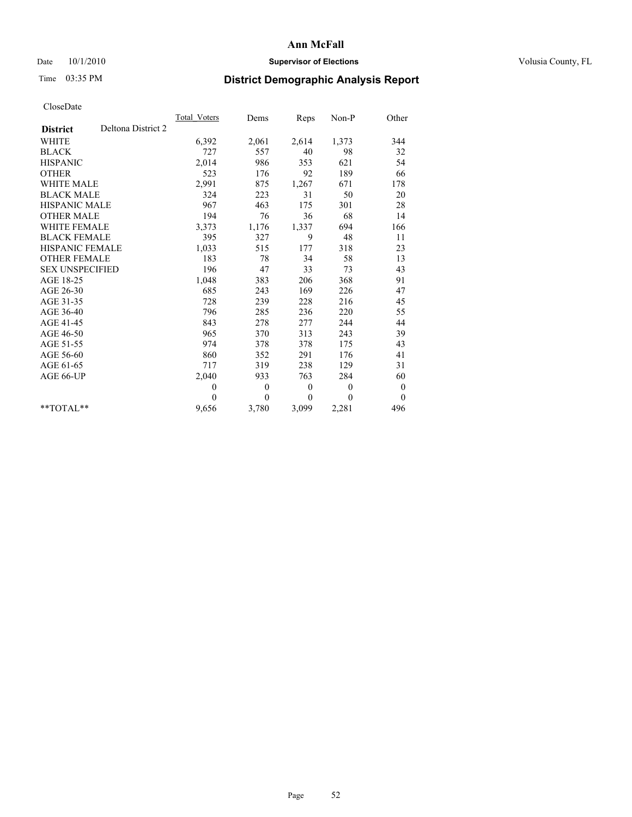# Date  $10/1/2010$  **Supervisor of Elections Supervisor of Elections** Volusia County, FL

# Time 03:35 PM **District Demographic Analysis Report**

|                                       | Total Voters | Dems         | <b>Reps</b> | Non-P    | Other            |  |
|---------------------------------------|--------------|--------------|-------------|----------|------------------|--|
| Deltona District 2<br><b>District</b> |              |              |             |          |                  |  |
| <b>WHITE</b>                          | 6,392        | 2,061        | 2,614       | 1,373    | 344              |  |
| <b>BLACK</b>                          | 727          | 557          | 40          | 98       | 32               |  |
| <b>HISPANIC</b>                       | 2,014        | 986          | 353         | 621      | 54               |  |
| <b>OTHER</b>                          | 523          | 176          | 92          | 189      | 66               |  |
| <b>WHITE MALE</b>                     | 2,991        | 875          | 1,267       | 671      | 178              |  |
| <b>BLACK MALE</b>                     | 324          | 223          | 31          | 50       | 20               |  |
| <b>HISPANIC MALE</b>                  | 967          | 463          | 175         | 301      | 28               |  |
| <b>OTHER MALE</b>                     | 194          | 76           | 36          | 68       | 14               |  |
| <b>WHITE FEMALE</b>                   | 3,373        | 1,176        | 1,337       | 694      | 166              |  |
| <b>BLACK FEMALE</b>                   | 395          | 327          | 9           | 48       | 11               |  |
| HISPANIC FEMALE                       | 1,033        | 515          | 177         | 318      | 23               |  |
| <b>OTHER FEMALE</b>                   | 183          | 78           | 34          | 58       | 13               |  |
| <b>SEX UNSPECIFIED</b>                | 196          | 47           | 33          | 73       | 43               |  |
| AGE 18-25                             | 1,048        | 383          | 206         | 368      | 91               |  |
| AGE 26-30                             | 685          | 243          | 169         | 226      | 47               |  |
| AGE 31-35                             | 728          | 239          | 228         | 216      | 45               |  |
| AGE 36-40                             | 796          | 285          | 236         | 220      | 55               |  |
| AGE 41-45                             | 843          | 278          | 277         | 244      | 44               |  |
| AGE 46-50                             | 965          | 370          | 313         | 243      | 39               |  |
| AGE 51-55                             | 974          | 378          | 378         | 175      | 43               |  |
| AGE 56-60                             | 860          | 352          | 291         | 176      | 41               |  |
| AGE 61-65                             | 717          | 319          | 238         | 129      | 31               |  |
| AGE 66-UP                             | 2,040        | 933          | 763         | 284      | 60               |  |
|                                       | $\mathbf{0}$ | $\mathbf{0}$ | $\theta$    | $\theta$ | $\boldsymbol{0}$ |  |
|                                       | $\Omega$     | $\theta$     | $\theta$    | $\theta$ | $\theta$         |  |
| $*$ $TOTAI.**$                        | 9,656        | 3,780        | 3,099       | 2,281    | 496              |  |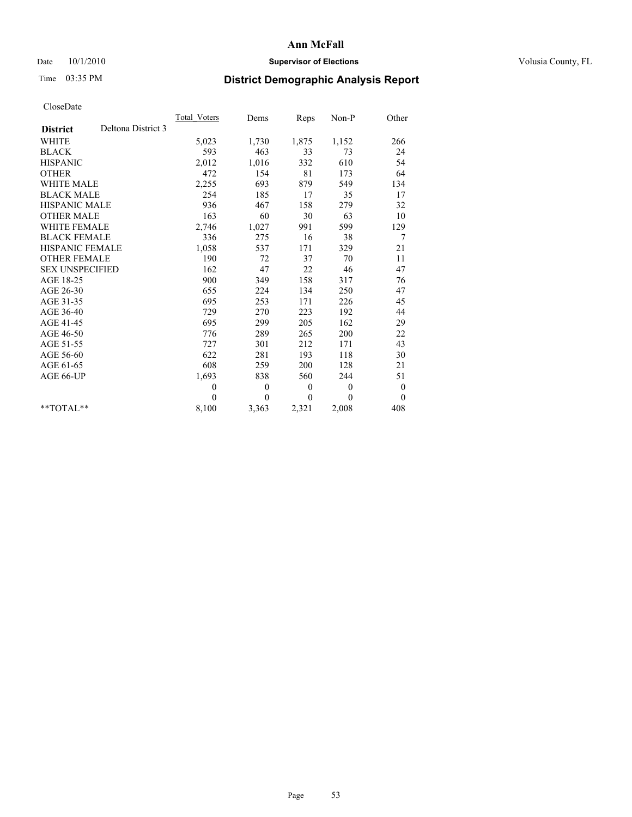# Date  $10/1/2010$  **Supervisor of Elections Supervisor of Elections** Volusia County, FL

# Time 03:35 PM **District Demographic Analysis Report**

|                                       | <b>Total Voters</b> | Dems     | Reps         | Non-P        | Other            |  |
|---------------------------------------|---------------------|----------|--------------|--------------|------------------|--|
| Deltona District 3<br><b>District</b> |                     |          |              |              |                  |  |
| <b>WHITE</b>                          | 5,023               | 1,730    | 1,875        | 1,152        | 266              |  |
| <b>BLACK</b>                          | 593                 | 463      | 33           | 73           | 24               |  |
| <b>HISPANIC</b>                       | 2,012               | 1,016    | 332          | 610          | 54               |  |
| <b>OTHER</b>                          | 472                 | 154      | 81           | 173          | 64               |  |
| <b>WHITE MALE</b>                     | 2,255               | 693      | 879          | 549          | 134              |  |
| <b>BLACK MALE</b>                     | 254                 | 185      | 17           | 35           | 17               |  |
| HISPANIC MALE                         | 936                 | 467      | 158          | 279          | 32               |  |
| <b>OTHER MALE</b>                     | 163                 | 60       | 30           | 63           | 10               |  |
| WHITE FEMALE                          | 2,746               | 1,027    | 991          | 599          | 129              |  |
| <b>BLACK FEMALE</b>                   | 336                 | 275      | 16           | 38           | 7                |  |
| HISPANIC FEMALE                       | 1,058               | 537      | 171          | 329          | 21               |  |
| <b>OTHER FEMALE</b>                   | 190                 | 72       | 37           | 70           | 11               |  |
| <b>SEX UNSPECIFIED</b>                | 162                 | 47       | 22           | 46           | 47               |  |
| AGE 18-25                             | 900                 | 349      | 158          | 317          | 76               |  |
| AGE 26-30                             | 655                 | 224      | 134          | 250          | 47               |  |
| AGE 31-35                             | 695                 | 253      | 171          | 226          | 45               |  |
| AGE 36-40                             | 729                 | 270      | 223          | 192          | 44               |  |
| AGE 41-45                             | 695                 | 299      | 205          | 162          | 29               |  |
| AGE 46-50                             | 776                 | 289      | 265          | 200          | 22               |  |
| AGE 51-55                             | 727                 | 301      | 212          | 171          | 43               |  |
| AGE 56-60                             | 622                 | 281      | 193          | 118          | 30               |  |
| AGE 61-65                             | 608                 | 259      | 200          | 128          | 21               |  |
| AGE 66-UP                             | 1,693               | 838      | 560          | 244          | 51               |  |
|                                       | $\theta$            | $\theta$ | $\mathbf{0}$ | $\mathbf{0}$ | $\boldsymbol{0}$ |  |
|                                       | $\Omega$            | $\theta$ | $\mathbf{0}$ | $\theta$     | $\overline{0}$   |  |
| $*$ $TOTAI$                           | 8,100               | 3,363    | 2,321        | 2,008        | 408              |  |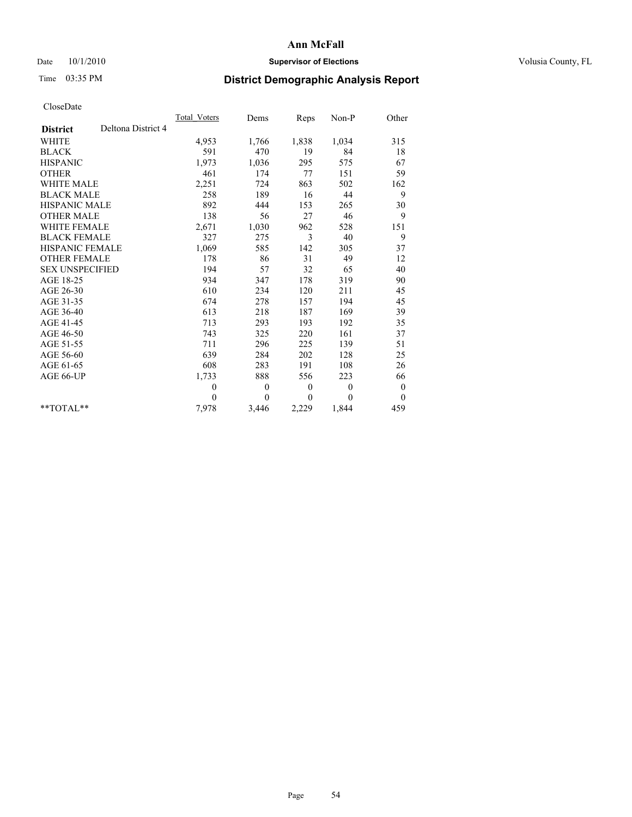# Date  $10/1/2010$  **Supervisor of Elections Supervisor of Elections** Volusia County, FL

# Time 03:35 PM **District Demographic Analysis Report**

|                                       | Total Voters | Dems         | Reps         | Non-P        | Other            |  |
|---------------------------------------|--------------|--------------|--------------|--------------|------------------|--|
| Deltona District 4<br><b>District</b> |              |              |              |              |                  |  |
| <b>WHITE</b>                          | 4,953        | 1,766        | 1,838        | 1,034        | 315              |  |
| <b>BLACK</b>                          | 591          | 470          | 19           | 84           | 18               |  |
| <b>HISPANIC</b>                       | 1.973        | 1,036        | 295          | 575          | 67               |  |
| <b>OTHER</b>                          | 461          | 174          | 77           | 151          | 59               |  |
| <b>WHITE MALE</b>                     | 2,251        | 724          | 863          | 502          | 162              |  |
| <b>BLACK MALE</b>                     | 258          | 189          | 16           | 44           | 9                |  |
| <b>HISPANIC MALE</b>                  | 892          | 444          | 153          | 265          | 30               |  |
| <b>OTHER MALE</b>                     | 138          | 56           | 27           | 46           | 9                |  |
| <b>WHITE FEMALE</b>                   | 2,671        | 1,030        | 962          | 528          | 151              |  |
| <b>BLACK FEMALE</b>                   | 327          | 275          | 3            | 40           | 9                |  |
| HISPANIC FEMALE                       | 1,069        | 585          | 142          | 305          | 37               |  |
| <b>OTHER FEMALE</b>                   | 178          | 86           | 31           | 49           | 12               |  |
| <b>SEX UNSPECIFIED</b>                | 194          | 57           | 32           | 65           | 40               |  |
| AGE 18-25                             | 934          | 347          | 178          | 319          | 90               |  |
| AGE 26-30                             | 610          | 234          | 120          | 211          | 45               |  |
| AGE 31-35                             | 674          | 278          | 157          | 194          | 45               |  |
| AGE 36-40                             | 613          | 218          | 187          | 169          | 39               |  |
| AGE 41-45                             | 713          | 293          | 193          | 192          | 35               |  |
| AGE 46-50                             | 743          | 325          | 220          | 161          | 37               |  |
| AGE 51-55                             | 711          | 296          | 225          | 139          | 51               |  |
| AGE 56-60                             | 639          | 284          | 202          | 128          | 25               |  |
| AGE 61-65                             | 608          | 283          | 191          | 108          | 26               |  |
| AGE 66-UP                             | 1,733        | 888          | 556          | 223          | 66               |  |
|                                       | $\mathbf{0}$ | $\mathbf{0}$ | $\mathbf{0}$ | $\mathbf{0}$ | $\boldsymbol{0}$ |  |
|                                       | $\theta$     | $\theta$     | $\theta$     | $\theta$     | $\theta$         |  |
| $*$ TOTAL $*$                         | 7,978        | 3,446        | 2,229        | 1,844        | 459              |  |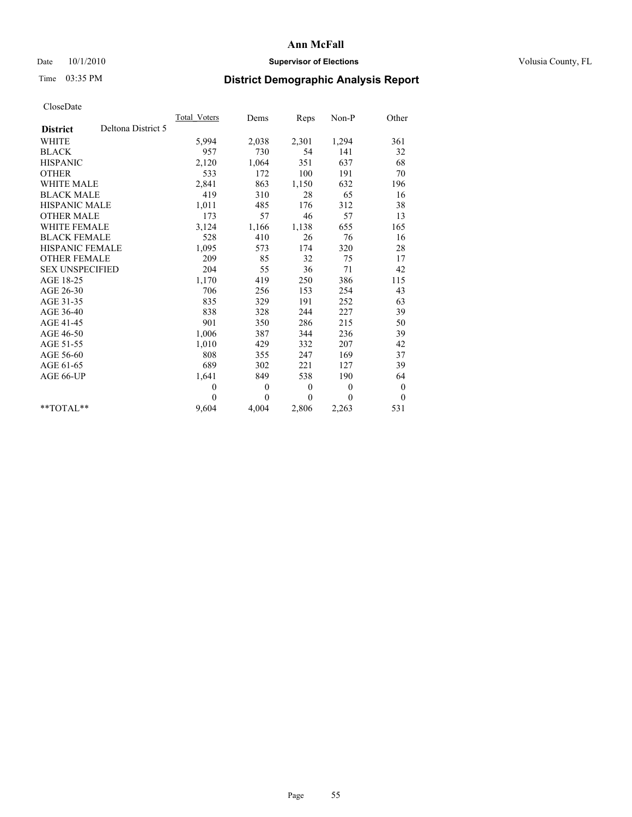# Date  $10/1/2010$  **Supervisor of Elections Supervisor of Elections** Volusia County, FL

# Time 03:35 PM **District Demographic Analysis Report**

|                                       | Total Voters | Dems     | Reps         | $Non-P$      | Other            |
|---------------------------------------|--------------|----------|--------------|--------------|------------------|
| Deltona District 5<br><b>District</b> |              |          |              |              |                  |
| <b>WHITE</b>                          | 5,994        | 2,038    | 2,301        | 1,294        | 361              |
| <b>BLACK</b>                          | 957          | 730      | 54           | 141          | 32               |
| <b>HISPANIC</b>                       | 2,120        | 1,064    | 351          | 637          | 68               |
| <b>OTHER</b>                          | 533          | 172      | 100          | 191          | 70               |
| <b>WHITE MALE</b>                     | 2,841        | 863      | 1,150        | 632          | 196              |
| <b>BLACK MALE</b>                     | 419          | 310      | 28           | 65           | 16               |
| <b>HISPANIC MALE</b>                  | 1,011        | 485      | 176          | 312          | 38               |
| <b>OTHER MALE</b>                     | 173          | 57       | 46           | 57           | 13               |
| WHITE FEMALE                          | 3,124        | 1,166    | 1,138        | 655          | 165              |
| <b>BLACK FEMALE</b>                   | 528          | 410      | 26           | 76           | 16               |
| <b>HISPANIC FEMALE</b>                | 1,095        | 573      | 174          | 320          | 28               |
| <b>OTHER FEMALE</b>                   | 209          | 85       | 32           | 75           | 17               |
| <b>SEX UNSPECIFIED</b>                | 204          | 55       | 36           | 71           | 42               |
| AGE 18-25                             | 1,170        | 419      | 250          | 386          | 115              |
| AGE 26-30                             | 706          | 256      | 153          | 254          | 43               |
| AGE 31-35                             | 835          | 329      | 191          | 252          | 63               |
| AGE 36-40                             | 838          | 328      | 244          | 227          | 39               |
| AGE 41-45                             | 901          | 350      | 286          | 215          | 50               |
| AGE 46-50                             | 1,006        | 387      | 344          | 236          | 39               |
| AGE 51-55                             | 1,010        | 429      | 332          | 207          | 42               |
| AGE 56-60                             | 808          | 355      | 247          | 169          | 37               |
| AGE 61-65                             | 689          | 302      | 221          | 127          | 39               |
| AGE 66-UP                             | 1,641        | 849      | 538          | 190          | 64               |
|                                       | $\theta$     | $\theta$ | $\mathbf{0}$ | $\mathbf{0}$ | $\boldsymbol{0}$ |
|                                       | $\Omega$     | $\theta$ | $\theta$     | $\theta$     | $\theta$         |
| $*$ $TOTAI.**$                        | 9,604        | 4,004    | 2,806        | 2,263        | 531              |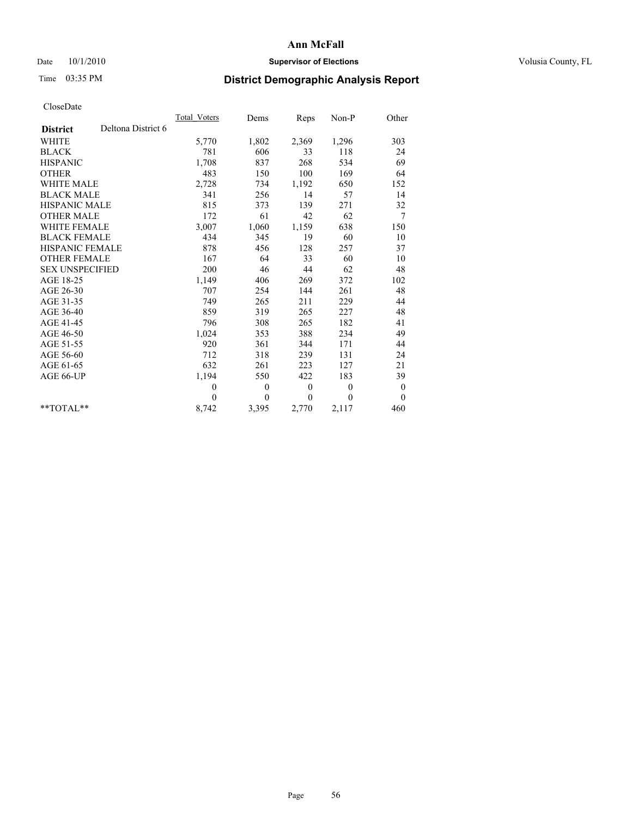# Date  $10/1/2010$  **Supervisor of Elections Supervisor of Elections** Volusia County, FL

# Time 03:35 PM **District Demographic Analysis Report**

|                                       | <b>Total Voters</b> | Dems         | Reps             | Non-P        | Other            |
|---------------------------------------|---------------------|--------------|------------------|--------------|------------------|
| Deltona District 6<br><b>District</b> |                     |              |                  |              |                  |
| <b>WHITE</b>                          | 5,770               | 1,802        | 2,369            | 1,296        | 303              |
| <b>BLACK</b>                          | 781                 | 606          | 33               | 118          | 24               |
| <b>HISPANIC</b>                       | 1,708               | 837          | 268              | 534          | 69               |
| <b>OTHER</b>                          | 483                 | 150          | 100              | 169          | 64               |
| <b>WHITE MALE</b>                     | 2,728               | 734          | 1,192            | 650          | 152              |
| <b>BLACK MALE</b>                     | 341                 | 256          | 14               | 57           | 14               |
| <b>HISPANIC MALE</b>                  | 815                 | 373          | 139              | 271          | 32               |
| <b>OTHER MALE</b>                     | 172                 | 61           | 42               | 62           | 7                |
| <b>WHITE FEMALE</b>                   | 3,007               | 1,060        | 1,159            | 638          | 150              |
| <b>BLACK FEMALE</b>                   | 434                 | 345          | 19               | 60           | 10               |
| HISPANIC FEMALE                       | 878                 | 456          | 128              | 257          | 37               |
| <b>OTHER FEMALE</b>                   | 167                 | 64           | 33               | 60           | 10               |
| <b>SEX UNSPECIFIED</b>                | 200                 | 46           | 44               | 62           | 48               |
| AGE 18-25                             | 1,149               | 406          | 269              | 372          | 102              |
| AGE 26-30                             | 707                 | 254          | 144              | 261          | 48               |
| AGE 31-35                             | 749                 | 265          | 211              | 229          | 44               |
| AGE 36-40                             | 859                 | 319          | 265              | 227          | 48               |
| AGE 41-45                             | 796                 | 308          | 265              | 182          | 41               |
| AGE 46-50                             | 1,024               | 353          | 388              | 234          | 49               |
| AGE 51-55                             | 920                 | 361          | 344              | 171          | 44               |
| AGE 56-60                             | 712                 | 318          | 239              | 131          | 24               |
| AGE 61-65                             | 632                 | 261          | 223              | 127          | 21               |
| AGE 66-UP                             | 1,194               | 550          | 422              | 183          | 39               |
|                                       | $\theta$            | $\mathbf{0}$ | $\boldsymbol{0}$ | $\mathbf{0}$ | $\boldsymbol{0}$ |
|                                       | $\Omega$            | $\theta$     | $\theta$         | $\theta$     | $\theta$         |
| $*$ $TOTAI.**$                        | 8,742               | 3,395        | 2,770            | 2,117        | 460              |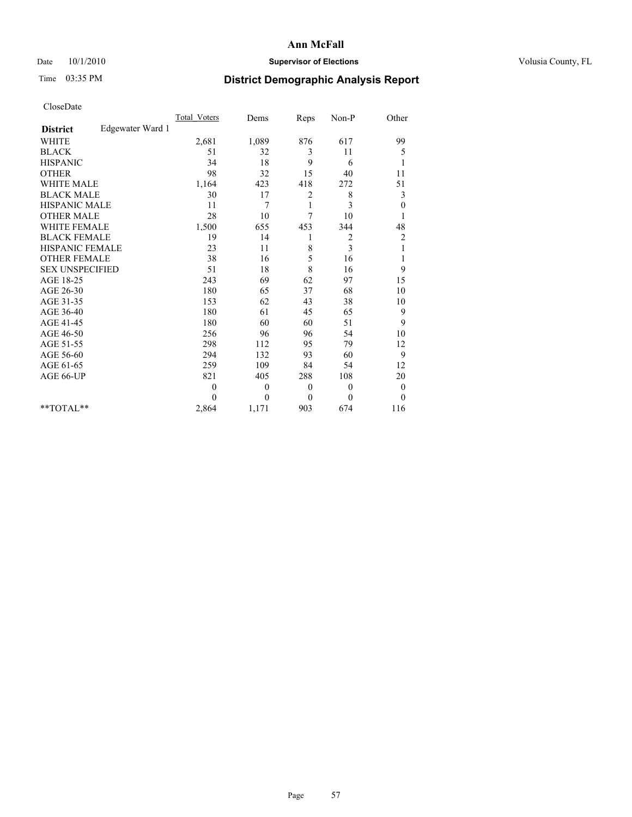# Date  $10/1/2010$  **Supervisor of Elections Supervisor of Elections** Volusia County, FL

# Time 03:35 PM **District Demographic Analysis Report**

|                                     | <b>Total Voters</b> | Dems     | Reps             | Non-P    | Other            |
|-------------------------------------|---------------------|----------|------------------|----------|------------------|
| Edgewater Ward 1<br><b>District</b> |                     |          |                  |          |                  |
| <b>WHITE</b>                        | 2,681               | 1,089    | 876              | 617      | 99               |
| <b>BLACK</b>                        | 51                  | 32       | 3                | 11       | 5                |
| <b>HISPANIC</b>                     | 34                  | 18       | 9                | 6        | 1                |
| <b>OTHER</b>                        | 98                  | 32       | 15               | 40       | 11               |
| <b>WHITE MALE</b>                   | 1,164               | 423      | 418              | 272      | 51               |
| <b>BLACK MALE</b>                   | 30                  | 17       | $\overline{c}$   | 8        | 3                |
| HISPANIC MALE                       | 11                  | 7        | 1                | 3        | $\boldsymbol{0}$ |
| <b>OTHER MALE</b>                   | 28                  | 10       | 7                | 10       |                  |
| <b>WHITE FEMALE</b>                 | 1,500               | 655      | 453              | 344      | 48               |
| <b>BLACK FEMALE</b>                 | 19                  | 14       | 1                | 2        | $\overline{c}$   |
| HISPANIC FEMALE                     | 23                  | 11       | 8                | 3        | 1                |
| <b>OTHER FEMALE</b>                 | 38                  | 16       | 5                | 16       | 1                |
| <b>SEX UNSPECIFIED</b>              | 51                  | 18       | 8                | 16       | 9                |
| AGE 18-25                           | 243                 | 69       | 62               | 97       | 15               |
| AGE 26-30                           | 180                 | 65       | 37               | 68       | 10               |
| AGE 31-35                           | 153                 | 62       | 43               | 38       | 10               |
| AGE 36-40                           | 180                 | 61       | 45               | 65       | 9                |
| AGE 41-45                           | 180                 | 60       | 60               | 51       | 9                |
| AGE 46-50                           | 256                 | 96       | 96               | 54       | 10               |
| AGE 51-55                           | 298                 | 112      | 95               | 79       | 12               |
| AGE 56-60                           | 294                 | 132      | 93               | 60       | 9                |
| AGE 61-65                           | 259                 | 109      | 84               | 54       | 12               |
| AGE 66-UP                           | 821                 | 405      | 288              | 108      | 20               |
|                                     | $\boldsymbol{0}$    | 0        | $\boldsymbol{0}$ | 0        | $\boldsymbol{0}$ |
|                                     | 0                   | $\theta$ | $\theta$         | $\theta$ | $\theta$         |
| $*$ $TOTAI.**$                      | 2,864               | 1,171    | 903              | 674      | 116              |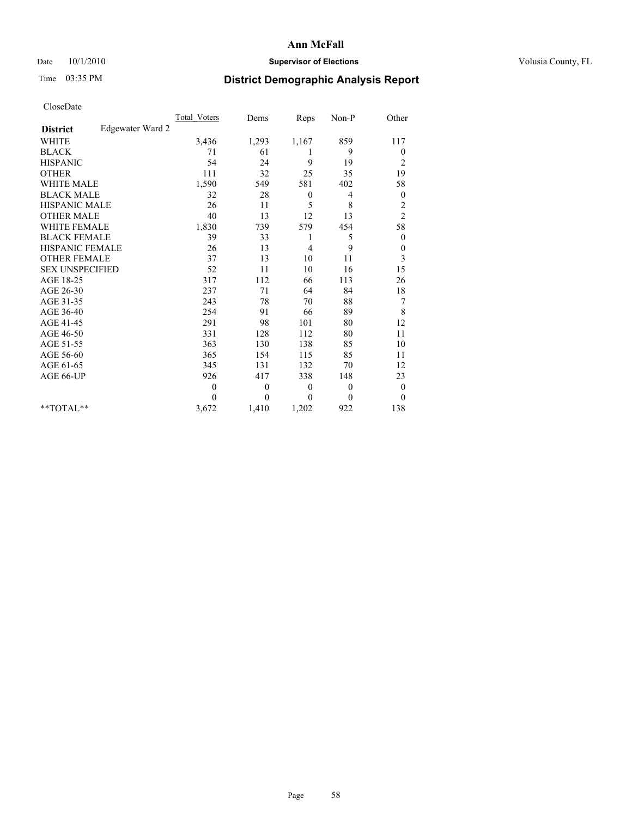# Date  $10/1/2010$  **Supervisor of Elections Supervisor of Elections** Volusia County, FL

# Time 03:35 PM **District Demographic Analysis Report**

|                                     | <b>Total Voters</b> | Dems         | Reps         | Non-P        | Other            |
|-------------------------------------|---------------------|--------------|--------------|--------------|------------------|
| Edgewater Ward 2<br><b>District</b> |                     |              |              |              |                  |
| <b>WHITE</b>                        | 3,436               | 1,293        | 1,167        | 859          | 117              |
| <b>BLACK</b>                        | 71                  | 61           | 1            | 9            | $\boldsymbol{0}$ |
| <b>HISPANIC</b>                     | 54                  | 24           | 9            | 19           | $\overline{c}$   |
| <b>OTHER</b>                        | 111                 | 32           | 25           | 35           | 19               |
| <b>WHITE MALE</b>                   | 1,590               | 549          | 581          | 402          | 58               |
| <b>BLACK MALE</b>                   | 32                  | 28           | $\mathbf{0}$ | 4            | $\mathbf{0}$     |
| <b>HISPANIC MALE</b>                | 26                  | 11           | 5            | 8            | $\overline{c}$   |
| <b>OTHER MALE</b>                   | 40                  | 13           | 12           | 13           | $\overline{c}$   |
| <b>WHITE FEMALE</b>                 | 1,830               | 739          | 579          | 454          | 58               |
| <b>BLACK FEMALE</b>                 | 39                  | 33           | 1            | 5            | $\boldsymbol{0}$ |
| HISPANIC FEMALE                     | 26                  | 13           | 4            | 9            | $\boldsymbol{0}$ |
| <b>OTHER FEMALE</b>                 | 37                  | 13           | 10           | 11           | 3                |
| <b>SEX UNSPECIFIED</b>              | 52                  | 11           | 10           | 16           | 15               |
| AGE 18-25                           | 317                 | 112          | 66           | 113          | 26               |
| AGE 26-30                           | 237                 | 71           | 64           | 84           | $18\,$           |
| AGE 31-35                           | 243                 | 78           | 70           | 88           | $\boldsymbol{7}$ |
| AGE 36-40                           | 254                 | 91           | 66           | 89           | 8                |
| AGE 41-45                           | 291                 | 98           | 101          | 80           | 12               |
| AGE 46-50                           | 331                 | 128          | 112          | 80           | 11               |
| AGE 51-55                           | 363                 | 130          | 138          | 85           | 10               |
| AGE 56-60                           | 365                 | 154          | 115          | 85           | 11               |
| AGE 61-65                           | 345                 | 131          | 132          | 70           | 12               |
| AGE 66-UP                           | 926                 | 417          | 338          | 148          | 23               |
|                                     | $\theta$            | $\mathbf{0}$ | $\theta$     | $\theta$     | $\boldsymbol{0}$ |
|                                     | $\theta$            | $\theta$     | $\Omega$     | $\mathbf{0}$ | $\theta$         |
| $*$ $TOTAI.**$                      | 3,672               | 1,410        | 1,202        | 922          | 138              |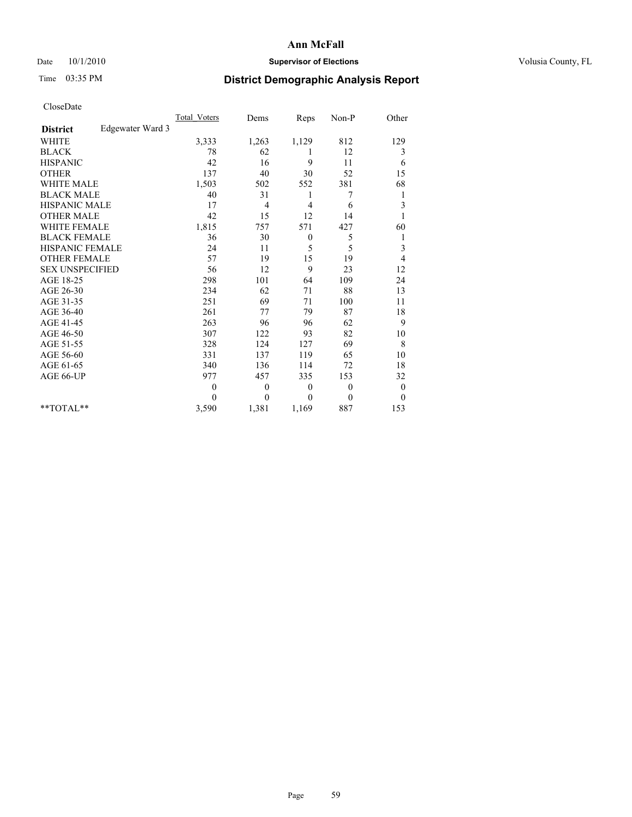# Date  $10/1/2010$  **Supervisor of Elections Supervisor of Elections** Volusia County, FL

# Time 03:35 PM **District Demographic Analysis Report**

|                                     | <b>Total Voters</b> | Dems     | Reps             | Non-P        | Other        |
|-------------------------------------|---------------------|----------|------------------|--------------|--------------|
| Edgewater Ward 3<br><b>District</b> |                     |          |                  |              |              |
| <b>WHITE</b>                        | 3,333               | 1,263    | 1,129            | 812          | 129          |
| <b>BLACK</b>                        | 78                  | 62       | 1                | 12           | 3            |
| <b>HISPANIC</b>                     | 42                  | 16       | 9                | 11           | 6            |
| <b>OTHER</b>                        | 137                 | 40       | 30               | 52           | 15           |
| <b>WHITE MALE</b>                   | 1,503               | 502      | 552              | 381          | 68           |
| <b>BLACK MALE</b>                   | 40                  | 31       | 1                | 7            | 1            |
| HISPANIC MALE                       | 17                  | 4        | 4                | 6            | 3            |
| <b>OTHER MALE</b>                   | 42                  | 15       | 12               | 14           |              |
| <b>WHITE FEMALE</b>                 | 1,815               | 757      | 571              | 427          | 60           |
| <b>BLACK FEMALE</b>                 | 36                  | 30       | $\boldsymbol{0}$ | 5            | 1            |
| HISPANIC FEMALE                     | 24                  | 11       | 5                | 5            | 3            |
| <b>OTHER FEMALE</b>                 | 57                  | 19       | 15               | 19           | 4            |
| <b>SEX UNSPECIFIED</b>              | 56                  | 12       | 9                | 23           | 12           |
| AGE 18-25                           | 298                 | 101      | 64               | 109          | 24           |
| AGE 26-30                           | 234                 | 62       | 71               | 88           | 13           |
| AGE 31-35                           | 251                 | 69       | 71               | 100          | 11           |
| AGE 36-40                           | 261                 | 77       | 79               | 87           | 18           |
| AGE 41-45                           | 263                 | 96       | 96               | 62           | 9            |
| AGE 46-50                           | 307                 | 122      | 93               | 82           | 10           |
| AGE 51-55                           | 328                 | 124      | 127              | 69           | 8            |
| AGE 56-60                           | 331                 | 137      | 119              | 65           | 10           |
| AGE 61-65                           | 340                 | 136      | 114              | 72           | 18           |
| AGE 66-UP                           | 977                 | 457      | 335              | 153          | 32           |
|                                     | $\theta$            | $\theta$ | $\theta$         | $\theta$     | $\mathbf{0}$ |
|                                     | $\Omega$            | $\theta$ | $\Omega$         | $\mathbf{0}$ | $\mathbf{0}$ |
| $*$ $TOTAI.**$                      | 3,590               | 1,381    | 1,169            | 887          | 153          |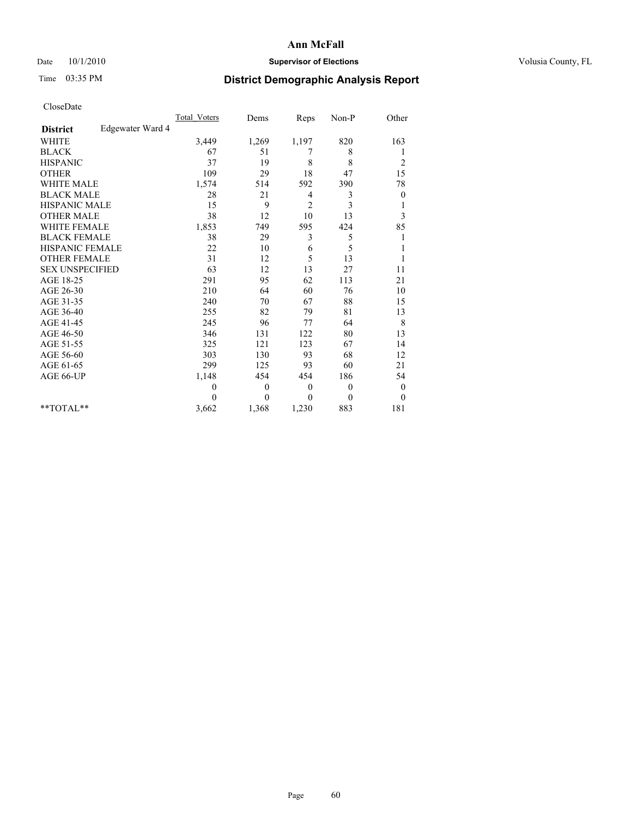# Date  $10/1/2010$  **Supervisor of Elections Supervisor of Elections** Volusia County, FL

# Time 03:35 PM **District Demographic Analysis Report**

|                                     | <b>Total Voters</b> | Dems     | Reps           | $Non-P$  | Other            |
|-------------------------------------|---------------------|----------|----------------|----------|------------------|
| Edgewater Ward 4<br><b>District</b> |                     |          |                |          |                  |
| <b>WHITE</b>                        | 3,449               | 1,269    | 1,197          | 820      | 163              |
| <b>BLACK</b>                        | 67                  | 51       | 7              | 8        | 1                |
| <b>HISPANIC</b>                     | 37                  | 19       | 8              | 8        | $\overline{c}$   |
| <b>OTHER</b>                        | 109                 | 29       | 18             | 47       | 15               |
| <b>WHITE MALE</b>                   | 1,574               | 514      | 592            | 390      | 78               |
| <b>BLACK MALE</b>                   | 28                  | 21       | 4              | 3        | $\boldsymbol{0}$ |
| HISPANIC MALE                       | 15                  | 9        | $\overline{2}$ | 3        | 1                |
| <b>OTHER MALE</b>                   | 38                  | 12       | 10             | 13       | 3                |
| <b>WHITE FEMALE</b>                 | 1,853               | 749      | 595            | 424      | 85               |
| <b>BLACK FEMALE</b>                 | 38                  | 29       | 3              | 5        | 1                |
| HISPANIC FEMALE                     | 22                  | 10       | 6              | 5        | 1                |
| <b>OTHER FEMALE</b>                 | 31                  | 12       | 5              | 13       | 1                |
| <b>SEX UNSPECIFIED</b>              | 63                  | 12       | 13             | 27       | 11               |
| AGE 18-25                           | 291                 | 95       | 62             | 113      | 21               |
| AGE 26-30                           | 210                 | 64       | 60             | 76       | 10               |
| AGE 31-35                           | 240                 | 70       | 67             | 88       | 15               |
| AGE 36-40                           | 255                 | 82       | 79             | 81       | 13               |
| AGE 41-45                           | 245                 | 96       | 77             | 64       | 8                |
| AGE 46-50                           | 346                 | 131      | 122            | 80       | 13               |
| AGE 51-55                           | 325                 | 121      | 123            | 67       | 14               |
| AGE 56-60                           | 303                 | 130      | 93             | 68       | 12               |
| AGE 61-65                           | 299                 | 125      | 93             | 60       | 21               |
| AGE 66-UP                           | 1,148               | 454      | 454            | 186      | 54               |
|                                     | $\theta$            | $\theta$ | $\mathbf{0}$   | $\theta$ | $\boldsymbol{0}$ |
|                                     | $\theta$            | $\theta$ | $\theta$       | $\theta$ | $\theta$         |
| $*$ $TOTAI.**$                      | 3,662               | 1,368    | 1,230          | 883      | 181              |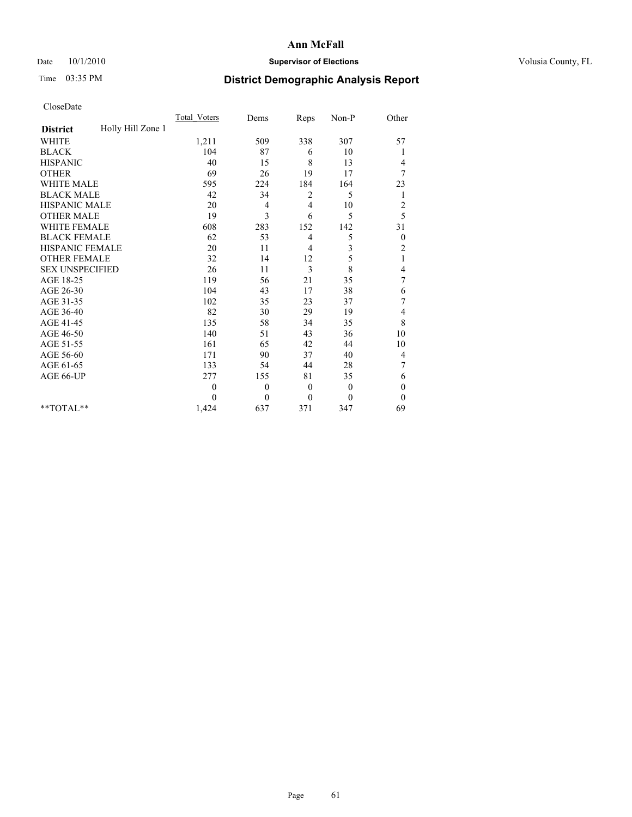# Date  $10/1/2010$  **Supervisor of Elections Supervisor of Elections** Volusia County, FL

# Time 03:35 PM **District Demographic Analysis Report**

|                                      | <b>Total Voters</b> | Dems         | Reps           | Non-P        | Other            |  |
|--------------------------------------|---------------------|--------------|----------------|--------------|------------------|--|
| Holly Hill Zone 1<br><b>District</b> |                     |              |                |              |                  |  |
| <b>WHITE</b>                         | 1,211               | 509          | 338            | 307          | 57               |  |
| <b>BLACK</b>                         | 104                 | 87           | 6              | 10           | 1                |  |
| <b>HISPANIC</b>                      | 40                  | 15           | 8              | 13           | 4                |  |
| <b>OTHER</b>                         | 69                  | 26           | 19             | 17           | 7                |  |
| <b>WHITE MALE</b>                    | 595                 | 224          | 184            | 164          | 23               |  |
| <b>BLACK MALE</b>                    | 42                  | 34           | 2              | 5            | 1                |  |
| HISPANIC MALE                        | 20                  | 4            | 4              | 10           | $\overline{c}$   |  |
| <b>OTHER MALE</b>                    | 19                  | 3            | 6              | 5            | 5                |  |
| <b>WHITE FEMALE</b>                  | 608                 | 283          | 152            | 142          | 31               |  |
| <b>BLACK FEMALE</b>                  | 62                  | 53           | 4              | 5            | $\boldsymbol{0}$ |  |
| HISPANIC FEMALE                      | 20                  | 11           | $\overline{4}$ | 3            | $\overline{c}$   |  |
| <b>OTHER FEMALE</b>                  | 32                  | 14           | 12             | 5            | $\mathbf{1}$     |  |
| <b>SEX UNSPECIFIED</b>               | 26                  | 11           | 3              | 8            | 4                |  |
| AGE 18-25                            | 119                 | 56           | 21             | 35           | 7                |  |
| AGE 26-30                            | 104                 | 43           | 17             | 38           | 6                |  |
| AGE 31-35                            | 102                 | 35           | 23             | 37           | $\boldsymbol{7}$ |  |
| AGE 36-40                            | 82                  | 30           | 29             | 19           | 4                |  |
| AGE 41-45                            | 135                 | 58           | 34             | 35           | $\,$ 8 $\,$      |  |
| AGE 46-50                            | 140                 | 51           | 43             | 36           | 10               |  |
| AGE 51-55                            | 161                 | 65           | 42             | 44           | 10               |  |
| AGE 56-60                            | 171                 | 90           | 37             | 40           | $\overline{4}$   |  |
| AGE 61-65                            | 133                 | 54           | 44             | 28           | 7                |  |
| AGE 66-UP                            | 277                 | 155          | 81             | 35           | 6                |  |
|                                      | $\theta$            | $\mathbf{0}$ | $\mathbf{0}$   | $\mathbf{0}$ | $\boldsymbol{0}$ |  |
|                                      | $\theta$            | $\theta$     | $\theta$       | $\theta$     | $\theta$         |  |
| $*$ TOTAL $*$                        | 1,424               | 637          | 371            | 347          | 69               |  |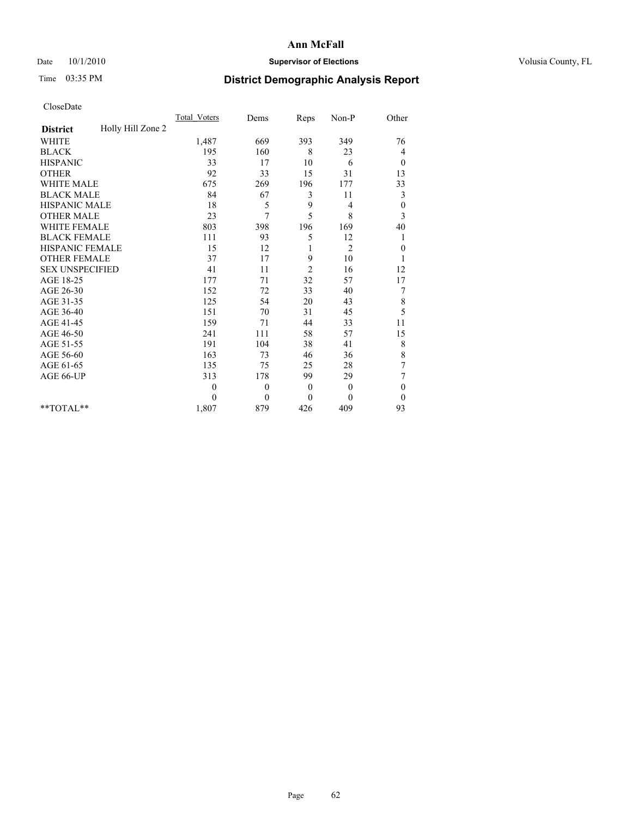# Date  $10/1/2010$  **Supervisor of Elections Supervisor of Elections** Volusia County, FL

# Time 03:35 PM **District Demographic Analysis Report**

|                                      | <b>Total Voters</b> | Dems         | Reps           | Non-P          | Other            |  |
|--------------------------------------|---------------------|--------------|----------------|----------------|------------------|--|
| Holly Hill Zone 2<br><b>District</b> |                     |              |                |                |                  |  |
| <b>WHITE</b>                         | 1,487               | 669          | 393            | 349            | 76               |  |
| <b>BLACK</b>                         | 195                 | 160          | 8              | 23             | 4                |  |
| <b>HISPANIC</b>                      | 33                  | 17           | 10             | 6              | $\theta$         |  |
| <b>OTHER</b>                         | 92                  | 33           | 15             | 31             | 13               |  |
| <b>WHITE MALE</b>                    | 675                 | 269          | 196            | 177            | 33               |  |
| <b>BLACK MALE</b>                    | 84                  | 67           | 3              | 11             | 3                |  |
| HISPANIC MALE                        | 18                  | 5            | 9              | 4              | $\boldsymbol{0}$ |  |
| <b>OTHER MALE</b>                    | 23                  | 7            | 5              | 8              | 3                |  |
| <b>WHITE FEMALE</b>                  | 803                 | 398          | 196            | 169            | 40               |  |
| <b>BLACK FEMALE</b>                  | 111                 | 93           | 5              | 12             | 1                |  |
| HISPANIC FEMALE                      | 15                  | 12           |                | $\overline{2}$ | $\boldsymbol{0}$ |  |
| <b>OTHER FEMALE</b>                  | 37                  | 17           | 9              | 10             | 1                |  |
| <b>SEX UNSPECIFIED</b>               | 41                  | 11           | $\overline{2}$ | 16             | 12               |  |
| AGE 18-25                            | 177                 | 71           | 32             | 57             | 17               |  |
| AGE 26-30                            | 152                 | 72           | 33             | 40             | 7                |  |
| AGE 31-35                            | 125                 | 54           | 20             | 43             | 8                |  |
| AGE 36-40                            | 151                 | 70           | 31             | 45             | 5                |  |
| AGE 41-45                            | 159                 | 71           | 44             | 33             | 11               |  |
| AGE 46-50                            | 241                 | 111          | 58             | 57             | 15               |  |
| AGE 51-55                            | 191                 | 104          | 38             | 41             | 8                |  |
| AGE 56-60                            | 163                 | 73           | 46             | 36             | 8                |  |
| AGE 61-65                            | 135                 | 75           | 25             | 28             | $\sqrt{ }$       |  |
| AGE 66-UP                            | 313                 | 178          | 99             | 29             | $\sqrt{ }$       |  |
|                                      | $\theta$            | $\mathbf{0}$ | $\mathbf{0}$   | $\mathbf{0}$   | $\boldsymbol{0}$ |  |
|                                      | $\theta$            | $\theta$     | $\theta$       | $\theta$       | $\boldsymbol{0}$ |  |
| $*$ TOTAL $*$                        | 1,807               | 879          | 426            | 409            | 93               |  |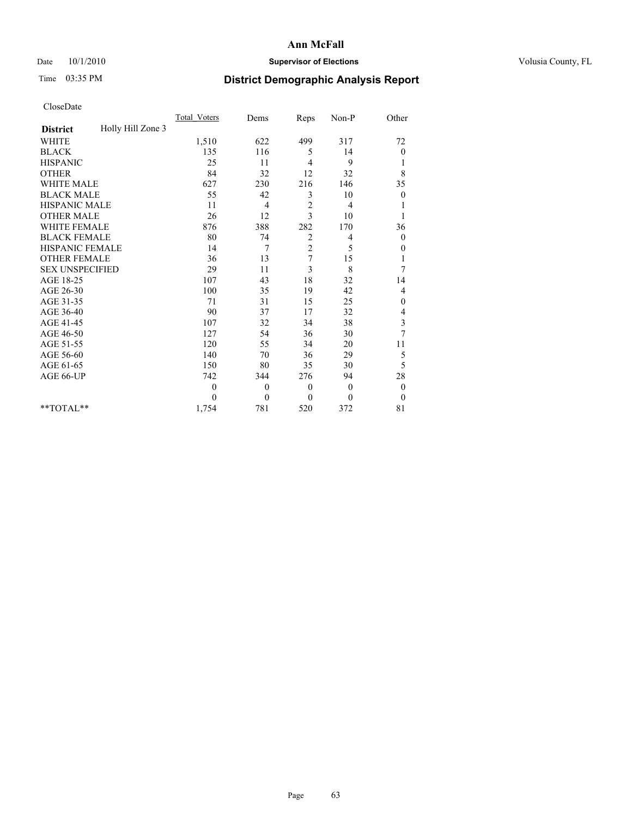# Date  $10/1/2010$  **Supervisor of Elections Supervisor of Elections** Volusia County, FL

# Time 03:35 PM **District Demographic Analysis Report**

|                                      | <b>Total Voters</b> | Dems         | Reps           | Non-P        | Other            |
|--------------------------------------|---------------------|--------------|----------------|--------------|------------------|
| Holly Hill Zone 3<br><b>District</b> |                     |              |                |              |                  |
| <b>WHITE</b>                         | 1,510               | 622          | 499            | 317          | 72               |
| <b>BLACK</b>                         | 135                 | 116          | 5              | 14           | 0                |
| <b>HISPANIC</b>                      | 25                  | 11           | $\overline{4}$ | 9            | 1                |
| <b>OTHER</b>                         | 84                  | 32           | 12             | 32           | 8                |
| <b>WHITE MALE</b>                    | 627                 | 230          | 216            | 146          | 35               |
| <b>BLACK MALE</b>                    | 55                  | 42           | 3              | 10           | $\boldsymbol{0}$ |
| <b>HISPANIC MALE</b>                 | 11                  | 4            | $\sqrt{2}$     | 4            |                  |
| <b>OTHER MALE</b>                    | 26                  | 12           | 3              | 10           |                  |
| <b>WHITE FEMALE</b>                  | 876                 | 388          | 282            | 170          | 36               |
| <b>BLACK FEMALE</b>                  | 80                  | 74           | 2              | 4            | $\mathbf{0}$     |
| HISPANIC FEMALE                      | 14                  | 7            | $\overline{c}$ | 5            | 0                |
| <b>OTHER FEMALE</b>                  | 36                  | 13           | 7              | 15           | 1                |
| <b>SEX UNSPECIFIED</b>               | 29                  | 11           | 3              | 8            | 7                |
| AGE 18-25                            | 107                 | 43           | 18             | 32           | 14               |
| AGE 26-30                            | 100                 | 35           | 19             | 42           | $\overline{4}$   |
| AGE 31-35                            | 71                  | 31           | 15             | 25           | 0                |
| AGE 36-40                            | 90                  | 37           | 17             | 32           | 4                |
| AGE 41-45                            | 107                 | 32           | 34             | 38           | 3                |
| AGE 46-50                            | 127                 | 54           | 36             | 30           | $\overline{7}$   |
| AGE 51-55                            | 120                 | 55           | 34             | 20           | 11               |
| AGE 56-60                            | 140                 | 70           | 36             | 29           | 5                |
| AGE 61-65                            | 150                 | 80           | 35             | 30           | 5                |
| AGE 66-UP                            | 742                 | 344          | 276            | 94           | 28               |
|                                      | $\theta$            | $\mathbf{0}$ | $\mathbf{0}$   | $\mathbf{0}$ | $\boldsymbol{0}$ |
|                                      | $\theta$            | $\mathbf{0}$ | $\mathbf{0}$   | $\mathbf{0}$ | $\theta$         |
| **TOTAL**                            | 1,754               | 781          | 520            | 372          | 81               |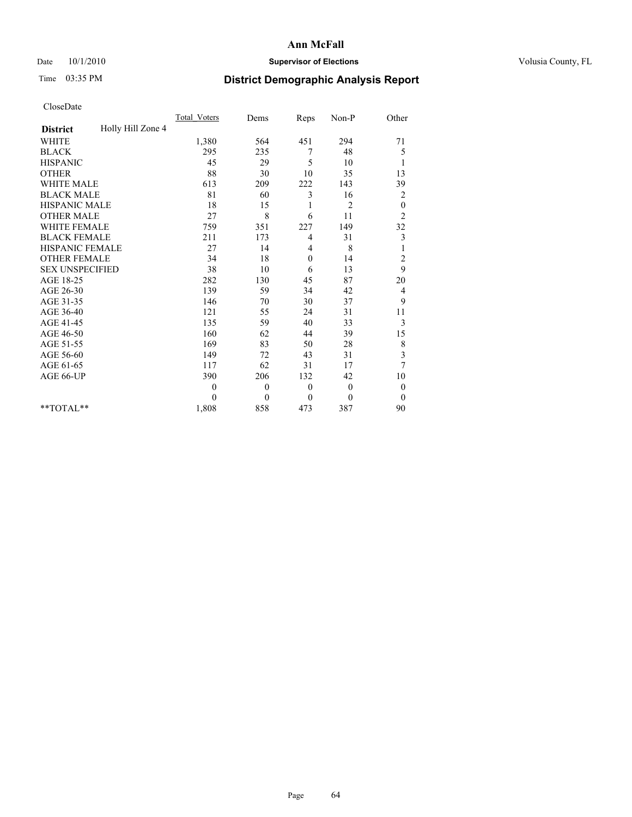# Date  $10/1/2010$  **Supervisor of Elections Supervisor of Elections** Volusia County, FL

# Time 03:35 PM **District Demographic Analysis Report**

|                                      | <b>Total Voters</b> | Dems         | Reps         | Non-P          | Other            |  |
|--------------------------------------|---------------------|--------------|--------------|----------------|------------------|--|
| Holly Hill Zone 4<br><b>District</b> |                     |              |              |                |                  |  |
| <b>WHITE</b>                         | 1,380               | 564          | 451          | 294            | 71               |  |
| <b>BLACK</b>                         | 295                 | 235          | 7            | 48             | 5                |  |
| <b>HISPANIC</b>                      | 45                  | 29           | 5            | 10             | 1                |  |
| <b>OTHER</b>                         | 88                  | 30           | 10           | 35             | 13               |  |
| <b>WHITE MALE</b>                    | 613                 | 209          | 222          | 143            | 39               |  |
| <b>BLACK MALE</b>                    | 81                  | 60           | 3            | 16             | $\overline{c}$   |  |
| <b>HISPANIC MALE</b>                 | 18                  | 15           | 1            | $\overline{2}$ | $\boldsymbol{0}$ |  |
| <b>OTHER MALE</b>                    | 27                  | 8            | 6            | 11             | $\overline{c}$   |  |
| WHITE FEMALE                         | 759                 | 351          | 227          | 149            | 32               |  |
| <b>BLACK FEMALE</b>                  | 211                 | 173          | 4            | 31             | 3                |  |
| HISPANIC FEMALE                      | 27                  | 14           | 4            | 8              | $\mathbf{1}$     |  |
| <b>OTHER FEMALE</b>                  | 34                  | 18           | $\theta$     | 14             | $\overline{c}$   |  |
| <b>SEX UNSPECIFIED</b>               | 38                  | 10           | 6            | 13             | 9                |  |
| AGE 18-25                            | 282                 | 130          | 45           | 87             | 20               |  |
| AGE 26-30                            | 139                 | 59           | 34           | 42             | $\overline{4}$   |  |
| AGE 31-35                            | 146                 | 70           | 30           | 37             | 9                |  |
| AGE 36-40                            | 121                 | 55           | 24           | 31             | 11               |  |
| AGE 41-45                            | 135                 | 59           | 40           | 33             | 3                |  |
| AGE 46-50                            | 160                 | 62           | 44           | 39             | 15               |  |
| AGE 51-55                            | 169                 | 83           | 50           | 28             | $\,$ $\,$        |  |
| AGE 56-60                            | 149                 | 72           | 43           | 31             | $\mathfrak{Z}$   |  |
| AGE 61-65                            | 117                 | 62           | 31           | 17             | $\tau$           |  |
| AGE 66-UP                            | 390                 | 206          | 132          | 42             | 10               |  |
|                                      | $\theta$            | $\mathbf{0}$ | $\theta$     | $\mathbf{0}$   | $\boldsymbol{0}$ |  |
|                                      | $\Omega$            | $\theta$     | $\mathbf{0}$ | $\theta$       | $\theta$         |  |
| **TOTAL**                            | 1,808               | 858          | 473          | 387            | 90               |  |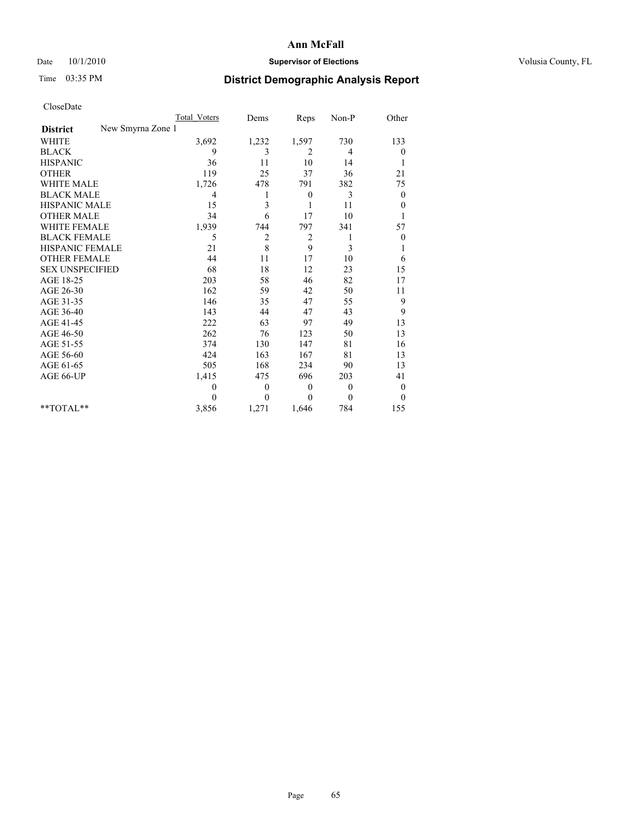# Date  $10/1/2010$  **Supervisor of Elections Supervisor of Elections** Volusia County, FL

# Time 03:35 PM **District Demographic Analysis Report**

|                                      | Total Voters   | Dems                    | Reps         | $Non-P$        | Other            |
|--------------------------------------|----------------|-------------------------|--------------|----------------|------------------|
| New Smyrna Zone 1<br><b>District</b> |                |                         |              |                |                  |
| <b>WHITE</b>                         | 3,692          | 1,232                   | 1,597        | 730            | 133              |
| <b>BLACK</b>                         | 9              | 3                       | 2            | $\overline{4}$ | $\overline{0}$   |
| <b>HISPANIC</b>                      | 36             | 11                      | 10           | 14             |                  |
| <b>OTHER</b>                         | 119            | 25                      | 37           | 36             | 21               |
| <b>WHITE MALE</b>                    | 1,726          | 478                     | 791          | 382            | 75               |
| <b>BLACK MALE</b>                    | $\overline{4}$ |                         | $\theta$     | 3              | $\overline{0}$   |
| <b>HISPANIC MALE</b>                 | 15             | 3                       | 1            | 11             | $\overline{0}$   |
| <b>OTHER MALE</b>                    | 34             | 6                       | 17           | 10             |                  |
| <b>WHITE FEMALE</b>                  | 1,939          | 744                     | 797          | 341            | 57               |
| <b>BLACK FEMALE</b>                  | 5              | $\overline{\mathbf{c}}$ | 2            | 1              | $\theta$         |
| HISPANIC FEMALE                      | 21             | 8                       | 9            | 3              |                  |
| <b>OTHER FEMALE</b>                  | 44             | 11                      | 17           | 10             | 6                |
| <b>SEX UNSPECIFIED</b>               | 68             | 18                      | 12           | 23             | 15               |
| AGE 18-25                            | 203            | 58                      | 46           | 82             | 17               |
| AGE 26-30                            | 162            | 59                      | 42           | 50             | 11               |
| AGE 31-35                            | 146            | 35                      | 47           | 55             | 9                |
| AGE 36-40                            | 143            | 44                      | 47           | 43             | 9                |
| AGE 41-45                            | 222            | 63                      | 97           | 49             | 13               |
| AGE 46-50                            | 262            | 76                      | 123          | 50             | 13               |
| AGE 51-55                            | 374            | 130                     | 147          | 81             | 16               |
| AGE 56-60                            | 424            | 163                     | 167          | 81             | 13               |
| AGE 61-65                            | 505            | 168                     | 234          | 90             | 13               |
| AGE 66-UP                            | 1,415          | 475                     | 696          | 203            | 41               |
|                                      | $\Omega$       | $\boldsymbol{0}$        | $\mathbf{0}$ | $\mathbf{0}$   | $\boldsymbol{0}$ |
|                                      | $\Omega$       | $\theta$                | $\Omega$     | $\theta$       | $\overline{0}$   |
| $*$ $TOTAI.**$                       | 3,856          | 1,271                   | 1,646        | 784            | 155              |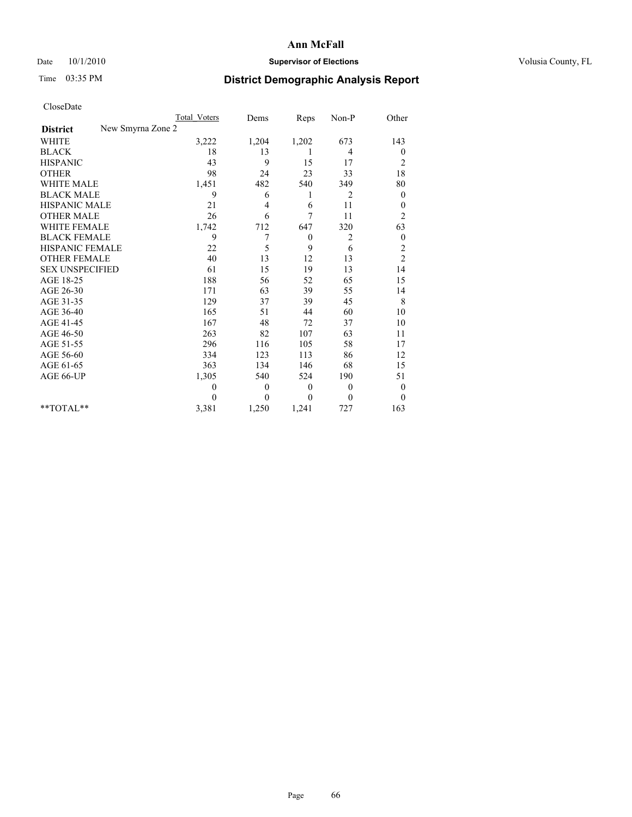# Date  $10/1/2010$  **Supervisor of Elections Supervisor of Elections** Volusia County, FL

# Time 03:35 PM **District Demographic Analysis Report**

|                                      | <b>Total Voters</b> | Dems         | Reps             | Non-P          | Other            |
|--------------------------------------|---------------------|--------------|------------------|----------------|------------------|
| New Smyrna Zone 2<br><b>District</b> |                     |              |                  |                |                  |
| <b>WHITE</b>                         | 3,222               | 1,204        | 1,202            | 673            | 143              |
| <b>BLACK</b>                         | 18                  | 13           | 1                | 4              | $\boldsymbol{0}$ |
| <b>HISPANIC</b>                      | 43                  | 9            | 15               | 17             | $\overline{c}$   |
| <b>OTHER</b>                         | 98                  | 24           | 23               | 33             | 18               |
| <b>WHITE MALE</b>                    | 1,451               | 482          | 540              | 349            | 80               |
| <b>BLACK MALE</b>                    | 9                   | 6            | 1                | 2              | $\theta$         |
| HISPANIC MALE                        | 21                  | 4            | 6                | 11             | $\boldsymbol{0}$ |
| <b>OTHER MALE</b>                    | 26                  | 6            | 7                | 11             | $\overline{c}$   |
| <b>WHITE FEMALE</b>                  | 1,742               | 712          | 647              | 320            | 63               |
| <b>BLACK FEMALE</b>                  | 9                   | 7            | $\boldsymbol{0}$ | 2              | $\boldsymbol{0}$ |
| HISPANIC FEMALE                      | 22                  | 5            | 9                | 6              | $\overline{c}$   |
| <b>OTHER FEMALE</b>                  | 40                  | 13           | 12               | 13             | $\overline{c}$   |
| <b>SEX UNSPECIFIED</b>               | 61                  | 15           | 19               | 13             | 14               |
| AGE 18-25                            | 188                 | 56           | 52               | 65             | 15               |
| AGE 26-30                            | 171                 | 63           | 39               | 55             | 14               |
| AGE 31-35                            | 129                 | 37           | 39               | 45             | $\,$ 8 $\,$      |
| AGE 36-40                            | 165                 | 51           | 44               | 60             | 10               |
| AGE 41-45                            | 167                 | 48           | 72               | 37             | 10               |
| AGE 46-50                            | 263                 | 82           | 107              | 63             | 11               |
| AGE 51-55                            | 296                 | 116          | 105              | 58             | 17               |
| AGE 56-60                            | 334                 | 123          | 113              | 86             | 12               |
| AGE 61-65                            | 363                 | 134          | 146              | 68             | 15               |
| AGE 66-UP                            | 1,305               | 540          | 524              | 190            | 51               |
|                                      | $\theta$            | $\mathbf{0}$ | $\theta$         | $\overline{0}$ | $\boldsymbol{0}$ |
|                                      | $\theta$            | $\theta$     | $\theta$         | $\theta$       | $\theta$         |
| $*$ TOTAL $*$                        | 3,381               | 1,250        | 1,241            | 727            | 163              |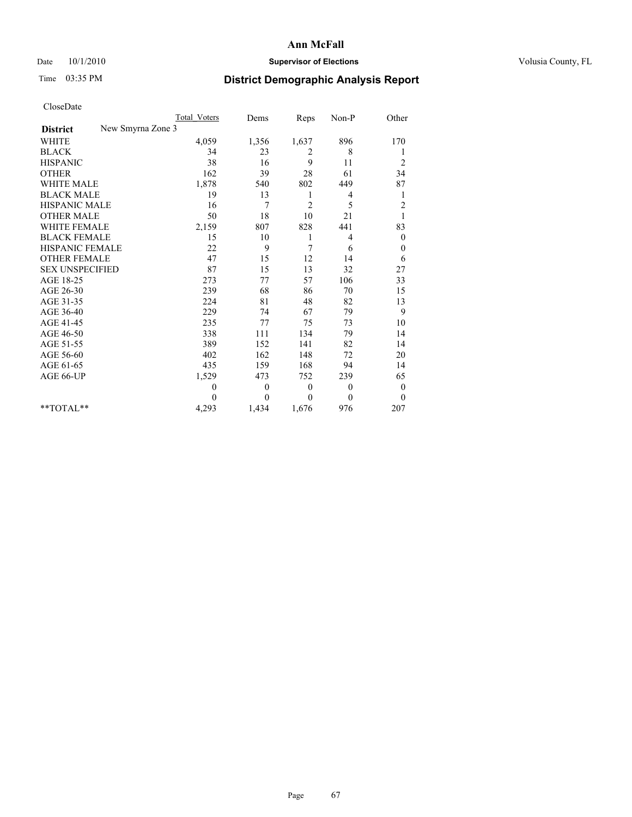# Date  $10/1/2010$  **Supervisor of Elections Supervisor of Elections** Volusia County, FL

# Time 03:35 PM **District Demographic Analysis Report**

|                                      | <b>Total Voters</b> | Dems           | Reps           | Non-P          | Other            |
|--------------------------------------|---------------------|----------------|----------------|----------------|------------------|
| New Smyrna Zone 3<br><b>District</b> |                     |                |                |                |                  |
| <b>WHITE</b>                         | 4,059               | 1,356          | 1,637          | 896            | 170              |
| <b>BLACK</b>                         | 34                  | 23             | 2              | 8              | 1                |
| <b>HISPANIC</b>                      | 38                  | 16             | 9              | 11             | $\overline{c}$   |
| <b>OTHER</b>                         | 162                 | 39             | 28             | 61             | 34               |
| <b>WHITE MALE</b>                    | 1,878               | 540            | 802            | 449            | 87               |
| <b>BLACK MALE</b>                    | 19                  | 13             | 1              | 4              | 1                |
| HISPANIC MALE                        | 16                  | $\overline{7}$ | $\overline{c}$ | 5              | $\overline{c}$   |
| <b>OTHER MALE</b>                    | 50                  | 18             | 10             | 21             | 1                |
| <b>WHITE FEMALE</b>                  | 2,159               | 807            | 828            | 441            | 83               |
| <b>BLACK FEMALE</b>                  | 15                  | 10             | 1              | 4              | $\boldsymbol{0}$ |
| HISPANIC FEMALE                      | 22                  | 9              | 7              | 6              | $\boldsymbol{0}$ |
| <b>OTHER FEMALE</b>                  | 47                  | 15             | 12             | 14             | 6                |
| <b>SEX UNSPECIFIED</b>               | 87                  | 15             | 13             | 32             | 27               |
| AGE 18-25                            | 273                 | 77             | 57             | 106            | 33               |
| AGE 26-30                            | 239                 | 68             | 86             | 70             | 15               |
| AGE 31-35                            | 224                 | 81             | 48             | 82             | 13               |
| AGE 36-40                            | 229                 | 74             | 67             | 79             | 9                |
| AGE 41-45                            | 235                 | 77             | 75             | 73             | 10               |
| AGE 46-50                            | 338                 | 111            | 134            | 79             | 14               |
| AGE 51-55                            | 389                 | 152            | 141            | 82             | 14               |
| AGE 56-60                            | 402                 | 162            | 148            | 72             | 20               |
| AGE 61-65                            | 435                 | 159            | 168            | 94             | 14               |
| AGE 66-UP                            | 1,529               | 473            | 752            | 239            | 65               |
|                                      | $\theta$            | $\mathbf{0}$   | $\theta$       | $\overline{0}$ | $\boldsymbol{0}$ |
|                                      | $\Omega$            | $\theta$       | $\theta$       | $\theta$       | $\theta$         |
| $*$ TOTAL $*$                        | 4,293               | 1,434          | 1,676          | 976            | 207              |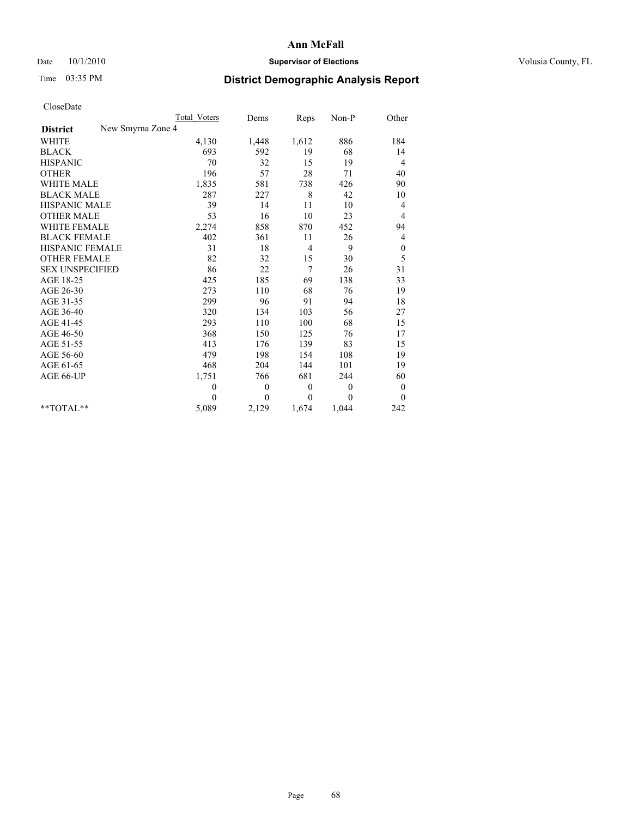## Date  $10/1/2010$  **Supervisor of Elections Supervisor of Elections** Volusia County, FL

# Time 03:35 PM **District Demographic Analysis Report**

|                                      | <b>Total Voters</b> | Dems         | Reps           | Non-P        | Other            |
|--------------------------------------|---------------------|--------------|----------------|--------------|------------------|
| New Smyrna Zone 4<br><b>District</b> |                     |              |                |              |                  |
| <b>WHITE</b>                         | 4,130               | 1,448        | 1,612          | 886          | 184              |
| <b>BLACK</b>                         | 693                 | 592          | 19             | 68           | 14               |
| <b>HISPANIC</b>                      | 70                  | 32           | 15             | 19           | 4                |
| <b>OTHER</b>                         | 196                 | 57           | 28             | 71           | 40               |
| <b>WHITE MALE</b>                    | 1,835               | 581          | 738            | 426          | 90               |
| <b>BLACK MALE</b>                    | 287                 | 227          | 8              | 42           | 10               |
| HISPANIC MALE                        | 39                  | 14           | 11             | 10           | 4                |
| <b>OTHER MALE</b>                    | 53                  | 16           | 10             | 23           | 4                |
| <b>WHITE FEMALE</b>                  | 2,274               | 858          | 870            | 452          | 94               |
| <b>BLACK FEMALE</b>                  | 402                 | 361          | 11             | 26           | 4                |
| HISPANIC FEMALE                      | 31                  | 18           | $\overline{4}$ | 9            | $\boldsymbol{0}$ |
| <b>OTHER FEMALE</b>                  | 82                  | 32           | 15             | 30           | 5                |
| <b>SEX UNSPECIFIED</b>               | 86                  | 22           | 7              | 26           | 31               |
| AGE 18-25                            | 425                 | 185          | 69             | 138          | 33               |
| AGE 26-30                            | 273                 | 110          | 68             | 76           | 19               |
| AGE 31-35                            | 299                 | 96           | 91             | 94           | 18               |
| AGE 36-40                            | 320                 | 134          | 103            | 56           | 27               |
| AGE 41-45                            | 293                 | 110          | 100            | 68           | 15               |
| AGE 46-50                            | 368                 | 150          | 125            | 76           | 17               |
| AGE 51-55                            | 413                 | 176          | 139            | 83           | 15               |
| AGE 56-60                            | 479                 | 198          | 154            | 108          | 19               |
| AGE 61-65                            | 468                 | 204          | 144            | 101          | 19               |
| AGE 66-UP                            | 1,751               | 766          | 681            | 244          | 60               |
|                                      | $\mathbf{0}$        | $\mathbf{0}$ | $\theta$       | $\mathbf{0}$ | $\boldsymbol{0}$ |
|                                      | $\theta$            | $\theta$     | $\theta$       | $\theta$     | $\mathbf{0}$     |
| $*$ TOTAL $*$                        | 5,089               | 2,129        | 1,674          | 1,044        | 242              |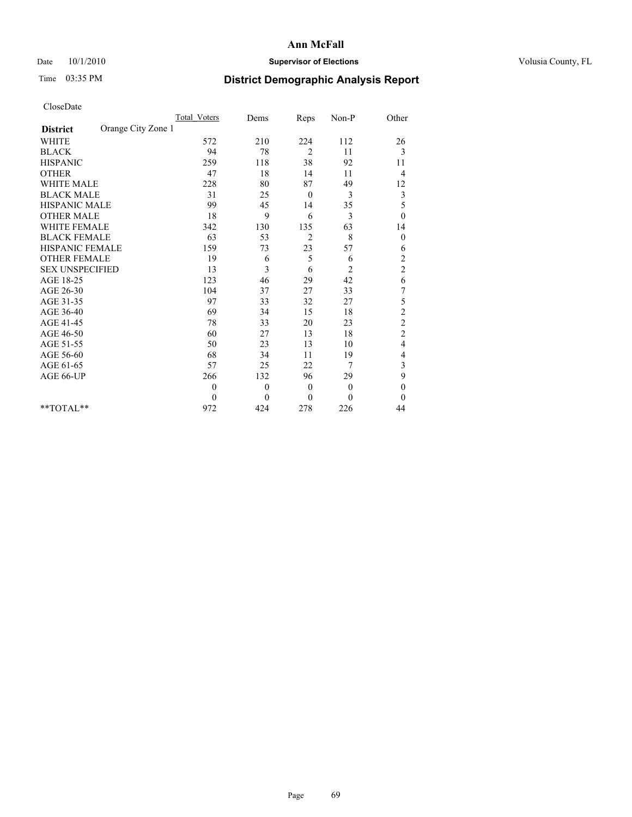## Date  $10/1/2010$  **Supervisor of Elections Supervisor of Elections** Volusia County, FL

# Time 03:35 PM **District Demographic Analysis Report**

|                                       | Total Voters | Dems     | Reps           | Non-P          | Other            |  |
|---------------------------------------|--------------|----------|----------------|----------------|------------------|--|
| Orange City Zone 1<br><b>District</b> |              |          |                |                |                  |  |
| <b>WHITE</b>                          | 572          | 210      | 224            | 112            | 26               |  |
| <b>BLACK</b>                          | 94           | 78       | $\overline{2}$ | 11             | 3                |  |
| <b>HISPANIC</b>                       | 259          | 118      | 38             | 92             | 11               |  |
| <b>OTHER</b>                          | 47           | 18       | 14             | 11             | 4                |  |
| <b>WHITE MALE</b>                     | 228          | 80       | 87             | 49             | 12               |  |
| <b>BLACK MALE</b>                     | 31           | 25       | $\mathbf{0}$   | 3              | $\mathfrak{Z}$   |  |
| <b>HISPANIC MALE</b>                  | 99           | 45       | 14             | 35             | 5                |  |
| <b>OTHER MALE</b>                     | 18           | 9        | 6              | 3              | $\boldsymbol{0}$ |  |
| <b>WHITE FEMALE</b>                   | 342          | 130      | 135            | 63             | 14               |  |
| <b>BLACK FEMALE</b>                   | 63           | 53       | $\overline{c}$ | 8              | $\mathbf{0}$     |  |
| HISPANIC FEMALE                       | 159          | 73       | 23             | 57             | 6                |  |
| <b>OTHER FEMALE</b>                   | 19           | 6        | 5              | 6              | $\overline{c}$   |  |
| <b>SEX UNSPECIFIED</b>                | 13           | 3        | 6              | $\overline{c}$ | $\overline{c}$   |  |
| AGE 18-25                             | 123          | 46       | 29             | 42             | 6                |  |
| AGE 26-30                             | 104          | 37       | 27             | 33             | 7                |  |
| AGE 31-35                             | 97           | 33       | 32             | 27             | 5                |  |
| AGE 36-40                             | 69           | 34       | 15             | 18             | $\overline{c}$   |  |
| AGE 41-45                             | 78           | 33       | 20             | 23             | $\overline{c}$   |  |
| AGE 46-50                             | 60           | 27       | 13             | 18             | $\overline{c}$   |  |
| AGE 51-55                             | 50           | 23       | 13             | 10             | 4                |  |
| AGE 56-60                             | 68           | 34       | 11             | 19             | 4                |  |
| AGE 61-65                             | 57           | 25       | 22             | 7              | 3                |  |
| AGE 66-UP                             | 266          | 132      | 96             | 29             | 9                |  |
|                                       | $\theta$     | $\theta$ | $\mathbf{0}$   | $\mathbf{0}$   | $\boldsymbol{0}$ |  |
|                                       | $\Omega$     | $\theta$ | $\theta$       | $\Omega$       | $\mathbf{0}$     |  |
| $*$ TOTAL $*$                         | 972          | 424      | 278            | 226            | 44               |  |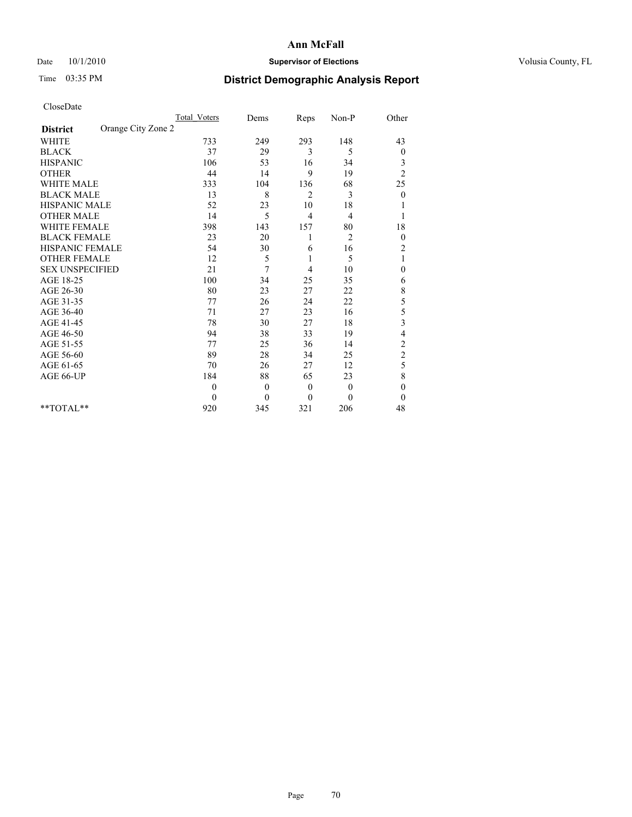# Date  $10/1/2010$  **Supervisor of Elections Supervisor of Elections** Volusia County, FL

# Time 03:35 PM **District Demographic Analysis Report**

|                                       | <b>Total Voters</b> | Dems         | Reps           | Non-P          | Other            |  |
|---------------------------------------|---------------------|--------------|----------------|----------------|------------------|--|
| Orange City Zone 2<br><b>District</b> |                     |              |                |                |                  |  |
| <b>WHITE</b>                          | 733                 | 249          | 293            | 148            | 43               |  |
| <b>BLACK</b>                          | 37                  | 29           | 3              | 5              | 0                |  |
| <b>HISPANIC</b>                       | 106                 | 53           | 16             | 34             | 3                |  |
| <b>OTHER</b>                          | 44                  | 14           | 9              | 19             | $\overline{c}$   |  |
| <b>WHITE MALE</b>                     | 333                 | 104          | 136            | 68             | 25               |  |
| <b>BLACK MALE</b>                     | 13                  | 8            | 2              | 3              | $\mathbf{0}$     |  |
| HISPANIC MALE                         | 52                  | 23           | 10             | 18             |                  |  |
| <b>OTHER MALE</b>                     | 14                  | 5            | $\overline{4}$ | 4              |                  |  |
| <b>WHITE FEMALE</b>                   | 398                 | 143          | 157            | 80             | 18               |  |
| <b>BLACK FEMALE</b>                   | 23                  | 20           |                | $\overline{2}$ | $\boldsymbol{0}$ |  |
| HISPANIC FEMALE                       | 54                  | 30           | 6              | 16             | $\overline{c}$   |  |
| <b>OTHER FEMALE</b>                   | 12                  | 5            | 1              | 5              | 1                |  |
| <b>SEX UNSPECIFIED</b>                | 21                  | 7            | 4              | 10             | $\boldsymbol{0}$ |  |
| AGE 18-25                             | 100                 | 34           | 25             | 35             | 6                |  |
| AGE 26-30                             | 80                  | 23           | 27             | 22             | 8                |  |
| AGE 31-35                             | 77                  | 26           | 24             | 22             | 5                |  |
| AGE 36-40                             | 71                  | 27           | 23             | 16             | 5                |  |
| AGE 41-45                             | 78                  | 30           | 27             | 18             | 3                |  |
| AGE 46-50                             | 94                  | 38           | 33             | 19             | 4                |  |
| AGE 51-55                             | 77                  | 25           | 36             | 14             | $\overline{c}$   |  |
| AGE 56-60                             | 89                  | 28           | 34             | 25             | $\overline{c}$   |  |
| AGE 61-65                             | 70                  | 26           | 27             | 12             | 5                |  |
| AGE 66-UP                             | 184                 | 88           | 65             | 23             | 8                |  |
|                                       | $\theta$            | $\theta$     | $\theta$       | $\mathbf{0}$   | $\mathbf{0}$     |  |
|                                       | $\mathbf{0}$        | $\mathbf{0}$ | $\mathbf{0}$   | $\theta$       | $\mathbf{0}$     |  |
| $*$ TOTAL $*$                         | 920                 | 345          | 321            | 206            | 48               |  |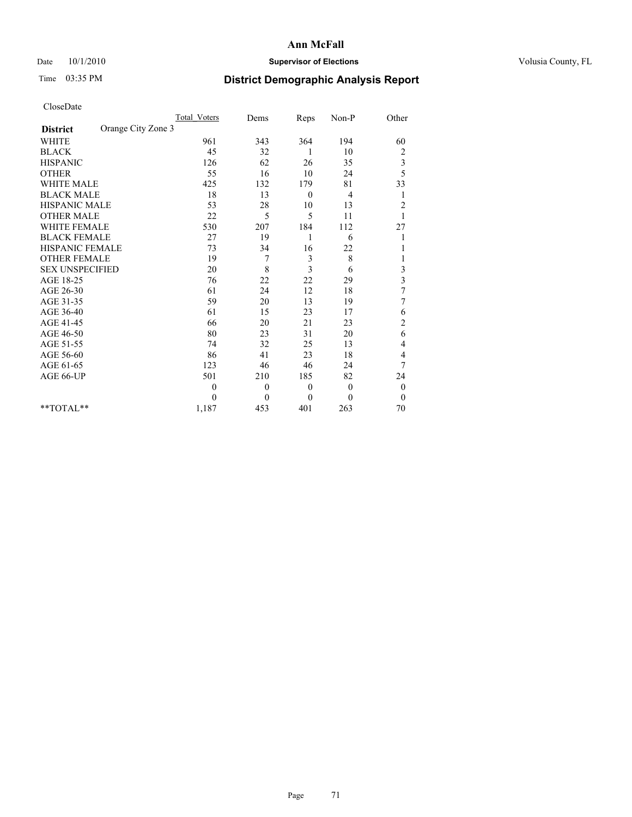# Date  $10/1/2010$  **Supervisor of Elections Supervisor of Elections** Volusia County, FL

# Time 03:35 PM **District Demographic Analysis Report**

|                                       | <b>Total Voters</b> | Dems         | Reps             | $Non-P$      | Other                   |  |
|---------------------------------------|---------------------|--------------|------------------|--------------|-------------------------|--|
| Orange City Zone 3<br><b>District</b> |                     |              |                  |              |                         |  |
| <b>WHITE</b>                          | 961                 | 343          | 364              | 194          | 60                      |  |
| <b>BLACK</b>                          | 45                  | 32           | 1                | 10           | $\overline{\mathbf{c}}$ |  |
| <b>HISPANIC</b>                       | 126                 | 62           | 26               | 35           | 3                       |  |
| <b>OTHER</b>                          | 55                  | 16           | 10               | 24           | 5                       |  |
| <b>WHITE MALE</b>                     | 425                 | 132          | 179              | 81           | 33                      |  |
| <b>BLACK MALE</b>                     | 18                  | 13           | $\overline{0}$   | 4            | 1                       |  |
| <b>HISPANIC MALE</b>                  | 53                  | 28           | 10               | 13           | $\overline{c}$          |  |
| <b>OTHER MALE</b>                     | 22                  | 5            | 5                | 11           |                         |  |
| <b>WHITE FEMALE</b>                   | 530                 | 207          | 184              | 112          | 27                      |  |
| <b>BLACK FEMALE</b>                   | $27\,$              | 19           | 1                | 6            |                         |  |
| HISPANIC FEMALE                       | 73                  | 34           | 16               | 22           |                         |  |
| <b>OTHER FEMALE</b>                   | 19                  | 7            | 3                | 8            |                         |  |
| <b>SEX UNSPECIFIED</b>                | 20                  | 8            | 3                | 6            | 3                       |  |
| AGE 18-25                             | 76                  | 22           | 22               | 29           | 3                       |  |
| AGE 26-30                             | 61                  | 24           | 12               | 18           | 7                       |  |
| AGE 31-35                             | 59                  | 20           | 13               | 19           | 7                       |  |
| AGE 36-40                             | 61                  | 15           | 23               | 17           | 6                       |  |
| AGE 41-45                             | 66                  | 20           | 21               | 23           | $\overline{\mathbf{c}}$ |  |
| AGE 46-50                             | 80                  | 23           | 31               | 20           | 6                       |  |
| AGE 51-55                             | 74                  | 32           | 25               | 13           | 4                       |  |
| AGE 56-60                             | 86                  | 41           | 23               | 18           | 4                       |  |
| AGE 61-65                             | 123                 | 46           | 46               | 24           | 7                       |  |
| AGE 66-UP                             | 501                 | 210          | 185              | 82           | 24                      |  |
|                                       | $\theta$            | $\mathbf{0}$ | $\boldsymbol{0}$ | $\mathbf{0}$ | $\boldsymbol{0}$        |  |
|                                       | $\Omega$            | $\theta$     | $\theta$         | $\theta$     | $\overline{0}$          |  |
| $*$ TOTAL $*$                         | 1,187               | 453          | 401              | 263          | 70                      |  |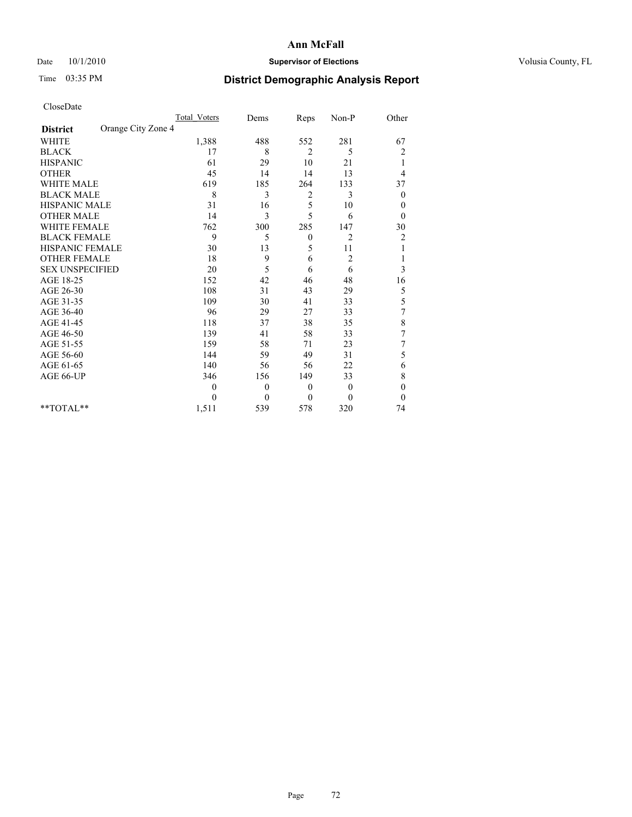# Date  $10/1/2010$  **Supervisor of Elections Supervisor of Elections** Volusia County, FL

# Time 03:35 PM **District Demographic Analysis Report**

|                                       | <b>Total Voters</b> | Dems           | Reps     | Non-P          | Other            |  |
|---------------------------------------|---------------------|----------------|----------|----------------|------------------|--|
| Orange City Zone 4<br><b>District</b> |                     |                |          |                |                  |  |
| <b>WHITE</b>                          | 1,388               | 488            | 552      | 281            | 67               |  |
| <b>BLACK</b>                          | 17                  | 8              | 2        | 5              | $\overline{c}$   |  |
| <b>HISPANIC</b>                       | 61                  | 29             | 10       | 21             | 1                |  |
| <b>OTHER</b>                          | 45                  | 14             | 14       | 13             | 4                |  |
| <b>WHITE MALE</b>                     | 619                 | 185            | 264      | 133            | 37               |  |
| <b>BLACK MALE</b>                     | 8                   | 3              | 2        | 3              | $\boldsymbol{0}$ |  |
| <b>HISPANIC MALE</b>                  | 31                  | 16             | 5        | 10             | 0                |  |
| <b>OTHER MALE</b>                     | 14                  | 3              | 5        | 6              | $\theta$         |  |
| <b>WHITE FEMALE</b>                   | 762                 | 300            | 285      | 147            | 30               |  |
| <b>BLACK FEMALE</b>                   | 9                   | 5              | $\theta$ | $\overline{2}$ | $\overline{c}$   |  |
| HISPANIC FEMALE                       | 30                  | 13             | 5        | 11             |                  |  |
| <b>OTHER FEMALE</b>                   | 18                  | 9              | 6        | $\overline{c}$ |                  |  |
| <b>SEX UNSPECIFIED</b>                | 20                  | 5              | 6        | 6              | 3                |  |
| AGE 18-25                             | 152                 | 42             | 46       | 48             | 16               |  |
| AGE 26-30                             | 108                 | 31             | 43       | 29             | 5                |  |
| AGE 31-35                             | 109                 | 30             | 41       | 33             | 5                |  |
| AGE 36-40                             | 96                  | 29             | 27       | 33             | 7                |  |
| AGE 41-45                             | 118                 | 37             | 38       | 35             | 8                |  |
| AGE 46-50                             | 139                 | 41             | 58       | 33             | $\overline{7}$   |  |
| AGE 51-55                             | 159                 | 58             | 71       | 23             | $\overline{7}$   |  |
| AGE 56-60                             | 144                 | 59             | 49       | 31             | 5                |  |
| AGE 61-65                             | 140                 | 56             | 56       | 22             | 6                |  |
| AGE 66-UP                             | 346                 | 156            | 149      | 33             | 8                |  |
|                                       | $\theta$            | $\theta$       | $\theta$ | $\overline{0}$ | $\boldsymbol{0}$ |  |
|                                       | $\theta$            | $\overline{0}$ | $\theta$ | $\theta$       | $\theta$         |  |
| **TOTAL**                             | 1,511               | 539            | 578      | 320            | 74               |  |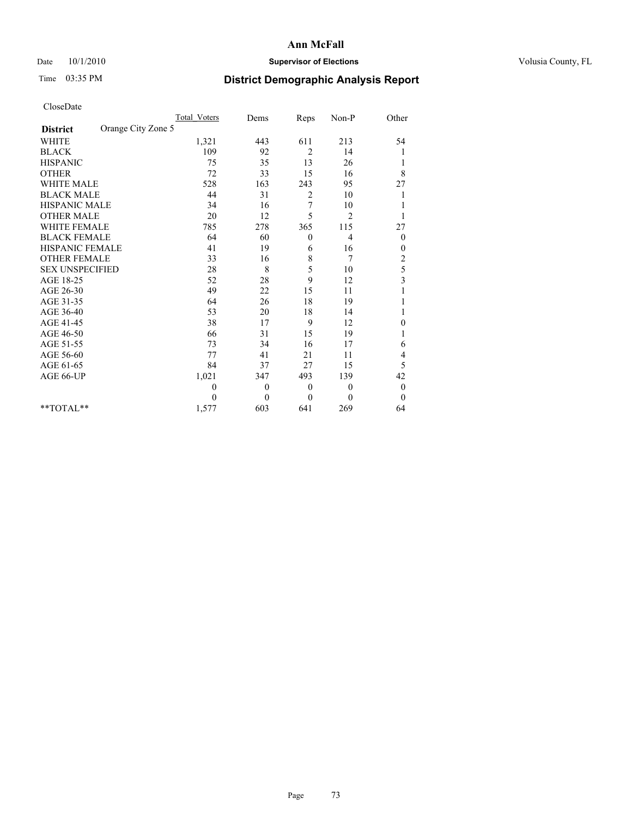## Date  $10/1/2010$  **Supervisor of Elections Supervisor of Elections** Volusia County, FL

# Time 03:35 PM **District Demographic Analysis Report**

|                                       | <b>Total Voters</b> | Dems         | Reps           | Non-P          | Other                   |  |
|---------------------------------------|---------------------|--------------|----------------|----------------|-------------------------|--|
| Orange City Zone 5<br><b>District</b> |                     |              |                |                |                         |  |
| <b>WHITE</b>                          | 1,321               | 443          | 611            | 213            | 54                      |  |
| <b>BLACK</b>                          | 109                 | 92           | $\overline{2}$ | 14             | 1                       |  |
| <b>HISPANIC</b>                       | 75                  | 35           | 13             | 26             | 1                       |  |
| <b>OTHER</b>                          | 72                  | 33           | 15             | 16             | 8                       |  |
| <b>WHITE MALE</b>                     | 528                 | 163          | 243            | 95             | 27                      |  |
| <b>BLACK MALE</b>                     | 44                  | 31           | 2              | 10             |                         |  |
| HISPANIC MALE                         | 34                  | 16           | 7              | 10             |                         |  |
| <b>OTHER MALE</b>                     | 20                  | 12           | 5              | $\overline{2}$ |                         |  |
| <b>WHITE FEMALE</b>                   | 785                 | 278          | 365            | 115            | 27                      |  |
| <b>BLACK FEMALE</b>                   | 64                  | 60           | $\theta$       | 4              | $\theta$                |  |
| HISPANIC FEMALE                       | 41                  | 19           | 6              | 16             | 0                       |  |
| <b>OTHER FEMALE</b>                   | 33                  | 16           | 8              | 7              | $\overline{c}$          |  |
| <b>SEX UNSPECIFIED</b>                | $28\,$              | 8            | 5              | 10             | 5                       |  |
| AGE 18-25                             | 52                  | 28           | 9              | 12             | $\overline{\mathbf{3}}$ |  |
| AGE 26-30                             | 49                  | 22           | 15             | 11             |                         |  |
| AGE 31-35                             | 64                  | 26           | 18             | 19             |                         |  |
| AGE 36-40                             | 53                  | 20           | 18             | 14             |                         |  |
| AGE 41-45                             | 38                  | 17           | 9              | 12             | 0                       |  |
| AGE 46-50                             | 66                  | 31           | 15             | 19             |                         |  |
| AGE 51-55                             | 73                  | 34           | 16             | 17             | 6                       |  |
| AGE 56-60                             | 77                  | 41           | 21             | 11             | 4                       |  |
| AGE 61-65                             | 84                  | 37           | 27             | 15             | 5                       |  |
| AGE 66-UP                             | 1,021               | 347          | 493            | 139            | 42                      |  |
|                                       | $\theta$            | $\mathbf{0}$ | $\theta$       | $\overline{0}$ | $\boldsymbol{0}$        |  |
|                                       | $\theta$            | $\theta$     | $\mathbf{0}$   | $\theta$       | $\theta$                |  |
| **TOTAL**                             | 1,577               | 603          | 641            | 269            | 64                      |  |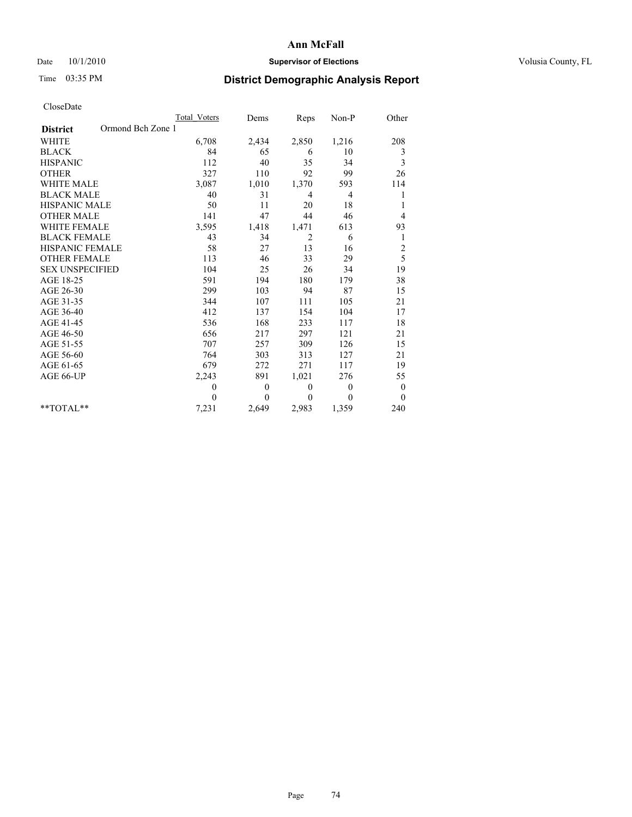## Date  $10/1/2010$  **Supervisor of Elections Supervisor of Elections** Volusia County, FL

# Time 03:35 PM **District Demographic Analysis Report**

|                                      | <b>Total Voters</b> | Dems         | Reps           | Non-P          | Other            |
|--------------------------------------|---------------------|--------------|----------------|----------------|------------------|
| Ormond Bch Zone 1<br><b>District</b> |                     |              |                |                |                  |
| <b>WHITE</b>                         | 6,708               | 2,434        | 2,850          | 1,216          | 208              |
| <b>BLACK</b>                         | 84                  | 65           | 6              | 10             | 3                |
| <b>HISPANIC</b>                      | 112                 | 40           | 35             | 34             | 3                |
| <b>OTHER</b>                         | 327                 | 110          | 92             | 99             | 26               |
| <b>WHITE MALE</b>                    | 3,087               | 1,010        | 1,370          | 593            | 114              |
| <b>BLACK MALE</b>                    | 40                  | 31           | $\overline{4}$ | $\overline{4}$ | 1                |
| <b>HISPANIC MALE</b>                 | 50                  | 11           | 20             | 18             | 1                |
| <b>OTHER MALE</b>                    | 141                 | 47           | 44             | 46             | 4                |
| <b>WHITE FEMALE</b>                  | 3,595               | 1,418        | 1,471          | 613            | 93               |
| <b>BLACK FEMALE</b>                  | 43                  | 34           | $\overline{c}$ | 6              | 1                |
| HISPANIC FEMALE                      | 58                  | 27           | 13             | 16             | $\overline{c}$   |
| <b>OTHER FEMALE</b>                  | 113                 | 46           | 33             | 29             | 5                |
| <b>SEX UNSPECIFIED</b>               | 104                 | 25           | 26             | 34             | 19               |
| AGE 18-25                            | 591                 | 194          | 180            | 179            | 38               |
| AGE 26-30                            | 299                 | 103          | 94             | 87             | 15               |
| AGE 31-35                            | 344                 | 107          | 111            | 105            | 21               |
| AGE 36-40                            | 412                 | 137          | 154            | 104            | 17               |
| AGE 41-45                            | 536                 | 168          | 233            | 117            | 18               |
| AGE 46-50                            | 656                 | 217          | 297            | 121            | 21               |
| AGE 51-55                            | 707                 | 257          | 309            | 126            | 15               |
| AGE 56-60                            | 764                 | 303          | 313            | 127            | 21               |
| AGE 61-65                            | 679                 | 272          | 271            | 117            | 19               |
| AGE 66-UP                            | 2,243               | 891          | 1,021          | 276            | 55               |
|                                      | $\theta$            | $\mathbf{0}$ | $\theta$       | $\overline{0}$ | $\boldsymbol{0}$ |
|                                      | $\theta$            | $\theta$     | $\theta$       | $\theta$       | $\theta$         |
| $*$ TOTAL $*$                        | 7,231               | 2,649        | 2,983          | 1,359          | 240              |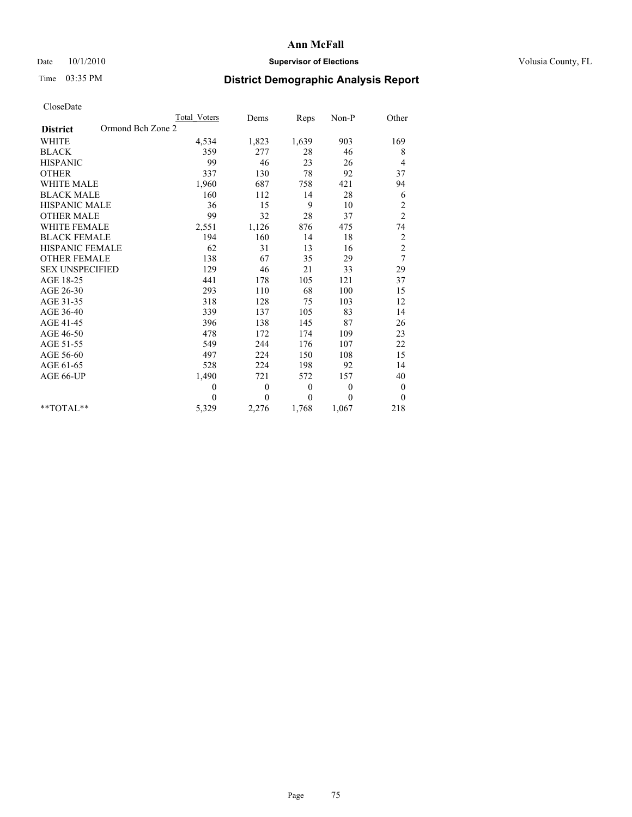## Date  $10/1/2010$  **Supervisor of Elections Supervisor of Elections** Volusia County, FL

# Time 03:35 PM **District Demographic Analysis Report**

|                                      | <b>Total Voters</b> | Dems         | Reps             | Non-P          | Other            |
|--------------------------------------|---------------------|--------------|------------------|----------------|------------------|
| Ormond Bch Zone 2<br><b>District</b> |                     |              |                  |                |                  |
| <b>WHITE</b>                         | 4,534               | 1,823        | 1,639            | 903            | 169              |
| <b>BLACK</b>                         | 359                 | 277          | 28               | 46             | 8                |
| <b>HISPANIC</b>                      | 99                  | 46           | 23               | 26             | 4                |
| <b>OTHER</b>                         | 337                 | 130          | 78               | 92             | 37               |
| <b>WHITE MALE</b>                    | 1,960               | 687          | 758              | 421            | 94               |
| <b>BLACK MALE</b>                    | 160                 | 112          | 14               | 28             | 6                |
| <b>HISPANIC MALE</b>                 | 36                  | 15           | 9                | 10             | $\overline{c}$   |
| <b>OTHER MALE</b>                    | 99                  | 32           | 28               | 37             | $\overline{c}$   |
| <b>WHITE FEMALE</b>                  | 2,551               | 1,126        | 876              | 475            | 74               |
| <b>BLACK FEMALE</b>                  | 194                 | 160          | 14               | 18             | $\overline{c}$   |
| HISPANIC FEMALE                      | 62                  | 31           | 13               | 16             | $\overline{c}$   |
| <b>OTHER FEMALE</b>                  | 138                 | 67           | 35               | 29             | 7                |
| <b>SEX UNSPECIFIED</b>               | 129                 | 46           | 21               | 33             | 29               |
| AGE 18-25                            | 441                 | 178          | 105              | 121            | 37               |
| AGE 26-30                            | 293                 | 110          | 68               | 100            | 15               |
| AGE 31-35                            | 318                 | 128          | 75               | 103            | 12               |
| AGE 36-40                            | 339                 | 137          | 105              | 83             | 14               |
| AGE 41-45                            | 396                 | 138          | 145              | 87             | 26               |
| AGE 46-50                            | 478                 | 172          | 174              | 109            | 23               |
| AGE 51-55                            | 549                 | 244          | 176              | 107            | 22               |
| AGE 56-60                            | 497                 | 224          | 150              | 108            | 15               |
| AGE 61-65                            | 528                 | 224          | 198              | 92             | 14               |
| AGE 66-UP                            | 1,490               | 721          | 572              | 157            | 40               |
|                                      | $\mathbf{0}$        | $\mathbf{0}$ | $\boldsymbol{0}$ | $\overline{0}$ | $\boldsymbol{0}$ |
|                                      | $\theta$            | $\theta$     | $\theta$         | $\theta$       | $\mathbf{0}$     |
| $*$ TOTAL $*$                        | 5,329               | 2,276        | 1,768            | 1,067          | 218              |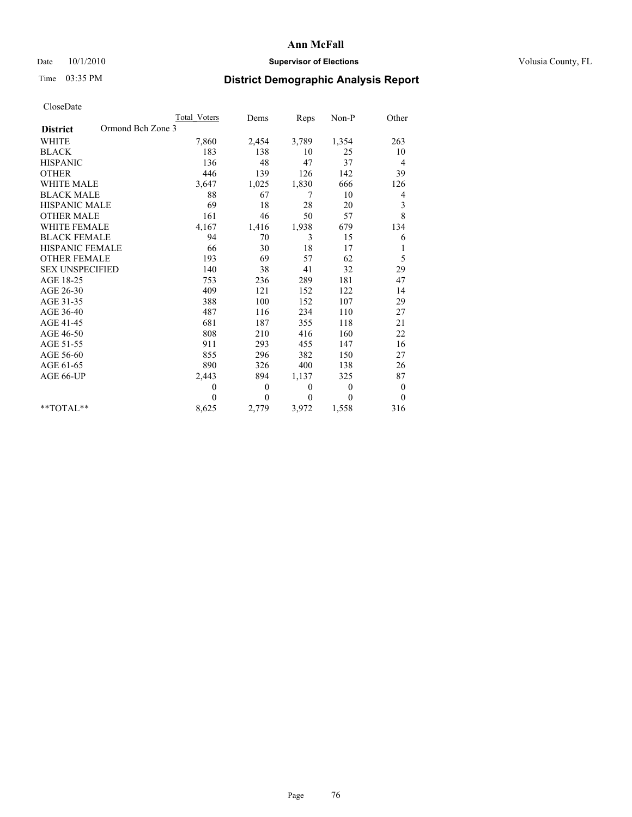## Date  $10/1/2010$  **Supervisor of Elections Supervisor of Elections** Volusia County, FL

# Time 03:35 PM **District Demographic Analysis Report**

|                                      | <b>Total Voters</b> | Dems         | Reps     | Non-P          | Other            |
|--------------------------------------|---------------------|--------------|----------|----------------|------------------|
| Ormond Bch Zone 3<br><b>District</b> |                     |              |          |                |                  |
| <b>WHITE</b>                         | 7,860               | 2,454        | 3,789    | 1,354          | 263              |
| <b>BLACK</b>                         | 183                 | 138          | 10       | 25             | 10               |
| <b>HISPANIC</b>                      | 136                 | 48           | 47       | 37             | 4                |
| <b>OTHER</b>                         | 446                 | 139          | 126      | 142            | 39               |
| <b>WHITE MALE</b>                    | 3,647               | 1,025        | 1,830    | 666            | 126              |
| <b>BLACK MALE</b>                    | 88                  | 67           | 7        | 10             | 4                |
| <b>HISPANIC MALE</b>                 | 69                  | 18           | $28\,$   | 20             | 3                |
| <b>OTHER MALE</b>                    | 161                 | 46           | 50       | 57             | 8                |
| <b>WHITE FEMALE</b>                  | 4,167               | 1,416        | 1,938    | 679            | 134              |
| <b>BLACK FEMALE</b>                  | 94                  | 70           | 3        | 15             | 6                |
| HISPANIC FEMALE                      | 66                  | 30           | 18       | 17             | 1                |
| <b>OTHER FEMALE</b>                  | 193                 | 69           | 57       | 62             | 5                |
| <b>SEX UNSPECIFIED</b>               | 140                 | 38           | 41       | 32             | 29               |
| AGE 18-25                            | 753                 | 236          | 289      | 181            | 47               |
| AGE 26-30                            | 409                 | 121          | 152      | 122            | 14               |
| AGE 31-35                            | 388                 | 100          | 152      | 107            | 29               |
| AGE 36-40                            | 487                 | 116          | 234      | 110            | 27               |
| AGE 41-45                            | 681                 | 187          | 355      | 118            | 21               |
| AGE 46-50                            | 808                 | 210          | 416      | 160            | 22               |
| AGE 51-55                            | 911                 | 293          | 455      | 147            | 16               |
| AGE 56-60                            | 855                 | 296          | 382      | 150            | 27               |
| AGE 61-65                            | 890                 | 326          | 400      | 138            | 26               |
| AGE 66-UP                            | 2,443               | 894          | 1,137    | 325            | 87               |
|                                      | $\mathbf{0}$        | $\mathbf{0}$ | $\theta$ | $\overline{0}$ | $\boldsymbol{0}$ |
|                                      | $\theta$            | $\theta$     | $\Omega$ | $\theta$       | $\theta$         |
| $*$ TOTAL $*$                        | 8,625               | 2,779        | 3,972    | 1,558          | 316              |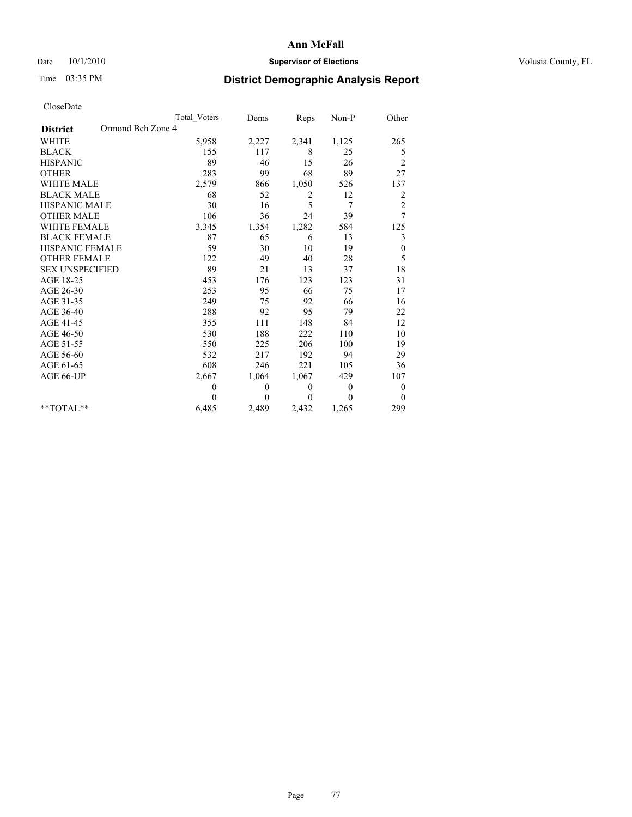## Date  $10/1/2010$  **Supervisor of Elections Supervisor of Elections** Volusia County, FL

# Time 03:35 PM **District Demographic Analysis Report**

|                                      | <b>Total Voters</b> | Dems         | Reps     | Non-P          | Other                   |
|--------------------------------------|---------------------|--------------|----------|----------------|-------------------------|
| Ormond Bch Zone 4<br><b>District</b> |                     |              |          |                |                         |
| <b>WHITE</b>                         | 5,958               | 2,227        | 2,341    | 1,125          | 265                     |
| <b>BLACK</b>                         | 155                 | 117          | 8        | 25             | 5                       |
| <b>HISPANIC</b>                      | 89                  | 46           | 15       | 26             | $\overline{c}$          |
| <b>OTHER</b>                         | 283                 | 99           | 68       | 89             | 27                      |
| <b>WHITE MALE</b>                    | 2,579               | 866          | 1,050    | 526            | 137                     |
| <b>BLACK MALE</b>                    | 68                  | 52           | 2        | 12             | $\overline{\mathbf{c}}$ |
| <b>HISPANIC MALE</b>                 | 30                  | 16           | 5        | 7              | $\overline{c}$          |
| <b>OTHER MALE</b>                    | 106                 | 36           | 24       | 39             | 7                       |
| <b>WHITE FEMALE</b>                  | 3,345               | 1,354        | 1,282    | 584            | 125                     |
| <b>BLACK FEMALE</b>                  | 87                  | 65           | 6        | 13             | 3                       |
| HISPANIC FEMALE                      | 59                  | 30           | 10       | 19             | $\boldsymbol{0}$        |
| <b>OTHER FEMALE</b>                  | 122                 | 49           | 40       | 28             | 5                       |
| <b>SEX UNSPECIFIED</b>               | 89                  | 21           | 13       | 37             | 18                      |
| AGE 18-25                            | 453                 | 176          | 123      | 123            | 31                      |
| AGE 26-30                            | 253                 | 95           | 66       | 75             | 17                      |
| AGE 31-35                            | 249                 | 75           | 92       | 66             | 16                      |
| AGE 36-40                            | 288                 | 92           | 95       | 79             | 22                      |
| AGE 41-45                            | 355                 | 111          | 148      | 84             | 12                      |
| AGE 46-50                            | 530                 | 188          | 222      | 110            | 10                      |
| AGE 51-55                            | 550                 | 225          | 206      | 100            | 19                      |
| AGE 56-60                            | 532                 | 217          | 192      | 94             | 29                      |
| AGE 61-65                            | 608                 | 246          | 221      | 105            | 36                      |
| AGE 66-UP                            | 2,667               | 1,064        | 1,067    | 429            | 107                     |
|                                      | $\theta$            | $\mathbf{0}$ | $\theta$ | $\overline{0}$ | $\boldsymbol{0}$        |
|                                      | $\theta$            | $\theta$     | $\theta$ | $\theta$       | $\theta$                |
| $*$ TOTAL $*$                        | 6,485               | 2,489        | 2,432    | 1,265          | 299                     |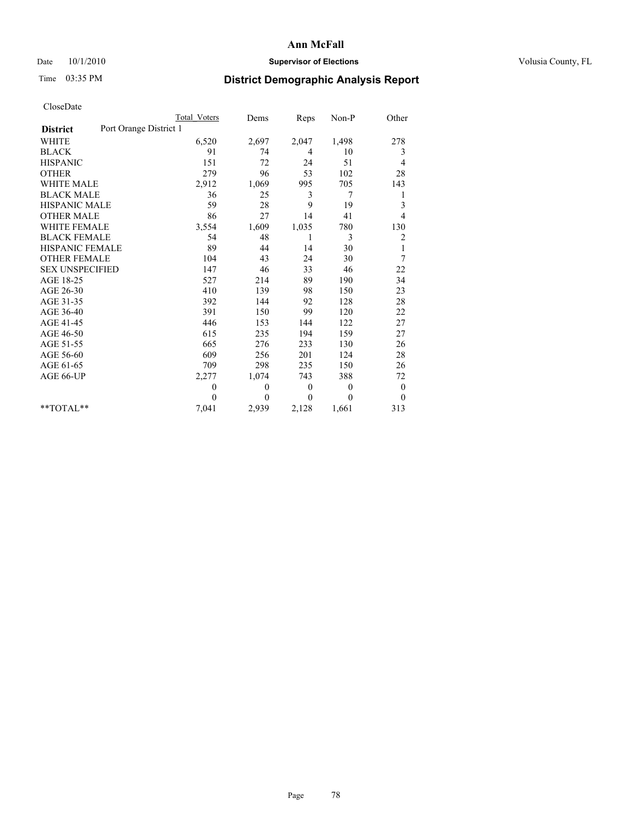## Date  $10/1/2010$  **Supervisor of Elections Supervisor of Elections** Volusia County, FL

# Time 03:35 PM **District Demographic Analysis Report**

|                                           | Total Voters | Dems         | Reps         | Non-P          | Other        |
|-------------------------------------------|--------------|--------------|--------------|----------------|--------------|
| Port Orange District 1<br><b>District</b> |              |              |              |                |              |
| <b>WHITE</b>                              | 6,520        | 2,697        | 2,047        | 1,498          | 278          |
| <b>BLACK</b>                              | 91           | 74           | 4            | 10             | 3            |
| <b>HISPANIC</b>                           | 151          | 72           | 24           | 51             | 4            |
| <b>OTHER</b>                              | 279          | 96           | 53           | 102            | 28           |
| <b>WHITE MALE</b>                         | 2,912        | 1,069        | 995          | 705            | 143          |
| <b>BLACK MALE</b>                         | 36           | 25           | 3            | 7              | 1            |
| <b>HISPANIC MALE</b>                      | 59           | 28           | 9            | 19             | 3            |
| <b>OTHER MALE</b>                         | 86           | 27           | 14           | 41             | 4            |
| <b>WHITE FEMALE</b>                       | 3,554        | 1,609        | 1,035        | 780            | 130          |
| <b>BLACK FEMALE</b>                       | 54           | 48           | 1            | 3              | 2            |
| HISPANIC FEMALE                           | 89           | 44           | 14           | 30             | $\mathbf{1}$ |
| <b>OTHER FEMALE</b>                       | 104          | 43           | 24           | 30             | 7            |
| <b>SEX UNSPECIFIED</b>                    | 147          | 46           | 33           | 46             | 22           |
| AGE 18-25                                 | 527          | 214          | 89           | 190            | 34           |
| AGE 26-30                                 | 410          | 139          | 98           | 150            | 23           |
| AGE 31-35                                 | 392          | 144          | 92           | 128            | 28           |
| AGE 36-40                                 | 391          | 150          | 99           | 120            | 22           |
| AGE 41-45                                 | 446          | 153          | 144          | 122            | 27           |
| AGE 46-50                                 | 615          | 235          | 194          | 159            | 27           |
| AGE 51-55                                 | 665          | 276          | 233          | 130            | 26           |
| AGE 56-60                                 | 609          | 256          | 201          | 124            | 28           |
| AGE 61-65                                 | 709          | 298          | 235          | 150            | 26           |
| AGE 66-UP                                 | 2,277        | 1,074        | 743          | 388            | 72           |
|                                           | $\theta$     | $\theta$     | $\mathbf{0}$ | $\overline{0}$ | $\mathbf{0}$ |
|                                           | $\theta$     | $\mathbf{0}$ | $\Omega$     | $\theta$       | $\mathbf{0}$ |
| $*$ $TOTAI.**$                            | 7,041        | 2,939        | 2,128        | 1,661          | 313          |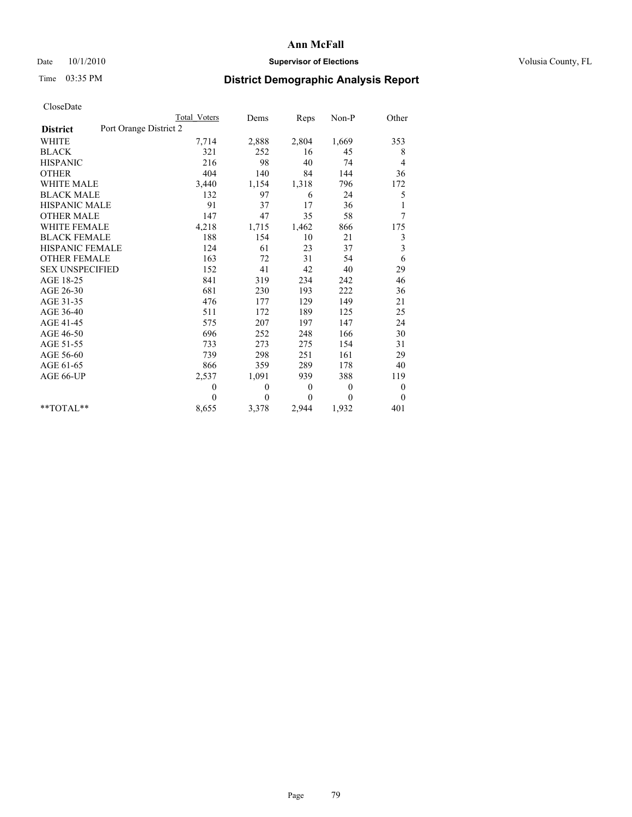## Date  $10/1/2010$  **Supervisor of Elections Supervisor of Elections** Volusia County, FL

# Time 03:35 PM **District Demographic Analysis Report**

|                                           | Total Voters | Dems     | <b>Reps</b> | Non-P    | Other            |
|-------------------------------------------|--------------|----------|-------------|----------|------------------|
| Port Orange District 2<br><b>District</b> |              |          |             |          |                  |
| <b>WHITE</b>                              | 7,714        | 2,888    | 2,804       | 1,669    | 353              |
| <b>BLACK</b>                              | 321          | 252      | 16          | 45       | 8                |
| <b>HISPANIC</b>                           | 216          | 98       | 40          | 74       | 4                |
| <b>OTHER</b>                              | 404          | 140      | 84          | 144      | 36               |
| WHITE MALE                                | 3,440        | 1,154    | 1,318       | 796      | 172              |
| <b>BLACK MALE</b>                         | 132          | 97       | 6           | 24       | 5                |
| <b>HISPANIC MALE</b>                      | 91           | 37       | 17          | 36       | 1                |
| <b>OTHER MALE</b>                         | 147          | 47       | 35          | 58       | 7                |
| <b>WHITE FEMALE</b>                       | 4,218        | 1,715    | 1,462       | 866      | 175              |
| <b>BLACK FEMALE</b>                       | 188          | 154      | 10          | 21       | 3                |
| <b>HISPANIC FEMALE</b>                    | 124          | 61       | 23          | 37       | 3                |
| <b>OTHER FEMALE</b>                       | 163          | 72       | 31          | 54       | 6                |
| <b>SEX UNSPECIFIED</b>                    | 152          | 41       | 42          | 40       | 29               |
| AGE 18-25                                 | 841          | 319      | 234         | 242      | 46               |
| AGE 26-30                                 | 681          | 230      | 193         | 222      | 36               |
| AGE 31-35                                 | 476          | 177      | 129         | 149      | 21               |
| AGE 36-40                                 | 511          | 172      | 189         | 125      | 25               |
| AGE 41-45                                 | 575          | 207      | 197         | 147      | 24               |
| AGE 46-50                                 | 696          | 252      | 248         | 166      | 30               |
| AGE 51-55                                 | 733          | 273      | 275         | 154      | 31               |
| AGE 56-60                                 | 739          | 298      | 251         | 161      | 29               |
| AGE 61-65                                 | 866          | 359      | 289         | 178      | 40               |
| AGE 66-UP                                 | 2,537        | 1,091    | 939         | 388      | 119              |
|                                           | $\theta$     | 0        | $\theta$    | $\theta$ | $\boldsymbol{0}$ |
|                                           | $\theta$     | $\theta$ | $\Omega$    | $\Omega$ | $\overline{0}$   |
| $*$ $TOTAI.**$                            | 8,655        | 3,378    | 2,944       | 1,932    | 401              |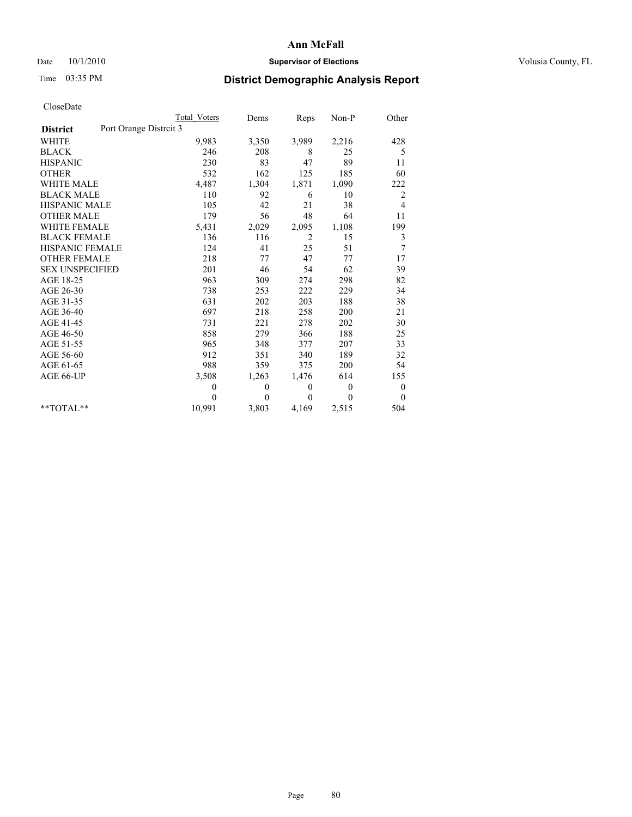### Date  $10/1/2010$  **Supervisor of Elections Supervisor of Elections** Volusia County, FL

# Time 03:35 PM **District Demographic Analysis Report**

|                                          | Total Voters | Dems         | Reps         | Non-P    | Other            |
|------------------------------------------|--------------|--------------|--------------|----------|------------------|
| Port Orange Distrit 3<br><b>District</b> |              |              |              |          |                  |
| <b>WHITE</b>                             | 9,983        | 3,350        | 3,989        | 2,216    | 428              |
| <b>BLACK</b>                             | 246          | 208          | 8            | 25       | 5                |
| <b>HISPANIC</b>                          | 230          | 83           | 47           | 89       | 11               |
| <b>OTHER</b>                             | 532          | 162          | 125          | 185      | 60               |
| WHITE MALE                               | 4,487        | 1,304        | 1,871        | 1,090    | 222              |
| <b>BLACK MALE</b>                        | 110          | 92           | 6            | 10       | 2                |
| <b>HISPANIC MALE</b>                     | 105          | 42           | 21           | 38       | 4                |
| <b>OTHER MALE</b>                        | 179          | 56           | 48           | 64       | 11               |
| <b>WHITE FEMALE</b>                      | 5,431        | 2,029        | 2,095        | 1,108    | 199              |
| <b>BLACK FEMALE</b>                      | 136          | 116          | 2            | 15       | 3                |
| <b>HISPANIC FEMALE</b>                   | 124          | 41           | 25           | 51       | 7                |
| <b>OTHER FEMALE</b>                      | 218          | 77           | 47           | 77       | 17               |
| <b>SEX UNSPECIFIED</b>                   | 201          | 46           | 54           | 62       | 39               |
| AGE 18-25                                | 963          | 309          | 274          | 298      | 82               |
| AGE 26-30                                | 738          | 253          | 222          | 229      | 34               |
| AGE 31-35                                | 631          | 202          | 203          | 188      | 38               |
| AGE 36-40                                | 697          | 218          | 258          | 200      | 21               |
| AGE 41-45                                | 731          | 221          | 278          | 202      | 30               |
| AGE 46-50                                | 858          | 279          | 366          | 188      | 25               |
| AGE 51-55                                | 965          | 348          | 377          | 207      | 33               |
| AGE 56-60                                | 912          | 351          | 340          | 189      | 32               |
| AGE 61-65                                | 988          | 359          | 375          | 200      | 54               |
| AGE 66-UP                                | 3,508        | 1,263        | 1,476        | 614      | 155              |
|                                          | $\theta$     | $\mathbf{0}$ | $\mathbf{0}$ | $\theta$ | $\boldsymbol{0}$ |
|                                          | $\theta$     | $\theta$     | $\mathbf{0}$ | $\theta$ | $\theta$         |
| $*$ TOTAL $*$                            | 10,991       | 3,803        | 4,169        | 2,515    | 504              |